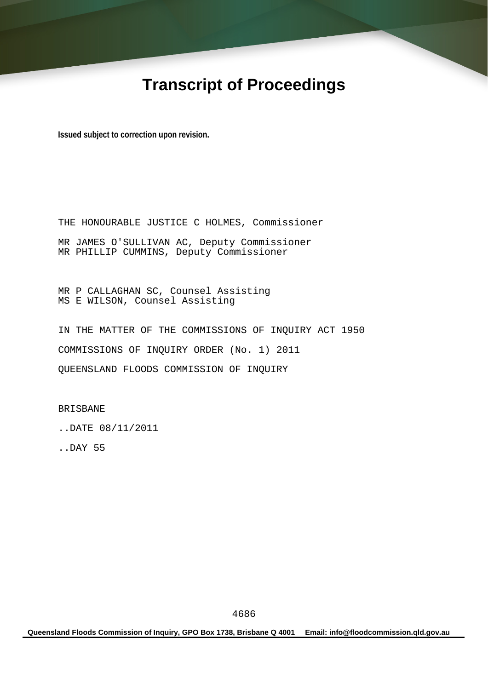# **Transcript of Proceedings**

**Issued subject to correction upon revision.** 

THE HONOURABLE JUSTICE C HOLMES, Commissioner MR JAMES O'SULLIVAN AC, Deputy Commissioner MR PHILLIP CUMMINS, Deputy Commissioner

MR P CALLAGHAN SC, Counsel Assisting MS E WILSON, Counsel Assisting

IN THE MATTER OF THE COMMISSIONS OF INQUIRY ACT 1950 COMMISSIONS OF INQUIRY ORDER (No. 1) 2011 QUEENSLAND FLOODS COMMISSION OF INQUIRY

BRISBANE

..DATE 08/11/2011

..DAY 55

**Queensland Floods Commission of Inquiry, GPO Box 1738, Brisbane Q 4001 Email: info@floodcommission.qld.gov.au**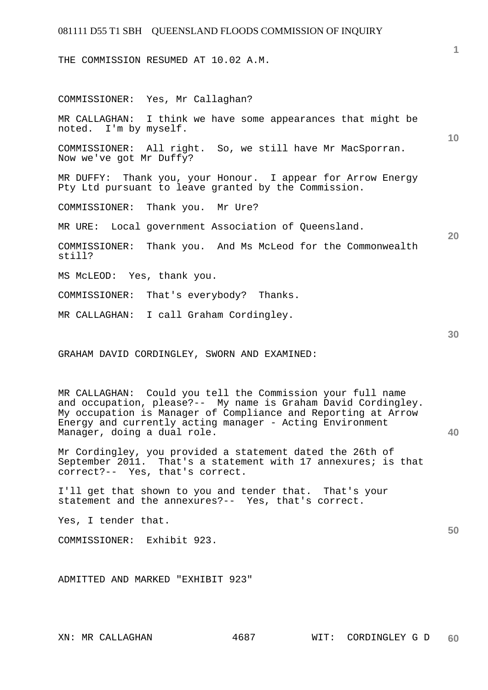THE COMMISSION RESUMED AT 10.02 A.M.

**10 20 30**  COMMISSIONER: Yes, Mr Callaghan? MR CALLAGHAN: I think we have some appearances that might be noted. I'm by myself. COMMISSIONER: All right. So, we still have Mr MacSporran. Now we've got Mr Duffy? MR DUFFY: Thank you, your Honour. I appear for Arrow Energy Pty Ltd pursuant to leave granted by the Commission. COMMISSIONER: Thank you. Mr Ure? MR URE: Local government Association of Queensland. COMMISSIONER: Thank you. And Ms McLeod for the Commonwealth still? MS McLEOD: Yes, thank you. COMMISSIONER: That's everybody? Thanks. MR CALLAGHAN: I call Graham Cordingley. GRAHAM DAVID CORDINGLEY, SWORN AND EXAMINED:

MR CALLAGHAN: Could you tell the Commission your full name and occupation, please?-- My name is Graham David Cordingley. My occupation is Manager of Compliance and Reporting at Arrow Energy and currently acting manager - Acting Environment Manager, doing a dual role.

Mr Cordingley, you provided a statement dated the 26th of September 2011. That's a statement with 17 annexures; is that correct?-- Yes, that's correct.

I'll get that shown to you and tender that. That's your statement and the annexures?-- Yes, that's correct.

Yes, I tender that.

COMMISSIONER: Exhibit 923.

ADMITTED AND MARKED "EXHIBIT 923"

**1**

**40**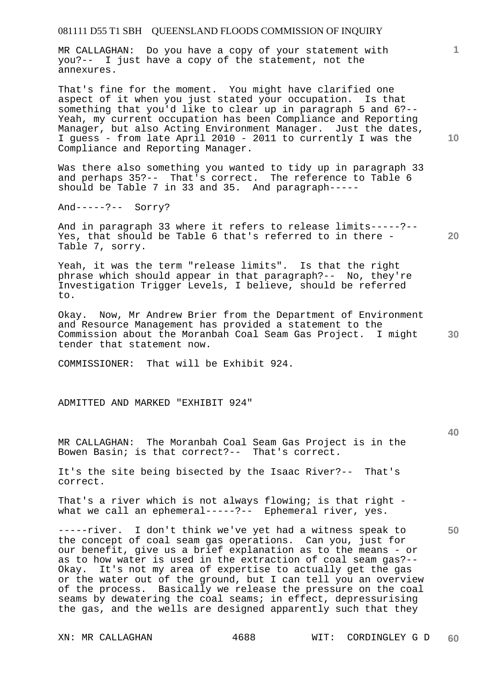MR CALLAGHAN: Do you have a copy of your statement with you?-- I just have a copy of the statement, not the annexures.

That's fine for the moment. You might have clarified one aspect of it when you just stated your occupation. Is that something that you'd like to clear up in paragraph 5 and 6?-- Yeah, my current occupation has been Compliance and Reporting Manager, but also Acting Environment Manager. Just the dates, I guess - from late April 2010 - 2011 to currently I was the Compliance and Reporting Manager.

Was there also something you wanted to tidy up in paragraph 33 and perhaps 35?-- That's correct. The reference to Table 6 should be Table 7 in 33 and 35. And paragraph-----

And-----?-- Sorry?

And in paragraph 33 where it refers to release limits-----?-- Yes, that should be Table 6 that's referred to in there - Table 7, sorry.

Yeah, it was the term "release limits". Is that the right phrase which should appear in that paragraph?-- No, they're Investigation Trigger Levels, I believe, should be referred to.

**30**  Okay. Now, Mr Andrew Brier from the Department of Environment and Resource Management has provided a statement to the Commission about the Moranbah Coal Seam Gas Project. I might tender that statement now.

COMMISSIONER: That will be Exhibit 924.

ADMITTED AND MARKED "EXHIBIT 924"

MR CALLAGHAN: The Moranbah Coal Seam Gas Project is in the Bowen Basin; is that correct?-- That's correct.

It's the site being bisected by the Isaac River?-- That's correct.

That's a river which is not always flowing; is that right what we call an ephemeral-----?-- Ephemeral river, yes.

-----river. I don't think we've yet had a witness speak to the concept of coal seam gas operations. Can you, just for our benefit, give us a brief explanation as to the means - or as to how water is used in the extraction of coal seam gas?-- Okay. It's not my area of expertise to actually get the gas or the water out of the ground, but I can tell you an overview of the process. Basically we release the pressure on the coal seams by dewatering the coal seams; in effect, depressurising the gas, and the wells are designed apparently such that they

**10** 

**1**

**20** 

**40**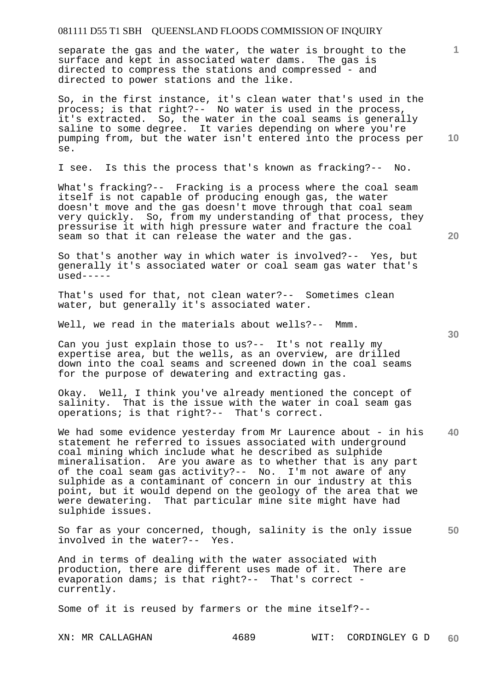separate the gas and the water, the water is brought to the surface and kept in associated water dams. The gas is directed to compress the stations and compressed - and directed to power stations and the like.

So, in the first instance, it's clean water that's used in the process; is that right?-- No water is used in the process, it's extracted. So, the water in the coal seams is generally saline to some degree. It varies depending on where you're pumping from, but the water isn't entered into the process per se.

I see. Is this the process that's known as fracking?-- No.

What's fracking?-- Fracking is a process where the coal seam itself is not capable of producing enough gas, the water doesn't move and the gas doesn't move through that coal seam very quickly. So, from my understanding of that process, they pressurise it with high pressure water and fracture the coal seam so that it can release the water and the gas.

So that's another way in which water is involved?-- Yes, but generally it's associated water or coal seam gas water that's  $used---$ 

That's used for that, not clean water?-- Sometimes clean water, but generally it's associated water.

Well, we read in the materials about wells?-- Mmm.

Can you just explain those to us?-- It's not really my expertise area, but the wells, as an overview, are drilled down into the coal seams and screened down in the coal seams for the purpose of dewatering and extracting gas.

Okay. Well, I think you've already mentioned the concept of salinity. That is the issue with the water in coal seam gas operations; is that right?-- That's correct.

**40**  We had some evidence yesterday from Mr Laurence about - in his statement he referred to issues associated with underground coal mining which include what he described as sulphide mineralisation. Are you aware as to whether that is any part of the coal seam gas activity?-- No. I'm not aware of any sulphide as a contaminant of concern in our industry at this point, but it would depend on the geology of the area that we were dewatering. That particular mine site might have had sulphide issues.

**50**  So far as your concerned, though, salinity is the only issue involved in the water?-- Yes.

And in terms of dealing with the water associated with production, there are different uses made of it. There are evaporation dams; is that right?-- That's correct currently.

Some of it is reused by farmers or the mine itself?--

**20** 

**10** 

**1**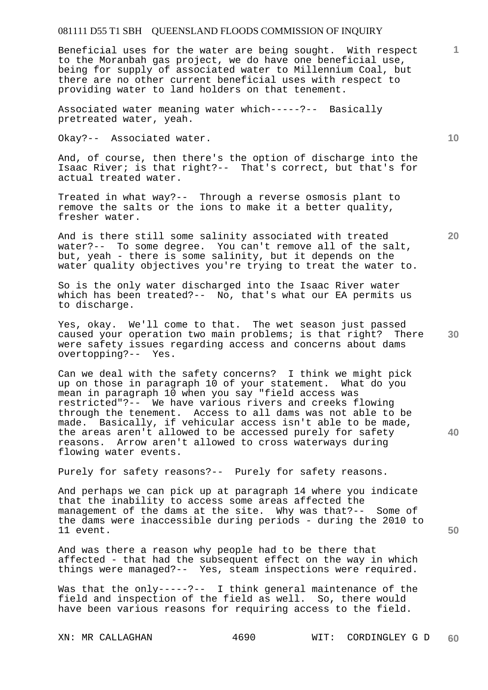Beneficial uses for the water are being sought. With respect to the Moranbah gas project, we do have one beneficial use, being for supply of associated water to Millennium Coal, but there are no other current beneficial uses with respect to providing water to land holders on that tenement.

Associated water meaning water which-----?-- Basically pretreated water, yeah.

Okay?-- Associated water.

And, of course, then there's the option of discharge into the Isaac River; is that right?-- That's correct, but that's for actual treated water.

Treated in what way?-- Through a reverse osmosis plant to remove the salts or the ions to make it a better quality, fresher water.

And is there still some salinity associated with treated water?-- To some degree. You can't remove all of the salt, but, yeah - there is some salinity, but it depends on the water quality objectives you're trying to treat the water to.

So is the only water discharged into the Isaac River water which has been treated?-- No, that's what our EA permits us to discharge.

**30**  Yes, okay. We'll come to that. The wet season just passed caused your operation two main problems; is that right? There were safety issues regarding access and concerns about dams overtopping?-- Yes.

Can we deal with the safety concerns? I think we might pick up on those in paragraph 10 of your statement. What do you mean in paragraph 10 when you say "field access was restricted"?-- We have various rivers and creeks flowing through the tenement. Access to all dams was not able to be made. Basically, if vehicular access isn't able to be made, the areas aren't allowed to be accessed purely for safety reasons. Arrow aren't allowed to cross waterways during flowing water events.

Purely for safety reasons?-- Purely for safety reasons.

And perhaps we can pick up at paragraph 14 where you indicate that the inability to access some areas affected the management of the dams at the site. Why was that?-- Some of the dams were inaccessible during periods - during the 2010 to 11 event.

And was there a reason why people had to be there that affected - that had the subsequent effect on the way in which things were managed?-- Yes, steam inspections were required.

Was that the only-----?-- I think general maintenance of the field and inspection of the field as well. So, there would have been various reasons for requiring access to the field.

**10** 

**1**

**20**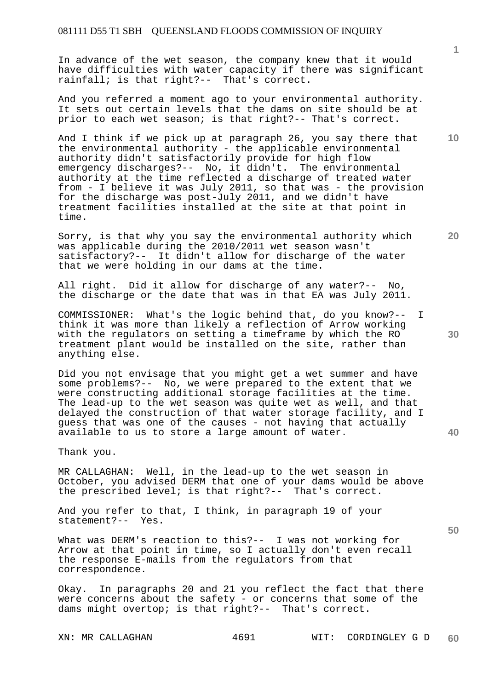In advance of the wet season, the company knew that it would have difficulties with water capacity if there was significant rainfall; is that right?-- That's correct.

And you referred a moment ago to your environmental authority. It sets out certain levels that the dams on site should be at prior to each wet season; is that right?-- That's correct.

And I think if we pick up at paragraph 26, you say there that the environmental authority - the applicable environmental authority didn't satisfactorily provide for high flow emergency discharges?-- No, it didn't. The environmental authority at the time reflected a discharge of treated water from - I believe it was July 2011, so that was - the provision for the discharge was post-July 2011, and we didn't have treatment facilities installed at the site at that point in time.

Sorry, is that why you say the environmental authority which was applicable during the 2010/2011 wet season wasn't satisfactory?-- It didn't allow for discharge of the water that we were holding in our dams at the time.

All right. Did it allow for discharge of any water?-- No, the discharge or the date that was in that EA was July 2011.

COMMISSIONER: What's the logic behind that, do you know?-- I think it was more than likely a reflection of Arrow working with the regulators on setting a timeframe by which the RO treatment plant would be installed on the site, rather than anything else.

Did you not envisage that you might get a wet summer and have some problems?-- No, we were prepared to the extent that we were constructing additional storage facilities at the time. The lead-up to the wet season was quite wet as well, and that delayed the construction of that water storage facility, and I guess that was one of the causes - not having that actually available to us to store a large amount of water.

Thank you.

MR CALLAGHAN: Well, in the lead-up to the wet season in October, you advised DERM that one of your dams would be above the prescribed level; is that right?-- That's correct.

And you refer to that, I think, in paragraph 19 of your statement?-- Yes.

What was DERM's reaction to this?-- I was not working for Arrow at that point in time, so I actually don't even recall the response E-mails from the regulators from that correspondence.

Okay. In paragraphs 20 and 21 you reflect the fact that there were concerns about the safety - or concerns that some of the dams might overtop; is that right?-- That's correct.

XN: MR CALLAGHAN 4691 WIT: CORDINGLEY G D **60** 

**40** 

**50** 

**20** 

**10**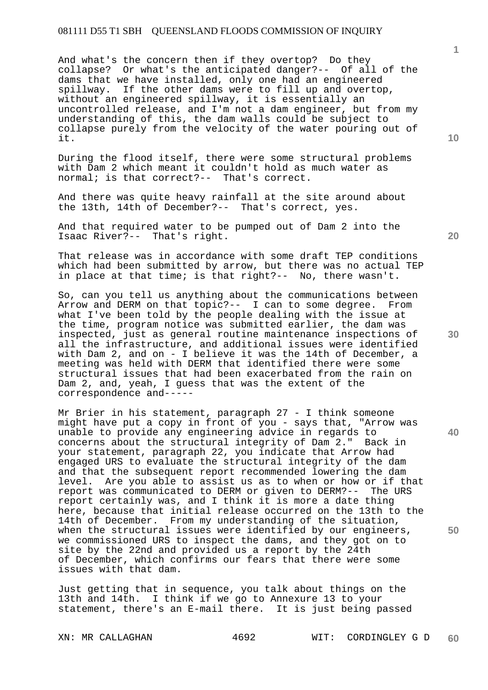And what's the concern then if they overtop? Do they collapse? Or what's the anticipated danger?-- Of all of the dams that we have installed, only one had an engineered spillway. If the other dams were to fill up and overtop, without an engineered spillway, it is essentially an uncontrolled release, and I'm not a dam engineer, but from my understanding of this, the dam walls could be subject to collapse purely from the velocity of the water pouring out of it.

During the flood itself, there were some structural problems with Dam 2 which meant it couldn't hold as much water as normal; is that correct?-- That's correct.

And there was quite heavy rainfall at the site around about the 13th, 14th of December?-- That's correct, yes.

And that required water to be pumped out of Dam 2 into the Isaac River?-- That's right.

That release was in accordance with some draft TEP conditions which had been submitted by arrow, but there was no actual TEP in place at that time; is that right?-- No, there wasn't.

So, can you tell us anything about the communications between Arrow and DERM on that topic?-- I can to some degree. From what I've been told by the people dealing with the issue at the time, program notice was submitted earlier, the dam was inspected, just as general routine maintenance inspections of all the infrastructure, and additional issues were identified with Dam 2, and on - I believe it was the 14th of December, a meeting was held with DERM that identified there were some structural issues that had been exacerbated from the rain on Dam 2, and, yeah, I guess that was the extent of the correspondence and-----

Mr Brier in his statement, paragraph 27 - I think someone might have put a copy in front of you - says that, "Arrow was unable to provide any engineering advice in regards to concerns about the structural integrity of Dam 2." Back in your statement, paragraph 22, you indicate that Arrow had engaged URS to evaluate the structural integrity of the dam and that the subsequent report recommended lowering the dam level. Are you able to assist us as to when or how or if that report was communicated to DERM or given to DERM?-- The URS report certainly was, and I think it is more a date thing here, because that initial release occurred on the 13th to the 14th of December. From my understanding of the situation, when the structural issues were identified by our engineers, we commissioned URS to inspect the dams, and they got on to site by the 22nd and provided us a report by the 24th of December, which confirms our fears that there were some issues with that dam.

Just getting that in sequence, you talk about things on the 13th and 14th. I think if we go to Annexure 13 to your statement, there's an E-mail there. It is just being passed

XN: MR CALLAGHAN 4692 WIT: CORDINGLEY G D **60** 

**1**

**10** 

**40**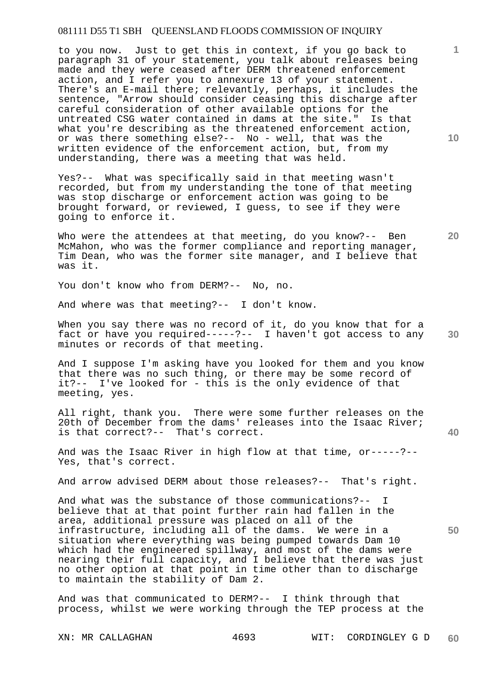to you now. Just to get this in context, if you go back to paragraph 31 of your statement, you talk about releases being made and they were ceased after DERM threatened enforcement action, and I refer you to annexure 13 of your statement. There's an E-mail there; relevantly, perhaps, it includes the sentence, "Arrow should consider ceasing this discharge after careful consideration of other available options for the untreated CSG water contained in dams at the site." Is that what you're describing as the threatened enforcement action, or was there something else?-- No - well, that was the written evidence of the enforcement action, but, from my understanding, there was a meeting that was held.

Yes?-- What was specifically said in that meeting wasn't recorded, but from my understanding the tone of that meeting was stop discharge or enforcement action was going to be brought forward, or reviewed, I guess, to see if they were going to enforce it.

Who were the attendees at that meeting, do you know?-- Ben McMahon, who was the former compliance and reporting manager, Tim Dean, who was the former site manager, and I believe that was it.

You don't know who from DERM?-- No, no.

And where was that meeting?-- I don't know.

When you say there was no record of it, do you know that for a fact or have you required-----?-- I haven't got access to any minutes or records of that meeting.

And I suppose I'm asking have you looked for them and you know that there was no such thing, or there may be some record of it?-- I've looked for - this is the only evidence of that meeting, yes.

All right, thank you. There were some further releases on the 20th of December from the dams' releases into the Isaac River; is that correct?-- That's correct.

And was the Isaac River in high flow at that time, or-----?-- Yes, that's correct.

And arrow advised DERM about those releases?-- That's right.

And what was the substance of those communications?-- I believe that at that point further rain had fallen in the area, additional pressure was placed on all of the infrastructure, including all of the dams. We were in a situation where everything was being pumped towards Dam 10 which had the engineered spillway, and most of the dams were nearing their full capacity, and I believe that there was just no other option at that point in time other than to discharge to maintain the stability of Dam 2.

And was that communicated to DERM?-- I think through that process, whilst we were working through the TEP process at the

**10** 

**1**

**20** 

**40**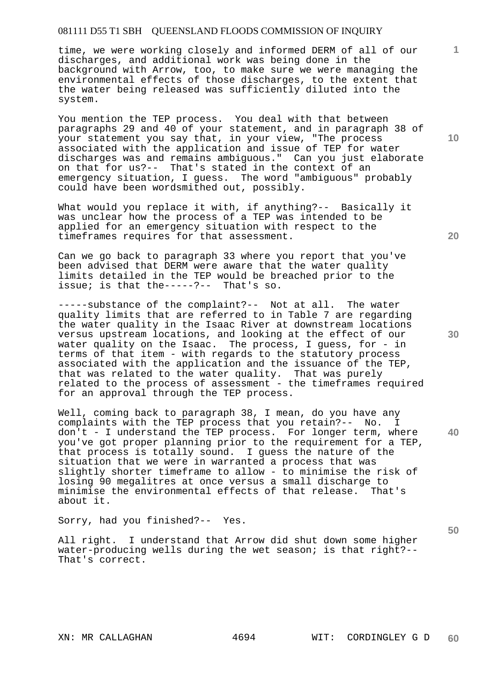time, we were working closely and informed DERM of all of our discharges, and additional work was being done in the background with Arrow, too, to make sure we were managing the environmental effects of those discharges, to the extent that the water being released was sufficiently diluted into the system.

You mention the TEP process. You deal with that between paragraphs 29 and 40 of your statement, and in paragraph 38 of your statement you say that, in your view, "The process associated with the application and issue of TEP for water discharges was and remains ambiguous." Can you just elaborate on that for us?-- That's stated in the context of an emergency situation, I guess. The word "ambiguous" probably could have been wordsmithed out, possibly.

What would you replace it with, if anything?-- Basically it was unclear how the process of a TEP was intended to be applied for an emergency situation with respect to the timeframes requires for that assessment.

Can we go back to paragraph 33 where you report that you've been advised that DERM were aware that the water quality limits detailed in the TEP would be breached prior to the issue; is that the-----?-- That's so.

-----substance of the complaint?-- Not at all. The water quality limits that are referred to in Table 7 are regarding the water quality in the Isaac River at downstream locations versus upstream locations, and looking at the effect of our water quality on the Isaac. The process, I quess, for - in water quarrity on the roads. The process, a same, associated with the application and the issuance of the TEP, that was related to the water quality. That was purely related to the process of assessment - the timeframes required for an approval through the TEP process.

**40**  Well, coming back to paragraph 38, I mean, do you have any complaints with the TEP process that you retain?-- No. I don't - I understand the TEP process. For longer term, where you've got proper planning prior to the requirement for a TEP, that process is totally sound. I guess the nature of the situation that we were in warranted a process that was slightly shorter timeframe to allow - to minimise the risk of losing 90 megalitres at once versus a small discharge to minimise the environmental effects of that release. That's about it.

Sorry, had you finished?-- Yes.

All right. I understand that Arrow did shut down some higher water-producing wells during the wet season; is that right?-- That's correct.

**20** 

**10** 

**1**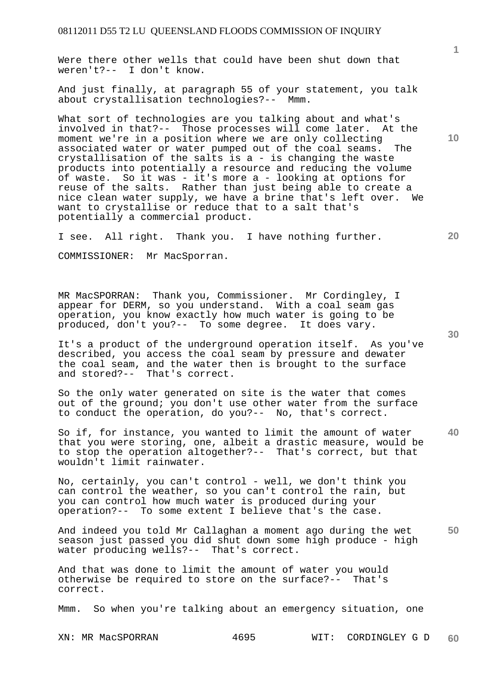Were there other wells that could have been shut down that weren't?-- I don't know.

And just finally, at paragraph 55 of your statement, you talk about crystallisation technologies?-- Mmm.

What sort of technologies are you talking about and what's involved in that?-- Those processes will come later. At the moment we're in a position where we are only collecting associated water or water pumped out of the coal seams. The crystallisation of the salts is a - is changing the waste products into potentially a resource and reducing the volume of waste. So it was - it's more a - looking at options for reuse of the salts. Rather than just being able to create a nice clean water supply, we have a brine that's left over. We want to crystallise or reduce that to a salt that's potentially a commercial product.

I see. All right. Thank you. I have nothing further.

COMMISSIONER: Mr MacSporran.

MR MacSPORRAN: Thank you, Commissioner. Mr Cordingley, I appear for DERM, so you understand. With a coal seam gas operation, you know exactly how much water is going to be produced, don't you?-- To some degree. It does vary.

It's a product of the underground operation itself. As you've described, you access the coal seam by pressure and dewater the coal seam, and the water then is brought to the surface and stored?-- That's correct.

So the only water generated on site is the water that comes out of the ground; you don't use other water from the surface to conduct the operation, do you?-- No, that's correct.

**40**  So if, for instance, you wanted to limit the amount of water that you were storing, one, albeit a drastic measure, would be to stop the operation altogether?-- That's correct, but that wouldn't limit rainwater.

No, certainly, you can't control - well, we don't think you can control the weather, so you can't control the rain, but you can control how much water is produced during your operation?-- To some extent I believe that's the case.

**50**  And indeed you told Mr Callaghan a moment ago during the wet season just passed you did shut down some high produce - high water producing wells?-- That's correct.

And that was done to limit the amount of water you would otherwise be required to store on the surface?-- That's correct.

Mmm. So when you're talking about an emergency situation, one

XN: MR MacSPORRAN 4695 WIT: CORDINGLEY G D **60** 

**30** 

**10** 

**20**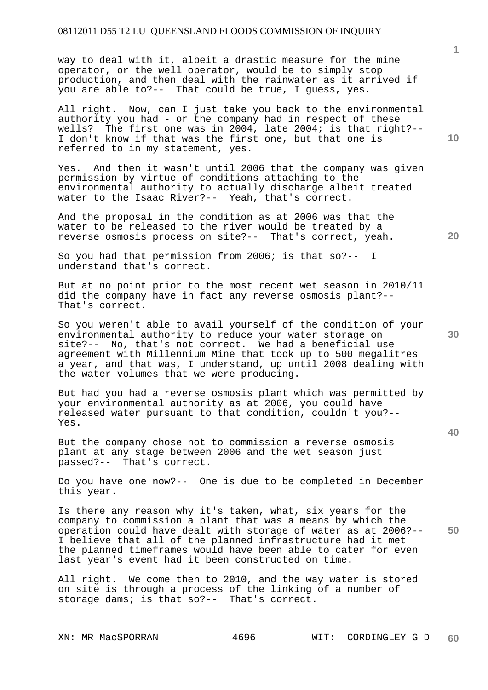way to deal with it, albeit a drastic measure for the mine operator, or the well operator, would be to simply stop production, and then deal with the rainwater as it arrived if you are able to?-- That could be true, I guess, yes.

All right. Now, can I just take you back to the environmental authority you had - or the company had in respect of these wells? The first one was in 2004, late 2004; is that right?-- I don't know if that was the first one, but that one is referred to in my statement, yes.

Yes. And then it wasn't until 2006 that the company was given permission by virtue of conditions attaching to the environmental authority to actually discharge albeit treated water to the Isaac River?-- Yeah, that's correct.

And the proposal in the condition as at 2006 was that the water to be released to the river would be treated by a reverse osmosis process on site?-- That's correct, yeah.

So you had that permission from 2006; is that so?-- I understand that's correct.

But at no point prior to the most recent wet season in 2010/11 did the company have in fact any reverse osmosis plant?-- That's correct.

So you weren't able to avail yourself of the condition of your environmental authority to reduce your water storage on site?-- No, that's not correct. We had a beneficial use agreement with Millennium Mine that took up to 500 megalitres a year, and that was, I understand, up until 2008 dealing with the water volumes that we were producing.

But had you had a reverse osmosis plant which was permitted by your environmental authority as at 2006, you could have released water pursuant to that condition, couldn't you?-- Yes.

But the company chose not to commission a reverse osmosis plant at any stage between 2006 and the wet season just passed?-- That's correct.

Do you have one now?-- One is due to be completed in December this year.

**50**  Is there any reason why it's taken, what, six years for the company to commission a plant that was a means by which the operation could have dealt with storage of water as at 2006?-- I believe that all of the planned infrastructure had it met the planned timeframes would have been able to cater for even last year's event had it been constructed on time.

All right. We come then to 2010, and the way water is stored on site is through a process of the linking of a number of storage dams; is that so?-- That's correct.

**1**

**30** 

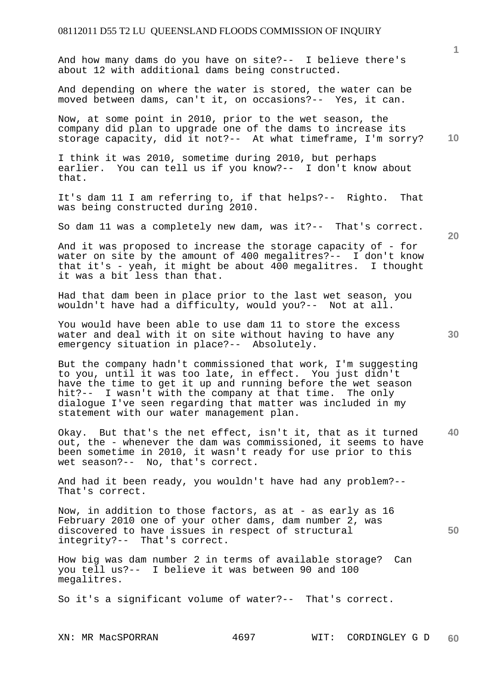And how many dams do you have on site?-- I believe there's about 12 with additional dams being constructed.

And depending on where the water is stored, the water can be moved between dams, can't it, on occasions?-- Yes, it can.

Now, at some point in 2010, prior to the wet season, the company did plan to upgrade one of the dams to increase its storage capacity, did it not?-- At what timeframe, I'm sorry?

I think it was 2010, sometime during 2010, but perhaps earlier. You can tell us if you know?-- I don't know about that.

It's dam 11 I am referring to, if that helps?-- Righto. That was being constructed during 2010.

So dam 11 was a completely new dam, was it?-- That's correct.

And it was proposed to increase the storage capacity of - for water on site by the amount of 400 megalitres?-- I don't know that it's - yeah, it might be about 400 megalitres. I thought it was a bit less than that.

Had that dam been in place prior to the last wet season, you wouldn't have had a difficulty, would you?-- Not at all.

You would have been able to use dam 11 to store the excess water and deal with it on site without having to have any emergency situation in place?-- Absolutely.

But the company hadn't commissioned that work, I'm suggesting to you, until it was too late, in effect. You just didn't have the time to get it up and running before the wet season hit?-- I wasn't with the company at that time. The only dialogue I've seen regarding that matter was included in my statement with our water management plan.

**40**  Okay. But that's the net effect, isn't it, that as it turned out, the - whenever the dam was commissioned, it seems to have been sometime in 2010, it wasn't ready for use prior to this wet season?-- No, that's correct.

And had it been ready, you wouldn't have had any problem?-- That's correct.

Now, in addition to those factors, as at - as early as 16 February 2010 one of your other dams, dam number 2, was discovered to have issues in respect of structural integrity?-- That's correct.

How big was dam number 2 in terms of available storage? Can you tell us?-- I believe it was between 90 and 100 megalitres.

So it's a significant volume of water?-- That's correct.

**20** 

**30** 

**50**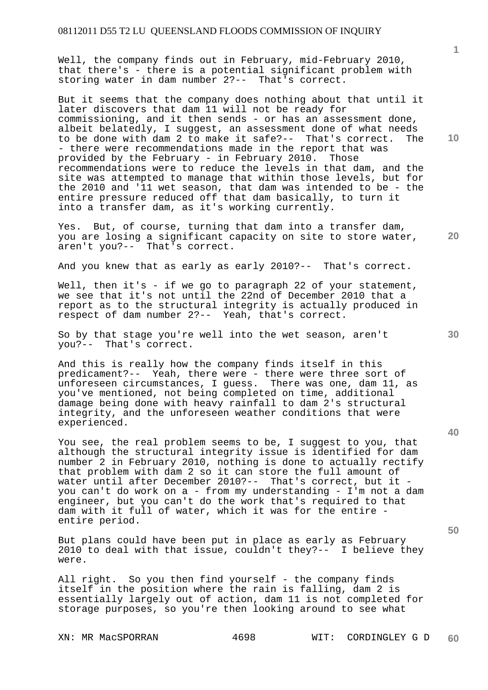Well, the company finds out in February, mid-February 2010, that there's - there is a potential significant problem with storing water in dam number 2?-- That's correct.

But it seems that the company does nothing about that until it later discovers that dam 11 will not be ready for commissioning, and it then sends - or has an assessment done, albeit belatedly, I suggest, an assessment done of what needs to be done with dam 2 to make it safe?-- That's correct. The - there were recommendations made in the report that was provided by the February - in February 2010. Those recommendations were to reduce the levels in that dam, and the site was attempted to manage that within those levels, but for the 2010 and '11 wet season, that dam was intended to be - the entire pressure reduced off that dam basically, to turn it into a transfer dam, as it's working currently.

Yes. But, of course, turning that dam into a transfer dam, you are losing a significant capacity on site to store water, aren't you?-- That's correct.

And you knew that as early as early 2010?-- That's correct.

Well, then it's - if we go to paragraph 22 of your statement, we see that it's not until the 22nd of December 2010 that a report as to the structural integrity is actually produced in respect of dam number 2?-- Yeah, that's correct.

So by that stage you're well into the wet season, aren't you?-- That's correct.

And this is really how the company finds itself in this predicament?-- Yeah, there were - there were three sort of unforeseen circumstances, I guess. There was one, dam 11, as you've mentioned, not being completed on time, additional damage being done with heavy rainfall to dam 2's structural integrity, and the unforeseen weather conditions that were experienced.

You see, the real problem seems to be, I suggest to you, that although the structural integrity issue is identified for dam number 2 in February 2010, nothing is done to actually rectify that problem with dam 2 so it can store the full amount of water until after December 2010?-- That's correct, but it you can't do work on a - from my understanding - I'm not a dam engineer, but you can't do the work that's required to that dam with it full of water, which it was for the entire entire period.

But plans could have been put in place as early as February 2010 to deal with that issue, couldn't they?-- I believe they were.

All right. So you then find yourself - the company finds itself in the position where the rain is falling, dam 2 is essentially largely out of action, dam 11 is not completed for storage purposes, so you're then looking around to see what

**50** 

**10** 

**1**

**20**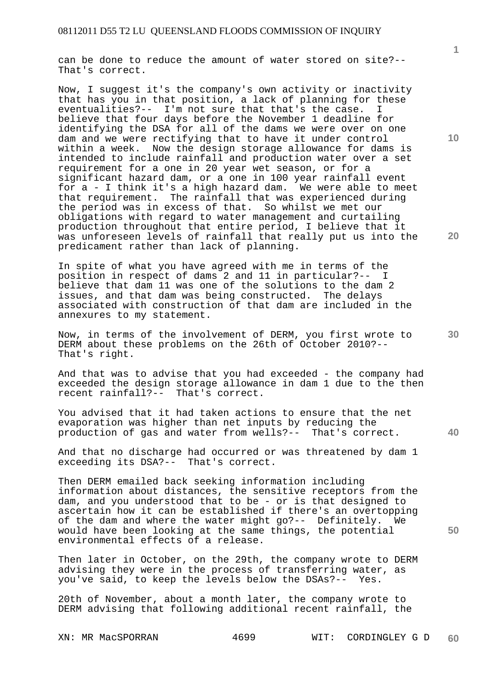can be done to reduce the amount of water stored on site?-- That's correct.

Now, I suggest it's the company's own activity or inactivity that has you in that position, a lack of planning for these eventualities?-- I'm not sure that that's the case. believe that four days before the November 1 deadline for identifying the DSA for all of the dams we were over on one dam and we were rectifying that to have it under control within a week. Now the design storage allowance for dams is intended to include rainfall and production water over a set requirement for a one in 20 year wet season, or for a significant hazard dam, or a one in 100 year rainfall event for a - I think it's a high hazard dam. We were able to meet that requirement. The rainfall that was experienced during the period was in excess of that. So whilst we met our obligations with regard to water management and curtailing production throughout that entire period, I believe that it was unforeseen levels of rainfall that really put us into the predicament rather than lack of planning.

In spite of what you have agreed with me in terms of the position in respect of dams 2 and 11 in particular?-- I believe that dam 11 was one of the solutions to the dam 2 issues, and that dam was being constructed. The delays associated with construction of that dam are included in the annexures to my statement.

Now, in terms of the involvement of DERM, you first wrote to DERM about these problems on the 26th of October 2010?-- That's right.

And that was to advise that you had exceeded - the company had exceeded the design storage allowance in dam 1 due to the then recent rainfall?-- That's correct.

You advised that it had taken actions to ensure that the net evaporation was higher than net inputs by reducing the production of gas and water from wells?-- That's correct.

And that no discharge had occurred or was threatened by dam 1 exceeding its DSA?-- That's correct.

Then DERM emailed back seeking information including information about distances, the sensitive receptors from the dam, and you understood that to be - or is that designed to ascertain how it can be established if there's an overtopping of the dam and where the water might go?-- Definitely. We would have been looking at the same things, the potential environmental effects of a release.

Then later in October, on the 29th, the company wrote to DERM advising they were in the process of transferring water, as you've said, to keep the levels below the DSAs?-- Yes.

20th of November, about a month later, the company wrote to DERM advising that following additional recent rainfall, the

**10** 

**1**

**20** 

**50**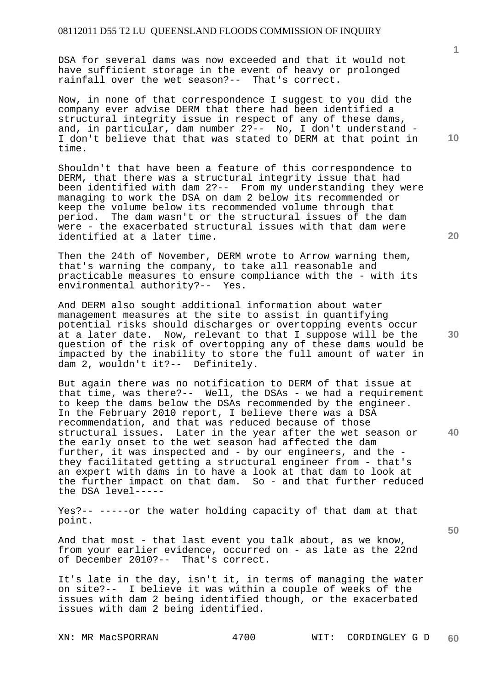DSA for several dams was now exceeded and that it would not have sufficient storage in the event of heavy or prolonged rainfall over the wet season?-- That's correct.

Now, in none of that correspondence I suggest to you did the company ever advise DERM that there had been identified a structural integrity issue in respect of any of these dams, and, in particular, dam number 2?-- No, I don't understand -I don't believe that that was stated to DERM at that point in time.

Shouldn't that have been a feature of this correspondence to DERM, that there was a structural integrity issue that had been identified with dam 2?-- From my understanding they were managing to work the DSA on dam 2 below its recommended or keep the volume below its recommended volume through that period. The dam wasn't or the structural issues of the dam were - the exacerbated structural issues with that dam were identified at a later time.

Then the 24th of November, DERM wrote to Arrow warning them, that's warning the company, to take all reasonable and practicable measures to ensure compliance with the - with its environmental authority?-- Yes.

And DERM also sought additional information about water management measures at the site to assist in quantifying potential risks should discharges or overtopping events occur at a later date. Now, relevant to that I suppose will be the question of the risk of overtopping any of these dams would be impacted by the inability to store the full amount of water in dam 2, wouldn't it?-- Definitely.

But again there was no notification to DERM of that issue at that time, was there?-- Well, the DSAs - we had a requirement to keep the dams below the DSAs recommended by the engineer. In the February 2010 report, I believe there was a DSA recommendation, and that was reduced because of those structural issues. Later in the year after the wet season or the early onset to the wet season had affected the dam further, it was inspected and - by our engineers, and the they facilitated getting a structural engineer from - that's an expert with dams in to have a look at that dam to look at the further impact on that dam. So - and that further reduced the DSA level-----

Yes?-- -----or the water holding capacity of that dam at that point.

And that most - that last event you talk about, as we know, from your earlier evidence, occurred on - as late as the 22nd of December 2010?-- That's correct.

It's late in the day, isn't it, in terms of managing the water on site?-- I believe it was within a couple of weeks of the issues with dam 2 being identified though, or the exacerbated issues with dam 2 being identified.

**40** 

**30**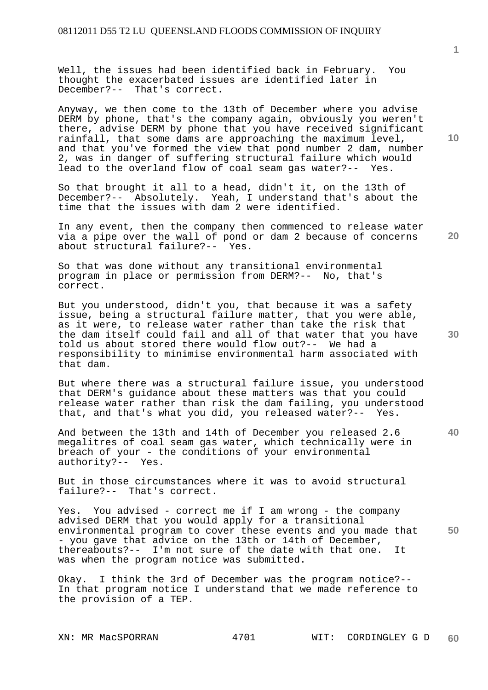Well, the issues had been identified back in February. You thought the exacerbated issues are identified later in December?-- That's correct.

Anyway, we then come to the 13th of December where you advise DERM by phone, that's the company again, obviously you weren't there, advise DERM by phone that you have received significant rainfall, that some dams are approaching the maximum level, and that you've formed the view that pond number 2 dam, number 2, was in danger of suffering structural failure which would lead to the overland flow of coal seam gas water?-- Yes.

So that brought it all to a head, didn't it, on the 13th of December?-- Absolutely. Yeah, I understand that's about the time that the issues with dam 2 were identified.

In any event, then the company then commenced to release water via a pipe over the wall of pond or dam 2 because of concerns about structural failure?-- Yes.

So that was done without any transitional environmental program in place or permission from DERM?-- No, that's correct.

But you understood, didn't you, that because it was a safety issue, being a structural failure matter, that you were able, as it were, to release water rather than take the risk that the dam itself could fail and all of that water that you have told us about stored there would flow out?-- We had a responsibility to minimise environmental harm associated with that dam.

But where there was a structural failure issue, you understood that DERM's guidance about these matters was that you could release water rather than risk the dam failing, you understood that, and that's what you did, you released water?-- Yes.

And between the 13th and 14th of December you released 2.6 megalitres of coal seam gas water, which technically were in breach of your - the conditions of your environmental authority?-- Yes.

But in those circumstances where it was to avoid structural failure?-- That's correct.

**50**  Yes. You advised - correct me if I am wrong - the company advised DERM that you would apply for a transitional environmental program to cover these events and you made that - you gave that advice on the 13th or 14th of December, thereabouts?-- I'm not sure of the date with that one. It was when the program notice was submitted.

Okay. I think the 3rd of December was the program notice?-- In that program notice I understand that we made reference to the provision of a TEP.

**10** 

**20**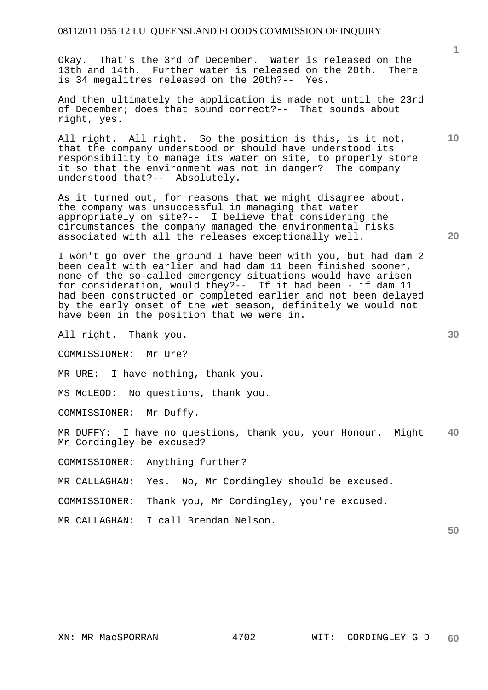Okay. That's the 3rd of December. Water is released on the 13th and 14th. Further water is released on the 20th. There is 34 megalitres released on the 20th?-- Yes.

And then ultimately the application is made not until the 23rd of December; does that sound correct?-- That sounds about right, yes.

All right. All right. So the position is this, is it not, that the company understood or should have understood its responsibility to manage its water on site, to properly store it so that the environment was not in danger? The company understood that?-- Absolutely.

As it turned out, for reasons that we might disagree about, the company was unsuccessful in managing that water appropriately on site?-- I believe that considering the circumstances the company managed the environmental risks associated with all the releases exceptionally well.

I won't go over the ground I have been with you, but had dam 2 been dealt with earlier and had dam 11 been finished sooner, none of the so-called emergency situations would have arisen for consideration, would they?-- If it had been - if dam 11 had been constructed or completed earlier and not been delayed by the early onset of the wet season, definitely we would not have been in the position that we were in.

All right. Thank you.

COMMISSIONER: Mr Ure?

MR URE: I have nothing, thank you.

MS McLEOD: No questions, thank you.

COMMISSIONER: Mr Duffy.

**40**  MR DUFFY: I have no questions, thank you, your Honour. Might Mr Cordingley be excused?

COMMISSIONER: Anything further?

MR CALLAGHAN: Yes. No, Mr Cordingley should be excused.

COMMISSIONER: Thank you, Mr Cordingley, you're excused.

MR CALLAGHAN: I call Brendan Nelson.

**50** 

**1**

**10**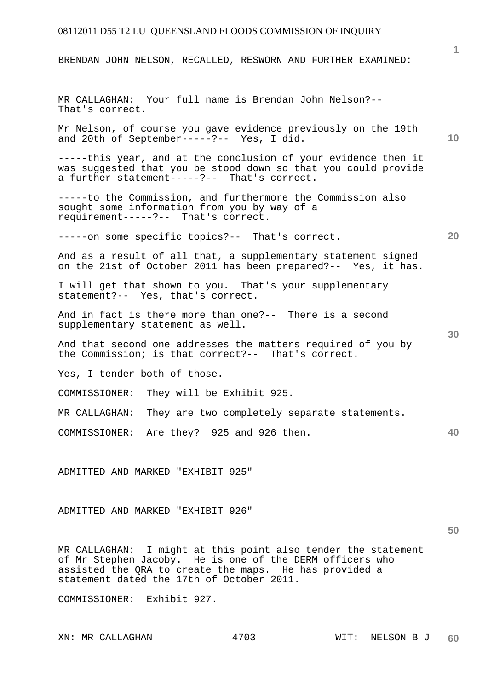BRENDAN JOHN NELSON, RECALLED, RESWORN AND FURTHER EXAMINED:

MR CALLAGHAN: Your full name is Brendan John Nelson?-- That's correct.

Mr Nelson, of course you gave evidence previously on the 19th and 20th of September-----?-- Yes, I did.

-----this year, and at the conclusion of your evidence then it was suggested that you be stood down so that you could provide a further statement-----?-- That's correct.

-----to the Commission, and furthermore the Commission also sought some information from you by way of a requirement-----?-- That's correct.

-----on some specific topics?-- That's correct.

And as a result of all that, a supplementary statement signed on the 21st of October 2011 has been prepared?-- Yes, it has.

I will get that shown to you. That's your supplementary statement?-- Yes, that's correct.

And in fact is there more than one?-- There is a second supplementary statement as well.

And that second one addresses the matters required of you by the Commission; is that correct?-- That's correct.

Yes, I tender both of those.

COMMISSIONER: They will be Exhibit 925.

MR CALLAGHAN: They are two completely separate statements.

COMMISSIONER: Are they? 925 and 926 then.

ADMITTED AND MARKED "EXHIBIT 925"

ADMITTED AND MARKED "EXHIBIT 926"

**50** 

**1**

**10** 

**20** 

**30** 

**40** 

MR CALLAGHAN: I might at this point also tender the statement of Mr Stephen Jacoby. He is one of the DERM officers who assisted the QRA to create the maps. He has provided a statement dated the 17th of October 2011.

COMMISSIONER: Exhibit 927.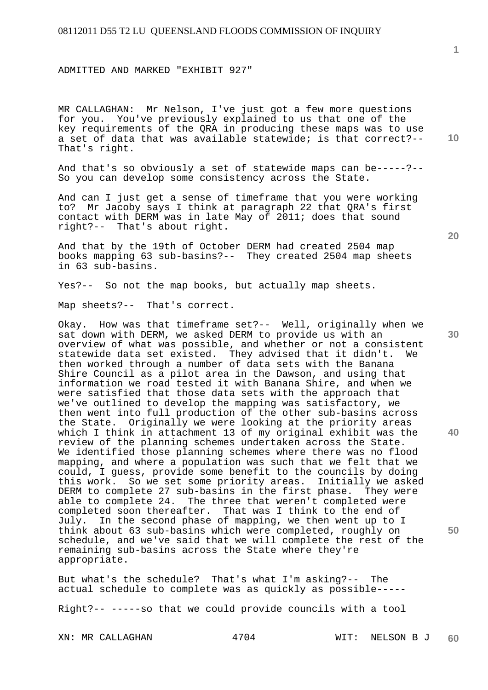ADMITTED AND MARKED "EXHIBIT 927"

MR CALLAGHAN: Mr Nelson, I've just got a few more questions for you. You've previously explained to us that one of the key requirements of the QRA in producing these maps was to use a set of data that was available statewide; is that correct?-- That's right.

And that's so obviously a set of statewide maps can be-----?-- So you can develop some consistency across the State.

And can I just get a sense of timeframe that you were working to? Mr Jacoby says I think at paragraph 22 that QRA's first contact with DERM was in late May of 2011; does that sound right?-- That's about right.

And that by the 19th of October DERM had created 2504 map books mapping 63 sub-basins?-- They created 2504 map sheets in 63 sub-basins.

Yes?-- So not the map books, but actually map sheets.

Map sheets?-- That's correct.

Okay. How was that timeframe set?-- Well, originally when we sat down with DERM, we asked DERM to provide us with an overview of what was possible, and whether or not a consistent statewide data set existed. They advised that it didn't. We then worked through a number of data sets with the Banana Shire Council as a pilot area in the Dawson, and using that information we road tested it with Banana Shire, and when we were satisfied that those data sets with the approach that we've outlined to develop the mapping was satisfactory, we then went into full production of the other sub-basins across the State. Originally we were looking at the priority areas which I think in attachment 13 of my original exhibit was the review of the planning schemes undertaken across the State. We identified those planning schemes where there was no flood mapping, and where a population was such that we felt that we could, I guess, provide some benefit to the councils by doing this work. So we set some priority areas. Initially we asked DERM to complete 27 sub-basins in the first phase. They were able to complete 24. The three that weren't completed were completed soon thereafter. That was I think to the end of July. In the second phase of mapping, we then went up to I think about 63 sub-basins which were completed, roughly on schedule, and we've said that we will complete the rest of the remaining sub-basins across the State where they're appropriate.

But what's the schedule? That's what I'm asking?-- The actual schedule to complete was as quickly as possible-----

Right?-- -----so that we could provide councils with a tool

**10** 

**20** 

**1**

**30** 

**40**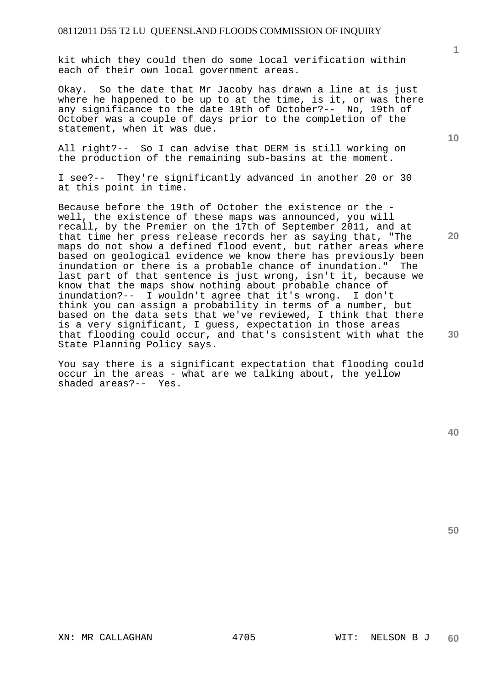kit which they could then do some local verification within each of their own local government areas.

Okay. So the date that Mr Jacoby has drawn a line at is just where he happened to be up to at the time, is it, or was there any significance to the date 19th of October?-- No, 19th of October was a couple of days prior to the completion of the statement, when it was due.

All right?-- So I can advise that DERM is still working on the production of the remaining sub-basins at the moment.

I see?-- They're significantly advanced in another 20 or 30 at this point in time.

Because before the 19th of October the existence or the well, the existence of these maps was announced, you will recall, by the Premier on the 17th of September 2011, and at that time her press release records her as saying that, "The maps do not show a defined flood event, but rather areas where based on geological evidence we know there has previously been inundation or there is a probable chance of inundation." The last part of that sentence is just wrong, isn't it, because we know that the maps show nothing about probable chance of inundation?-- I wouldn't agree that it's wrong. I don't think you can assign a probability in terms of a number, but based on the data sets that we've reviewed, I think that there is a very significant, I guess, expectation in those areas that flooding could occur, and that's consistent with what the State Planning Policy says.

You say there is a significant expectation that flooding could occur in the areas - what are we talking about, the yellow shaded areas?-- Yes.

**50** 

**30** 

**1**

**10**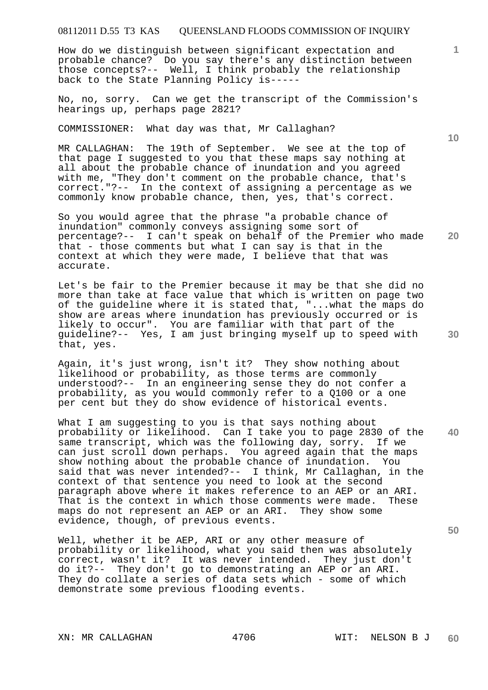How do we distinguish between significant expectation and probable chance? Do you say there's any distinction between those concepts?-- Well, I think probably the relationship back to the State Planning Policy is-----

No, no, sorry. Can we get the transcript of the Commission's hearings up, perhaps page 2821?

COMMISSIONER: What day was that, Mr Callaghan?

MR CALLAGHAN: The 19th of September. We see at the top of that page I suggested to you that these maps say nothing at all about the probable chance of inundation and you agreed with me, "They don't comment on the probable chance, that's correct."?-- In the context of assigning a percentage as we commonly know probable chance, then, yes, that's correct.

**20**  So you would agree that the phrase "a probable chance of inundation" commonly conveys assigning some sort of percentage?-- I can't speak on behalf of the Premier who made that - those comments but what I can say is that in the context at which they were made, I believe that that was accurate.

Let's be fair to the Premier because it may be that she did no more than take at face value that which is written on page two of the guideline where it is stated that, "...what the maps do show are areas where inundation has previously occurred or is likely to occur". You are familiar with that part of the guideline?-- Yes, I am just bringing myself up to speed with that, yes.

Again, it's just wrong, isn't it? They show nothing about likelihood or probability, as those terms are commonly understood?-- In an engineering sense they do not confer a probability, as you would commonly refer to a Q100 or a one per cent but they do show evidence of historical events.

**40**  What I am suggesting to you is that says nothing about probability or likelihood. Can I take you to page 2830 of the same transcript, which was the following day, sorry. If we can just scroll down perhaps. You agreed again that the maps show nothing about the probable chance of inundation. You said that was never intended?-- I think, Mr Callaghan, in the context of that sentence you need to look at the second paragraph above where it makes reference to an AEP or an ARI. That is the context in which those comments were made. These maps do not represent an AEP or an ARI. They show some evidence, though, of previous events.

Well, whether it be AEP, ARI or any other measure of probability or likelihood, what you said then was absolutely correct, wasn't it? It was never intended. They just don't do it?-- They don't go to demonstrating an AEP or an ARI. They do collate a series of data sets which - some of which demonstrate some previous flooding events.

XN: MR CALLAGHAN 4706 WIT: NELSON B J

**10** 

**1**

**30**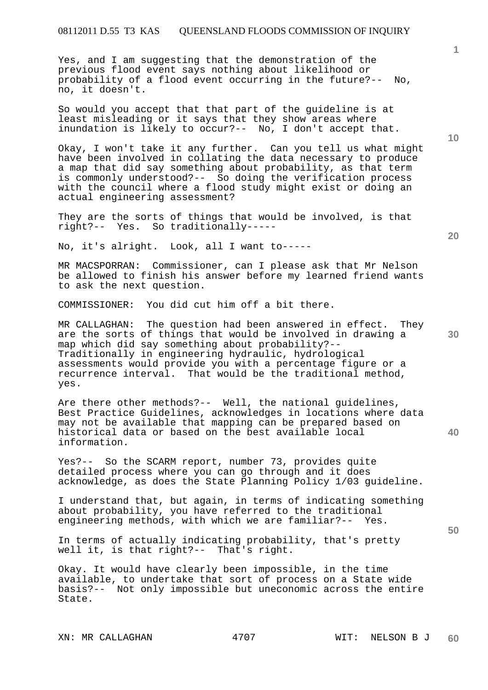Yes, and I am suggesting that the demonstration of the previous flood event says nothing about likelihood or probability of a flood event occurring in the future?-- No, no, it doesn't.

So would you accept that that part of the guideline is at least misleading or it says that they show areas where inundation is likely to occur?-- No, I don't accept that.

Okay, I won't take it any further. Can you tell us what might have been involved in collating the data necessary to produce a map that did say something about probability, as that term is commonly understood?-- So doing the verification process with the council where a flood study might exist or doing an actual engineering assessment?

They are the sorts of things that would be involved, is that right?-- Yes. So traditionally-----

No, it's alright. Look, all I want to-----

MR MACSPORRAN: Commissioner, can I please ask that Mr Nelson be allowed to finish his answer before my learned friend wants to ask the next question.

COMMISSIONER: You did cut him off a bit there.

MR CALLAGHAN: The question had been answered in effect. They are the sorts of things that would be involved in drawing a map which did say something about probability?-- Traditionally in engineering hydraulic, hydrological assessments would provide you with a percentage figure or a recurrence interval. That would be the traditional method, yes.

Are there other methods?-- Well, the national guidelines, Best Practice Guidelines, acknowledges in locations where data may not be available that mapping can be prepared based on historical data or based on the best available local information.

Yes?-- So the SCARM report, number 73, provides quite detailed process where you can go through and it does acknowledge, as does the State Planning Policy 1/03 guideline.

I understand that, but again, in terms of indicating something about probability, you have referred to the traditional engineering methods, with which we are familiar?-- Yes.

In terms of actually indicating probability, that's pretty well it, is that right?-- That's right.

Okay. It would have clearly been impossible, in the time available, to undertake that sort of process on a State wide basis?-- Not only impossible but uneconomic across the entire State.

**1**

**40** 

**50**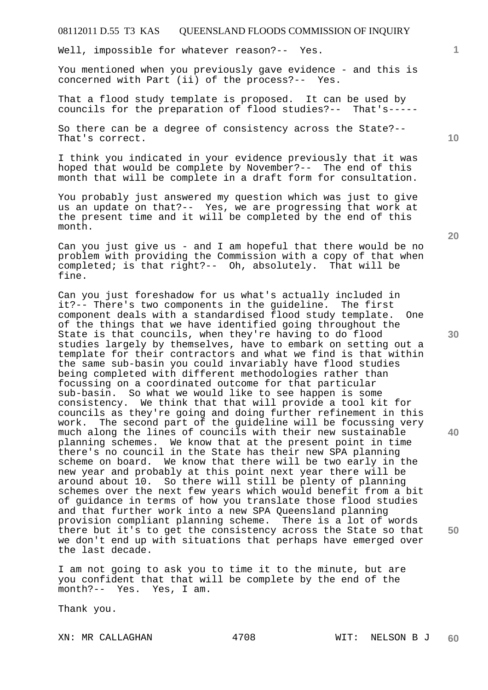Well, impossible for whatever reason?-- Yes.

You mentioned when you previously gave evidence - and this is concerned with Part (ii) of the process?-- Yes.

That a flood study template is proposed. It can be used by councils for the preparation of flood studies?-- That's-----

So there can be a degree of consistency across the State?-- That's correct.

I think you indicated in your evidence previously that it was hoped that would be complete by November?-- The end of this month that will be complete in a draft form for consultation.

You probably just answered my question which was just to give us an update on that?-- Yes, we are progressing that work at the present time and it will be completed by the end of this month.

Can you just give us - and I am hopeful that there would be no problem with providing the Commission with a copy of that when completed; is that right?-- Oh, absolutely. That will be fine.

Can you just foreshadow for us what's actually included in it?-- There's two components in the guideline. The first component deals with a standardised flood study template. One of the things that we have identified going throughout the State is that councils, when they're having to do flood studies largely by themselves, have to embark on setting out a template for their contractors and what we find is that within the same sub-basin you could invariably have flood studies being completed with different methodologies rather than focussing on a coordinated outcome for that particular sub-basin. So what we would like to see happen is some consistency. We think that that will provide a tool kit for councils as they're going and doing further refinement in this work. The second part of the guideline will be focussing very much along the lines of councils with their new sustainable planning schemes. We know that at the present point in time there's no council in the State has their new SPA planning scheme on board. We know that there will be two early in the new year and probably at this point next year there will be around about 10. So there will still be plenty of planning schemes over the next few years which would benefit from a bit of guidance in terms of how you translate those flood studies and that further work into a new SPA Queensland planning provision compliant planning scheme. There is a lot of words there but it's to get the consistency across the State so that we don't end up with situations that perhaps have emerged over the last decade.

I am not going to ask you to time it to the minute, but are you confident that that will be complete by the end of the month?-- Yes. Yes, I am.

Thank you.

**20** 

**10** 

**1**

**30** 

**40**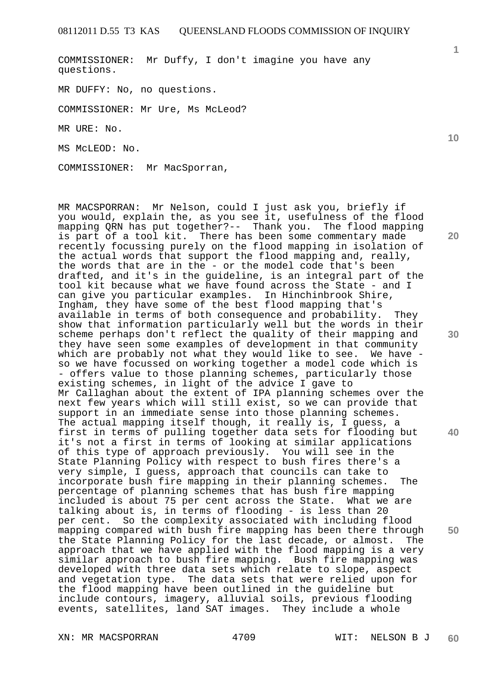COMMISSIONER: Mr Duffy, I don't imagine you have any questions.

MR DUFFY: No, no questions.

COMMISSIONER: Mr Ure, Ms McLeod?

MR URE: No.

MS McLEOD: No.

COMMISSIONER: Mr MacSporran,

MR MACSPORRAN: Mr Nelson, could I just ask you, briefly if you would, explain the, as you see it, usefulness of the flood mapping QRN has put together?-- Thank you. The flood mapping is part of a tool kit. There has been some commentary made recently focussing purely on the flood mapping in isolation of the actual words that support the flood mapping and, really, the words that are in the - or the model code that's been drafted, and it's in the guideline, is an integral part of the tool kit because what we have found across the State - and I can give you particular examples. In Hinchinbrook Shire, Ingham, they have some of the best flood mapping that's available in terms of both consequence and probability. They show that information particularly well but the words in their scheme perhaps don't reflect the quality of their mapping and they have seen some examples of development in that community which are probably not what they would like to see. We have so we have focussed on working together a model code which is - offers value to those planning schemes, particularly those existing schemes, in light of the advice I gave to Mr Callaghan about the extent of IPA planning schemes over the next few years which will still exist, so we can provide that support in an immediate sense into those planning schemes. The actual mapping itself though, it really is, I guess, a first in terms of pulling together data sets for flooding but it's not a first in terms of looking at similar applications of this type of approach previously. You will see in the State Planning Policy with respect to bush fires there's a very simple, I guess, approach that councils can take to incorporate bush fire mapping in their planning schemes. The percentage of planning schemes that has bush fire mapping included is about 75 per cent across the State. What we are talking about is, in terms of flooding - is less than 20 per cent. So the complexity associated with including flood mapping compared with bush fire mapping has been there through the State Planning Policy for the last decade, or almost. The approach that we have applied with the flood mapping is a very similar approach to bush fire mapping. Bush fire mapping was developed with three data sets which relate to slope, aspect and vegetation type. The data sets that were relied upon for the flood mapping have been outlined in the guideline but include contours, imagery, alluvial soils, previous flooding events, satellites, land SAT images. They include a whole

**10** 

**1**

**20** 

**30** 

**40** 

**50** 

XN: MR MACSPORRAN 4709 WIT: NELSON B J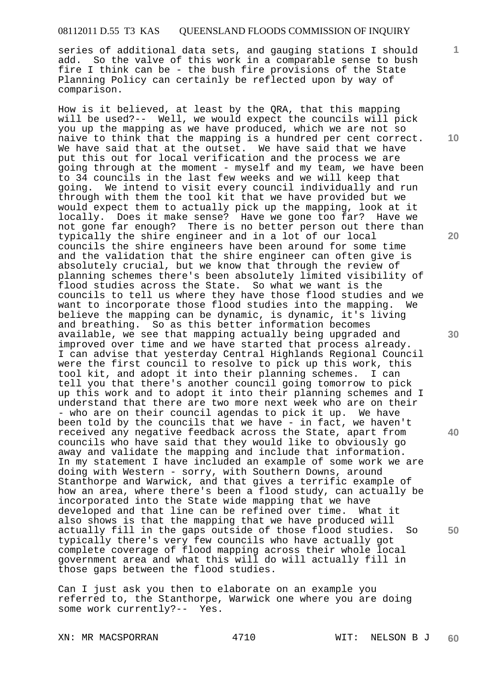series of additional data sets, and gauging stations I should add. So the valve of this work in a comparable sense to bush fire I think can be - the bush fire provisions of the State Planning Policy can certainly be reflected upon by way of comparison.

How is it believed, at least by the QRA, that this mapping will be used?-- Well, we would expect the councils will pick you up the mapping as we have produced, which we are not so naive to think that the mapping is a hundred per cent correct. We have said that at the outset. We have said that we have put this out for local verification and the process we are going through at the moment - myself and my team, we have been to 34 councils in the last few weeks and we will keep that going. We intend to visit every council individually and run through with them the tool kit that we have provided but we would expect them to actually pick up the mapping, look at it locally. Does it make sense? Have we gone too far? Have we not gone far enough? There is no better person out there than typically the shire engineer and in a lot of our local councils the shire engineers have been around for some time and the validation that the shire engineer can often give is absolutely crucial, but we know that through the review of planning schemes there's been absolutely limited visibility of flood studies across the State. So what we want is the councils to tell us where they have those flood studies and we want to incorporate those flood studies into the mapping. We believe the mapping can be dynamic, is dynamic, it's living and breathing. So as this better information becomes available, we see that mapping actually being upgraded and improved over time and we have started that process already. I can advise that yesterday Central Highlands Regional Council were the first council to resolve to pick up this work, this tool kit, and adopt it into their planning schemes. I can tell you that there's another council going tomorrow to pick up this work and to adopt it into their planning schemes and I understand that there are two more next week who are on their - who are on their council agendas to pick it up. We have been told by the councils that we have - in fact, we haven't received any negative feedback across the State, apart from councils who have said that they would like to obviously go away and validate the mapping and include that information. In my statement I have included an example of some work we are doing with Western - sorry, with Southern Downs, around Stanthorpe and Warwick, and that gives a terrific example of how an area, where there's been a flood study, can actually be incorporated into the State wide mapping that we have developed and that line can be refined over time. What it also shows is that the mapping that we have produced will actually fill in the gaps outside of those flood studies. So typically there's very few councils who have actually got complete coverage of flood mapping across their whole local government area and what this will do will actually fill in those gaps between the flood studies.

Can I just ask you then to elaborate on an example you referred to, the Stanthorpe, Warwick one where you are doing some work currently?-- Yes.

XN: MR MACSPORRAN 4710 WIT: NELSON B J

**60** 

**10** 

**1**

**20** 

**30** 

**40**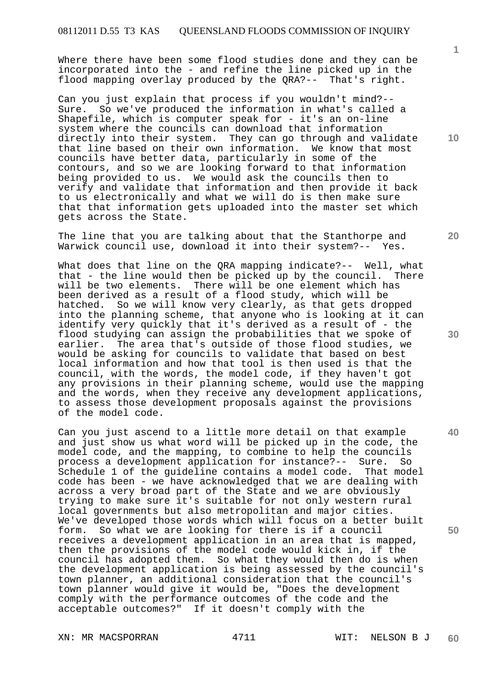Where there have been some flood studies done and they can be incorporated into the - and refine the line picked up in the flood mapping overlay produced by the QRA?-- That's right.

Can you just explain that process if you wouldn't mind?-- Sure. So we've produced the information in what's called a Shapefile, which is computer speak for - it's an on-line system where the councils can download that information directly into their system. They can go through and validate that line based on their own information. We know that most councils have better data, particularly in some of the contours, and so we are looking forward to that information being provided to us. We would ask the councils then to verify and validate that information and then provide it back to us electronically and what we will do is then make sure that that information gets uploaded into the master set which gets across the State.

The line that you are talking about that the Stanthorpe and<br>Warwick council use, download it into their system?-- Yes. Warwick council use, download it into their system?--

What does that line on the QRA mapping indicate?-- Well, what that - the line would then be picked up by the council. There will be two elements. There will be one element which has been derived as a result of a flood study, which will be hatched. So we will know very clearly, as that gets dropped into the planning scheme, that anyone who is looking at it can identify very quickly that it's derived as a result of - the flood studying can assign the probabilities that we spoke of earlier. The area that's outside of those flood studies, we would be asking for councils to validate that based on best local information and how that tool is then used is that the council, with the words, the model code, if they haven't got any provisions in their planning scheme, would use the mapping and the words, when they receive any development applications, to assess those development proposals against the provisions of the model code.

Can you just ascend to a little more detail on that example and just show us what word will be picked up in the code, the model code, and the mapping, to combine to help the councils process a development application for instance?-- Sure. So Schedule 1 of the guideline contains a model code. That model code has been - we have acknowledged that we are dealing with across a very broad part of the State and we are obviously trying to make sure it's suitable for not only western rural local governments but also metropolitan and major cities. We've developed those words which will focus on a better built form. So what we are looking for there is if a council receives a development application in an area that is mapped, then the provisions of the model code would kick in, if the council has adopted them. So what they would then do is when the development application is being assessed by the council's town planner, an additional consideration that the council's town planner would give it would be, "Does the development comply with the performance outcomes of the code and the acceptable outcomes?" If it doesn't comply with the

XN: MR MACSPORRAN 4711 WIT: NELSON B J

**1**

**10** 

**20** 

**30** 

**40**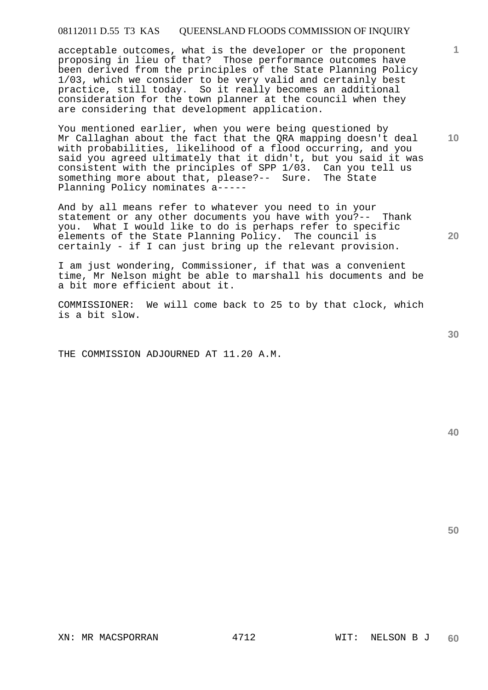acceptable outcomes, what is the developer or the proponent proposing in lieu of that? Those performance outcomes have been derived from the principles of the State Planning Policy 1/03, which we consider to be very valid and certainly best practice, still today. So it really becomes an additional consideration for the town planner at the council when they are considering that development application.

You mentioned earlier, when you were being questioned by Mr Callaghan about the fact that the QRA mapping doesn't deal with probabilities, likelihood of a flood occurring, and you said you agreed ultimately that it didn't, but you said it was consistent with the principles of SPP 1/03. Can you tell us something more about that, please?-- Sure. The State Planning Policy nominates a-----

And by all means refer to whatever you need to in your statement or any other documents you have with you?-- Thank you. What I would like to do is perhaps refer to specific elements of the State Planning Policy. The council is certainly - if I can just bring up the relevant provision.

I am just wondering, Commissioner, if that was a convenient time, Mr Nelson might be able to marshall his documents and be a bit more efficient about it.

COMMISSIONER: We will come back to 25 to by that clock, which is a bit slow.

THE COMMISSION ADJOURNED AT 11.20 A.M.

**40** 

**50** 

**20** 

**1**

**10**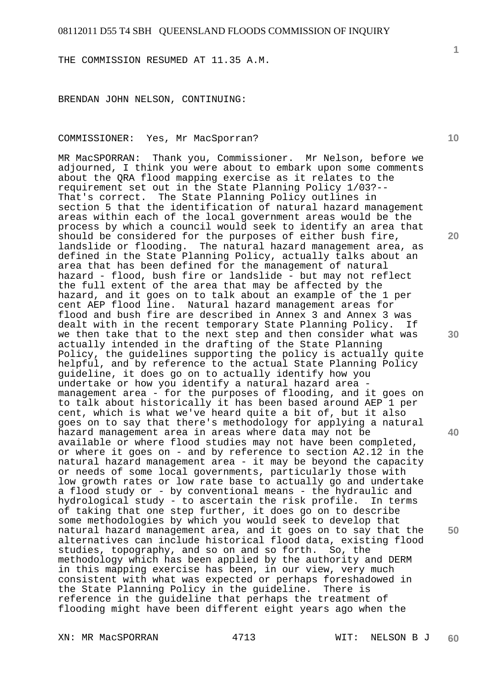THE COMMISSION RESUMED AT 11.35 A.M.

BRENDAN JOHN NELSON, CONTINUING:

### COMMISSIONER: Yes, Mr MacSporran?

MR MacSPORRAN: Thank you, Commissioner. Mr Nelson, before we adjourned, I think you were about to embark upon some comments about the QRA flood mapping exercise as it relates to the requirement set out in the State Planning Policy 1/03?-- That's correct. The State Planning Policy outlines in section 5 that the identification of natural hazard management areas within each of the local government areas would be the process by which a council would seek to identify an area that should be considered for the purposes of either bush fire, landslide or flooding. The natural hazard management area, as defined in the State Planning Policy, actually talks about an area that has been defined for the management of natural hazard - flood, bush fire or landslide - but may not reflect the full extent of the area that may be affected by the hazard, and it goes on to talk about an example of the 1 per cent AEP flood line. Natural hazard management areas for flood and bush fire are described in Annex 3 and Annex 3 was dealt with in the recent temporary State Planning Policy. If we then take that to the next step and then consider what was actually intended in the drafting of the State Planning Policy, the guidelines supporting the policy is actually quite helpful, and by reference to the actual State Planning Policy guideline, it does go on to actually identify how you undertake or how you identify a natural hazard area management area - for the purposes of flooding, and it goes on to talk about historically it has been based around AEP 1 per cent, which is what we've heard quite a bit of, but it also goes on to say that there's methodology for applying a natural hazard management area in areas where data may not be available or where flood studies may not have been completed, or where it goes on - and by reference to section A2.12 in the natural hazard management area - it may be beyond the capacity or needs of some local governments, particularly those with low growth rates or low rate base to actually go and undertake a flood study or - by conventional means - the hydraulic and hydrological study - to ascertain the risk profile. In terms of taking that one step further, it does go on to describe some methodologies by which you would seek to develop that natural hazard management area, and it goes on to say that the alternatives can include historical flood data, existing flood studies, topography, and so on and so forth. So, the methodology which has been applied by the authority and DERM in this mapping exercise has been, in our view, very much consistent with what was expected or perhaps foreshadowed in the State Planning Policy in the guideline. There is reference in the guideline that perhaps the treatment of flooding might have been different eight years ago when the

**10** 

**1**

**20** 

**30** 

**40**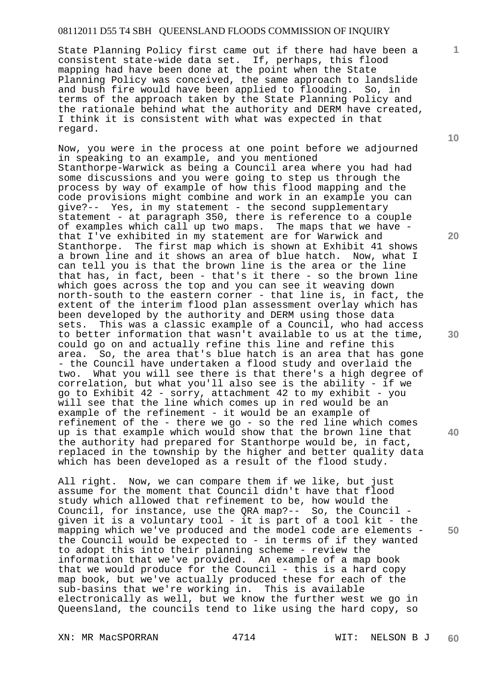State Planning Policy first came out if there had have been a consistent state-wide data set. If, perhaps, this flood mapping had have been done at the point when the State Planning Policy was conceived, the same approach to landslide and bush fire would have been applied to flooding. So, in terms of the approach taken by the State Planning Policy and the rationale behind what the authority and DERM have created, I think it is consistent with what was expected in that regard.

Now, you were in the process at one point before we adjourned in speaking to an example, and you mentioned Stanthorpe-Warwick as being a Council area where you had had some discussions and you were going to step us through the process by way of example of how this flood mapping and the code provisions might combine and work in an example you can give?-- Yes, in my statement - the second supplementary statement - at paragraph 350, there is reference to a couple of examples which call up two maps. The maps that we have that I've exhibited in my statement are for Warwick and Stanthorpe. The first map which is shown at Exhibit 41 shows a brown line and it shows an area of blue hatch. Now, what I can tell you is that the brown line is the area or the line that has, in fact, been - that's it there - so the brown line which goes across the top and you can see it weaving down north-south to the eastern corner - that line is, in fact, the extent of the interim flood plan assessment overlay which has been developed by the authority and DERM using those data sets. This was a classic example of a Council, who had access to better information that wasn't available to us at the time, could go on and actually refine this line and refine this area. So, the area that's blue hatch is an area that has gone - the Council have undertaken a flood study and overlaid the two. What you will see there is that there's a high degree of correlation, but what you'll also see is the ability - if we go to Exhibit 42 - sorry, attachment 42 to my exhibit - you will see that the line which comes up in red would be an example of the refinement - it would be an example of refinement of the - there we go - so the red line which comes up is that example which would show that the brown line that the authority had prepared for Stanthorpe would be, in fact, replaced in the township by the higher and better quality data which has been developed as a result of the flood study.

All right. Now, we can compare them if we like, but just assume for the moment that Council didn't have that flood study which allowed that refinement to be, how would the Council, for instance, use the QRA map?-- So, the Council given it is a voluntary tool - it is part of a tool kit - the mapping which we've produced and the model code are elements the Council would be expected to - in terms of if they wanted to adopt this into their planning scheme - review the information that we've provided. An example of a map book that we would produce for the Council - this is a hard copy map book, but we've actually produced these for each of the sub-basins that we're working in. This is available electronically as well, but we know the further west we go in Queensland, the councils tend to like using the hard copy, so

XN: MR MacSPORRAN 4714 WIT: NELSON B J

**10** 

**1**

**20** 

**40**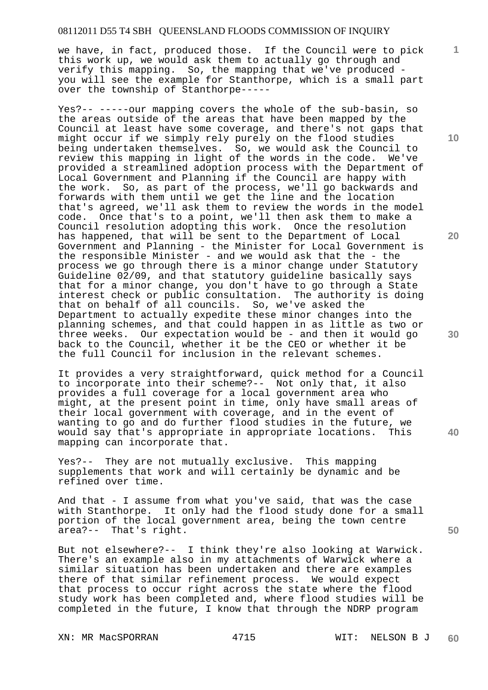we have, in fact, produced those. If the Council were to pick this work up, we would ask them to actually go through and verify this mapping. So, the mapping that we've produced you will see the example for Stanthorpe, which is a small part over the township of Stanthorpe-----

Yes?-- -----our mapping covers the whole of the sub-basin, so the areas outside of the areas that have been mapped by the Council at least have some coverage, and there's not gaps that might occur if we simply rely purely on the flood studies being undertaken themselves. So, we would ask the Council to review this mapping in light of the words in the code. We've provided a streamlined adoption process with the Department of Local Government and Planning if the Council are happy with the work. So, as part of the process, we'll go backwards and forwards with them until we get the line and the location that's agreed, we'll ask them to review the words in the model code. Once that's to a point, we'll then ask them to make a Council resolution adopting this work. Once the resolution has happened, that will be sent to the Department of Local Government and Planning - the Minister for Local Government is the responsible Minister - and we would ask that the - the process we go through there is a minor change under Statutory Guideline 02/09, and that statutory guideline basically says that for a minor change, you don't have to go through a State interest check or public consultation. The authority is doing that on behalf of all councils. So, we've asked the Department to actually expedite these minor changes into the planning schemes, and that could happen in as little as two or three weeks. Our expectation would be - and then it would go back to the Council, whether it be the CEO or whether it be the full Council for inclusion in the relevant schemes.

It provides a very straightforward, quick method for a Council to incorporate into their scheme?-- Not only that, it also provides a full coverage for a local government area who might, at the present point in time, only have small areas of their local government with coverage, and in the event of wanting to go and do further flood studies in the future, we would say that's appropriate in appropriate locations. This mapping can incorporate that.

Yes?-- They are not mutually exclusive. This mapping supplements that work and will certainly be dynamic and be refined over time.

And that - I assume from what you've said, that was the case with Stanthorpe. It only had the flood study done for a small portion of the local government area, being the town centre area?-- That's right.

But not elsewhere?-- I think they're also looking at Warwick. There's an example also in my attachments of Warwick where a similar situation has been undertaken and there are examples there of that similar refinement process. We would expect that process to occur right across the state where the flood study work has been completed and, where flood studies will be completed in the future, I know that through the NDRP program

XN: MR MacSPORRAN 4715 WIT: NELSON B J

**10** 

**1**

**20** 

**30** 

**50**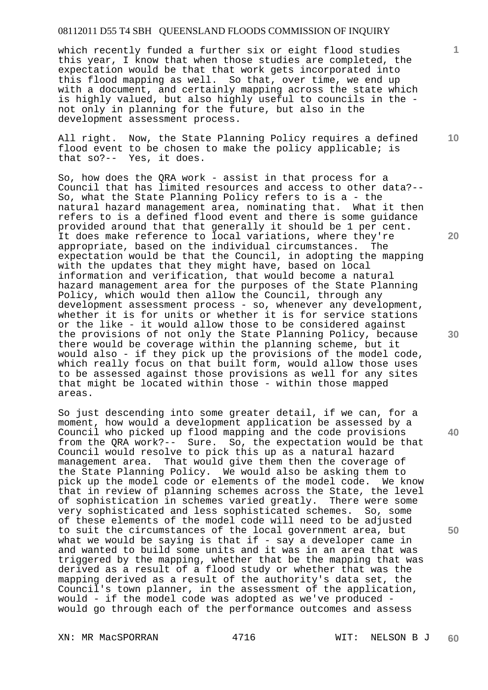which recently funded a further six or eight flood studies this year, I know that when those studies are completed, the expectation would be that that work gets incorporated into this flood mapping as well. So that, over time, we end up with a document, and certainly mapping across the state which is highly valued, but also highly useful to councils in the not only in planning for the future, but also in the development assessment process.

All right. Now, the State Planning Policy requires a defined flood event to be chosen to make the policy applicable; is that so?-- Yes, it does.

So, how does the QRA work - assist in that process for a Council that has limited resources and access to other data?-- So, what the State Planning Policy refers to is a - the natural hazard management area, nominating that. What it then refers to is a defined flood event and there is some guidance provided around that that generally it should be 1 per cent. It does make reference to local variations, where they're appropriate, based on the individual circumstances. The expectation would be that the Council, in adopting the mapping with the updates that they might have, based on local information and verification, that would become a natural hazard management area for the purposes of the State Planning Policy, which would then allow the Council, through any development assessment process - so, whenever any development, whether it is for units or whether it is for service stations or the like - it would allow those to be considered against the provisions of not only the State Planning Policy, because there would be coverage within the planning scheme, but it would also - if they pick up the provisions of the model code, which really focus on that built form, would allow those uses to be assessed against those provisions as well for any sites that might be located within those - within those mapped areas.

So just descending into some greater detail, if we can, for a moment, how would a development application be assessed by a Council who picked up flood mapping and the code provisions from the QRA work?-- Sure. So, the expectation would be that Council would resolve to pick this up as a natural hazard management area. That would give them then the coverage of the State Planning Policy. We would also be asking them to pick up the model code or elements of the model code. We know that in review of planning schemes across the State, the level of sophistication in schemes varied greatly. There were some very sophisticated and less sophisticated schemes. So, some of these elements of the model code will need to be adjusted to suit the circumstances of the local government area, but what we would be saying is that if  $-$  say a developer came in and wanted to build some units and it was in an area that was triggered by the mapping, whether that be the mapping that was derived as a result of a flood study or whether that was the mapping derived as a result of the authority's data set, the Council's town planner, in the assessment of the application, would - if the model code was adopted as we've produced would go through each of the performance outcomes and assess

XN: MR MacSPORRAN 4716 WIT: NELSON B J

**10** 

**20** 

**30** 

**40**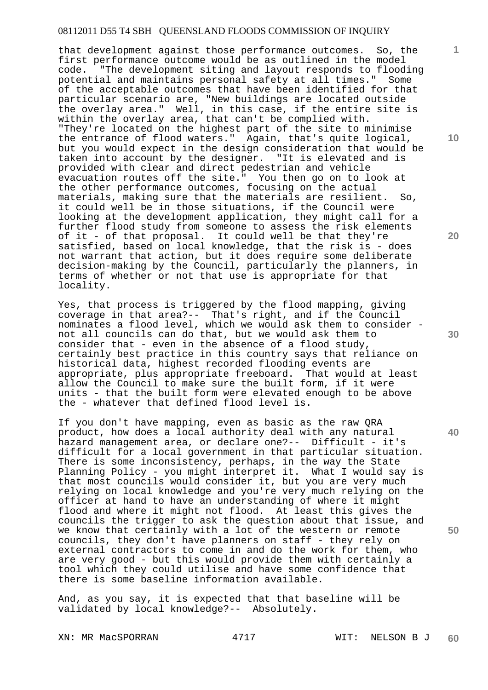that development against those performance outcomes. So, the first performance outcome would be as outlined in the model code. "The development siting and layout responds to flooding potential and maintains personal safety at all times." Some of the acceptable outcomes that have been identified for that particular scenario are, "New buildings are located outside the overlay area." Well, in this case, if the entire site is within the overlay area, that can't be complied with. "They're located on the highest part of the site to minimise the entrance of flood waters." Again, that's quite logical, but you would expect in the design consideration that would be taken into account by the designer. "It is elevated and is provided with clear and direct pedestrian and vehicle evacuation routes off the site." You then go on to look at the other performance outcomes, focusing on the actual materials, making sure that the materials are resilient. So, it could well be in those situations, if the Council were looking at the development application, they might call for a further flood study from someone to assess the risk elements of it - of that proposal. It could well be that they're satisfied, based on local knowledge, that the risk is - does not warrant that action, but it does require some deliberate decision-making by the Council, particularly the planners, in terms of whether or not that use is appropriate for that locality.

Yes, that process is triggered by the flood mapping, giving coverage in that area?-- That's right, and if the Council nominates a flood level, which we would ask them to consider not all councils can do that, but we would ask them to consider that - even in the absence of a flood study, certainly best practice in this country says that reliance on historical data, highest recorded flooding events are appropriate, plus appropriate freeboard. That would at least allow the Council to make sure the built form, if it were units - that the built form were elevated enough to be above the - whatever that defined flood level is.

If you don't have mapping, even as basic as the raw QRA product, how does a local authority deal with any natural hazard management area, or declare one?-- Difficult - it's difficult for a local government in that particular situation. There is some inconsistency, perhaps, in the way the State Planning Policy - you might interpret it. What I would say is that most councils would consider it, but you are very much relying on local knowledge and you're very much relying on the officer at hand to have an understanding of where it might flood and where it might not flood. At least this gives the councils the trigger to ask the question about that issue, and we know that certainly with a lot of the western or remote councils, they don't have planners on staff - they rely on external contractors to come in and do the work for them, who are very good - but this would provide them with certainly a tool which they could utilise and have some confidence that there is some baseline information available.

And, as you say, it is expected that that baseline will be validated by local knowledge?-- Absolutely.

XN: MR MacSPORRAN 4717 WIT: NELSON B J

**10** 

**1**

**20** 

**30** 

**40**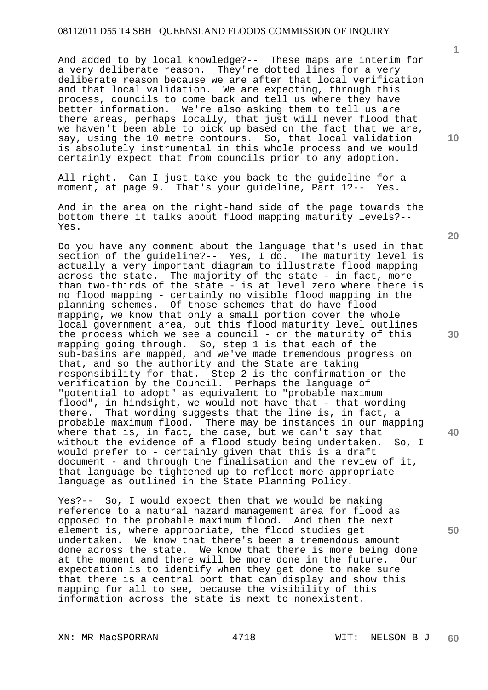And added to by local knowledge?-- These maps are interim for a very deliberate reason. They're dotted lines for a very deliberate reason because we are after that local verification and that local validation. We are expecting, through this process, councils to come back and tell us where they have better information. We're also asking them to tell us are there areas, perhaps locally, that just will never flood that we haven't been able to pick up based on the fact that we are, say, using the 10 metre contours. So, that local validation is absolutely instrumental in this whole process and we would certainly expect that from councils prior to any adoption.

All right. Can I just take you back to the guideline for a moment, at page 9. That's your guideline, Part 1?-- Yes.

Do you have any comment about the language that's used in that section of the guideline?-- Yes, I do. The maturity level is actually a very important diagram to illustrate flood mapping across the state. The majority of the state - in fact, more than two-thirds of the state - is at level zero where there is no flood mapping - certainly no visible flood mapping in the planning schemes. Of those schemes that do have flood mapping, we know that only a small portion cover the whole local government area, but this flood maturity level outlines the process which we see a council - or the maturity of this mapping going through. So, step 1 is that each of the mappens sub-basins are mapped, and we've made tremendous progress on that, and so the authority and the State are taking responsibility for that. Step 2 is the confirmation or the verification by the Council. Perhaps the language of "potential to adopt" as equivalent to "probable maximum flood", in hindsight, we would not have that - that wording there. That wording suggests that the line is, in fact, a probable maximum flood. There may be instances in our mapping where that is, in fact, the case, but we can't say that without the evidence of a flood study being undertaken. So, I would prefer to - certainly given that this is a draft document - and through the finalisation and the review of it, that language be tightened up to reflect more appropriate language as outlined in the State Planning Policy.

Yes?-- So, I would expect then that we would be making reference to a natural hazard management area for flood as opposed to the probable maximum flood. And then the next element is, where appropriate, the flood studies get undertaken. We know that there's been a tremendous amount done across the state. We know that there is more being done at the moment and there will be more done in the future. Our expectation is to identify when they get done to make sure that there is a central port that can display and show this mapping for all to see, because the visibility of this information across the state is next to nonexistent.

XN: MR MacSPORRAN 4718 WIT: NELSON B J

**10** 

**1**

**30** 

**20** 

**40** 

And in the area on the right-hand side of the page towards the bottom there it talks about flood mapping maturity levels?-- Yes.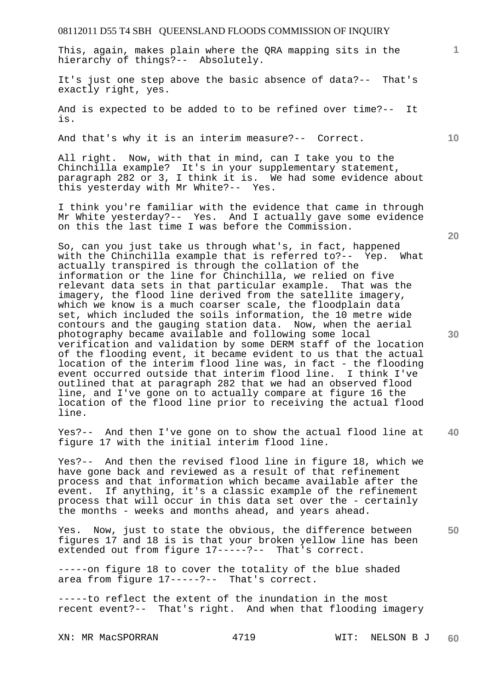This, again, makes plain where the QRA mapping sits in the hierarchy of things?-- Absolutely.

It's just one step above the basic absence of data?-- That's exactly right, yes.

And is expected to be added to to be refined over time?-- It is.

And that's why it is an interim measure?-- Correct.

All right. Now, with that in mind, can I take you to the Chinchilla example? It's in your supplementary statement, paragraph 282 or 3, I think it is. We had some evidence about this yesterday with Mr White?-- Yes.

I think you're familiar with the evidence that came in through Mr White yesterday?-- Yes. And I actually gave some evidence on this the last time I was before the Commission.

So, can you just take us through what's, in fact, happened with the Chinchilla example that is referred to?-- Yep. What actually transpired is through the collation of the information or the line for Chinchilla, we relied on five relevant data sets in that particular example. That was the imagery, the flood line derived from the satellite imagery, which we know is a much coarser scale, the floodplain data set, which included the soils information, the 10 metre wide contours and the gauging station data. Now, when the aerial photography became available and following some local verification and validation by some DERM staff of the location of the flooding event, it became evident to us that the actual location of the interim flood line was, in fact - the flooding event occurred outside that interim flood line. I think I've outlined that at paragraph 282 that we had an observed flood line, and I've gone on to actually compare at figure 16 the location of the flood line prior to receiving the actual flood line.

**40**  Yes?-- And then I've gone on to show the actual flood line at figure 17 with the initial interim flood line.

Yes?-- And then the revised flood line in figure 18, which we have gone back and reviewed as a result of that refinement process and that information which became available after the event. If anything, it's a classic example of the refinement process that will occur in this data set over the - certainly the months - weeks and months ahead, and years ahead.

Yes. Now, just to state the obvious, the difference between figures 17 and 18 is is that your broken yellow line has been extended out from figure 17-----?-- That's correct.

-----on figure 18 to cover the totality of the blue shaded area from figure 17-----?-- That's correct.

-----to reflect the extent of the inundation in the most recent event?-- That's right. And when that flooding imagery

XN: MR MacSPORRAN 4719 WIT: NELSON B J **60** 

**30** 

**50** 

**20** 

**10**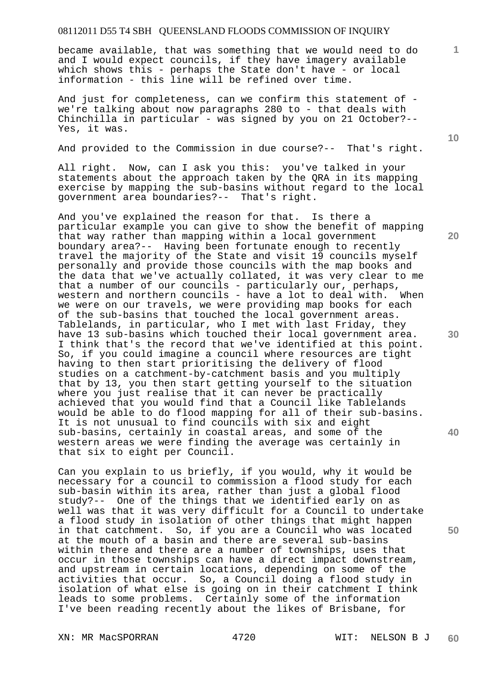became available, that was something that we would need to do and I would expect councils, if they have imagery available which shows this - perhaps the State don't have - or local information - this line will be refined over time.

And just for completeness, can we confirm this statement of we're talking about now paragraphs 280 to - that deals with Chinchilla in particular - was signed by you on 21 October?-- Yes, it was.

And provided to the Commission in due course?-- That's right.

All right. Now, can I ask you this: you've talked in your statements about the approach taken by the QRA in its mapping exercise by mapping the sub-basins without regard to the local government area boundaries?-- That's right.

And you've explained the reason for that. Is there a particular example you can give to show the benefit of mapping that way rather than mapping within a local government boundary area?-- Having been fortunate enough to recently travel the majority of the State and visit 19 councils myself personally and provide those councils with the map books and the data that we've actually collated, it was very clear to me that a number of our councils - particularly our, perhaps, western and northern councils - have a lot to deal with. When we were on our travels, we were providing map books for each of the sub-basins that touched the local government areas. Tablelands, in particular, who I met with last Friday, they have 13 sub-basins which touched their local government area. I think that's the record that we've identified at this point. So, if you could imagine a council where resources are tight having to then start prioritising the delivery of flood studies on a catchment-by-catchment basis and you multiply that by 13, you then start getting yourself to the situation where you just realise that it can never be practically achieved that you would find that a Council like Tablelands would be able to do flood mapping for all of their sub-basins. It is not unusual to find councils with six and eight sub-basins, certainly in coastal areas, and some of the western areas we were finding the average was certainly in that six to eight per Council.

Can you explain to us briefly, if you would, why it would be necessary for a council to commission a flood study for each sub-basin within its area, rather than just a global flood study?-- One of the things that we identified early on as well was that it was very difficult for a Council to undertake a flood study in isolation of other things that might happen in that catchment. So, if you are a Council who was located at the mouth of a basin and there are several sub-basins within there and there are a number of townships, uses that occur in those townships can have a direct impact downstream, and upstream in certain locations, depending on some of the activities that occur. So, a Council doing a flood study in isolation of what else is going on in their catchment I think leads to some problems. Certainly some of the information I've been reading recently about the likes of Brisbane, for

XN: MR MacSPORRAN 4720 WIT: NELSON B J

**10** 

**20** 

**1**

**30**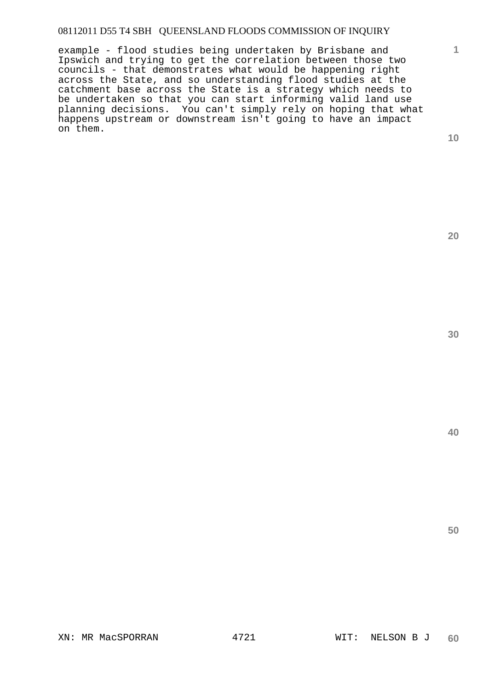example - flood studies being undertaken by Brisbane and Ipswich and trying to get the correlation between those two councils - that demonstrates what would be happening right across the State, and so understanding flood studies at the catchment base across the State is a strategy which needs to be undertaken so that you can start informing valid land use planning decisions. You can't simply rely on hoping that what happens upstream or downstream isn't going to have an impact on them.

**10** 

**1**

**20**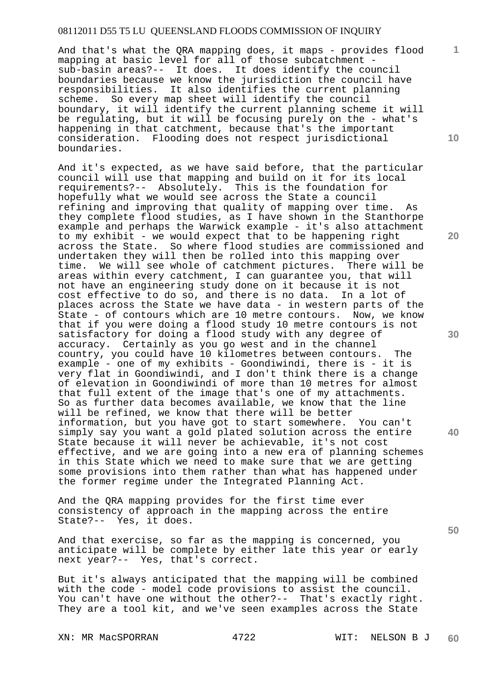And that's what the QRA mapping does, it maps - provides flood mapping at basic level for all of those subcatchment sub-basin areas?-- It does. It does identify the council boundaries because we know the jurisdiction the council have responsibilities. It also identifies the current planning scheme. So every map sheet will identify the council boundary, it will identify the current planning scheme it will be regulating, but it will be focusing purely on the - what's happening in that catchment, because that's the important consideration. Flooding does not respect jurisdictional boundaries.

And it's expected, as we have said before, that the particular council will use that mapping and build on it for its local requirements?-- Absolutely. This is the foundation for hopefully what we would see across the State a council refining and improving that quality of mapping over time. As they complete flood studies, as I have shown in the Stanthorpe example and perhaps the Warwick example - it's also attachment to my exhibit - we would expect that to be happening right across the State. So where flood studies are commissioned and undertaken they will then be rolled into this mapping over time. We will see whole of catchment pictures. There will be areas within every catchment, I can guarantee you, that will not have an engineering study done on it because it is not cost effective to do so, and there is no data. In a lot of places across the State we have data - in western parts of the State - of contours which are 10 metre contours. Now, we know that if you were doing a flood study 10 metre contours is not satisfactory for doing a flood study with any degree of accuracy. Certainly as you go west and in the channel country, you could have 10 kilometres between contours. The example - one of my exhibits - Goondiwindi, there is - it is very flat in Goondiwindi, and I don't think there is a change of elevation in Goondiwindi of more than 10 metres for almost that full extent of the image that's one of my attachments. So as further data becomes available, we know that the line will be refined, we know that there will be better information, but you have got to start somewhere. You can't simply say you want a gold plated solution across the entire State because it will never be achievable, it's not cost effective, and we are going into a new era of planning schemes in this State which we need to make sure that we are getting some provisions into them rather than what has happened under the former regime under the Integrated Planning Act.

And the QRA mapping provides for the first time ever consistency of approach in the mapping across the entire State?-- Yes, it does.

And that exercise, so far as the mapping is concerned, you anticipate will be complete by either late this year or early next year?-- Yes, that's correct.

But it's always anticipated that the mapping will be combined with the code - model code provisions to assist the council. You can't have one without the other?-- That's exactly right. They are a tool kit, and we've seen examples across the State

XN: MR MacSPORRAN 4722 WIT: NELSON B J

**10** 

**1**

**20** 

**30** 

**50**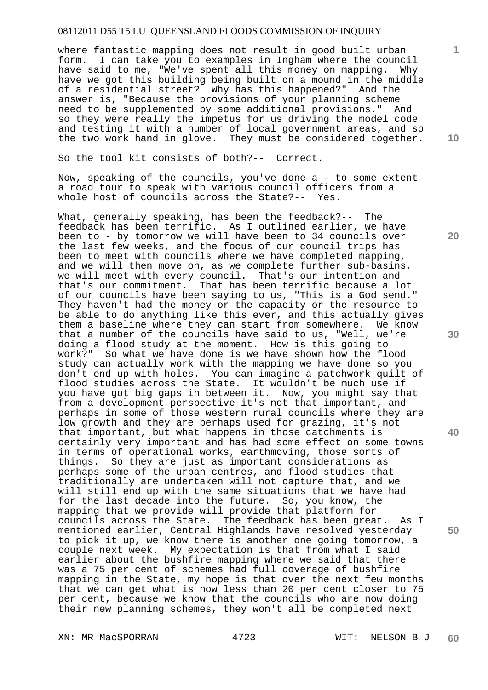where fantastic mapping does not result in good built urban form. I can take you to examples in Ingham where the council have said to me, "We've spent all this money on mapping. Why have we got this building being built on a mound in the middle of a residential street? Why has this happened?" And the answer is, "Because the provisions of your planning scheme need to be supplemented by some additional provisions." And so they were really the impetus for us driving the model code and testing it with a number of local government areas, and so the two work hand in glove. They must be considered together.

So the tool kit consists of both?-- Correct.

Now, speaking of the councils, you've done a - to some extent a road tour to speak with various council officers from a whole host of councils across the State?-- Yes.

What, generally speaking, has been the feedback?-- The feedback has been terrific. As I outlined earlier, we have been to - by tomorrow we will have been to 34 councils over the last few weeks, and the focus of our council trips has been to meet with councils where we have completed mapping, and we will then move on, as we complete further sub-basins, we will meet with every council. That's our intention and that's our commitment. That has been terrific because a lot of our councils have been saying to us, "This is a God send." They haven't had the money or the capacity or the resource to be able to do anything like this ever, and this actually gives them a baseline where they can start from somewhere. We know that a number of the councils have said to us, "Well, we're doing a flood study at the moment. How is this going to work?" So what we have done is we have shown how the flood study can actually work with the mapping we have done so you don't end up with holes. You can imagine a patchwork quilt of flood studies across the State. It wouldn't be much use if you have got big gaps in between it. Now, you might say that from a development perspective it's not that important, and perhaps in some of those western rural councils where they are low growth and they are perhaps used for grazing, it's not that important, but what happens in those catchments is certainly very important and has had some effect on some towns in terms of operational works, earthmoving, those sorts of things. So they are just as important considerations as perhaps some of the urban centres, and flood studies that traditionally are undertaken will not capture that, and we will still end up with the same situations that we have had for the last decade into the future. So, you know, the mapping that we provide will provide that platform for councils across the State. The feedback has been great. As I mentioned earlier, Central Highlands have resolved yesterday to pick it up, we know there is another one going tomorrow, a couple next week. My expectation is that from what I said earlier about the bushfire mapping where we said that there was a 75 per cent of schemes had full coverage of bushfire mapping in the State, my hope is that over the next few months that we can get what is now less than 20 per cent closer to 75 per cent, because we know that the councils who are now doing their new planning schemes, they won't all be completed next

XN: MR MacSPORRAN 4723 WIT: NELSON B J

**10** 

**1**

**20** 

**30** 

**40**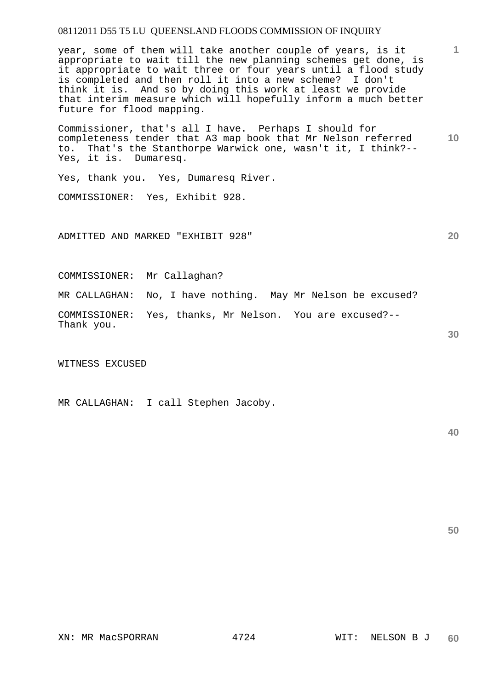year, some of them will take another couple of years, is it appropriate to wait till the new planning schemes get done, is it appropriate to wait three or four years until a flood study is completed and then roll it into a new scheme? I don't think it is. And so by doing this work at least we provide that interim measure which will hopefully inform a much better future for flood mapping.

**10**  Commissioner, that's all I have. Perhaps I should for completeness tender that A3 map book that Mr Nelson referred to. That's the Stanthorpe Warwick one, wasn't it, I think?-- Yes, it is. Dumaresq.

Yes, thank you. Yes, Dumaresq River.

COMMISSIONER: Yes, Exhibit 928.

ADMITTED AND MARKED "EXHIBIT 928"

COMMISSIONER: Mr Callaghan?

MR CALLAGHAN: No, I have nothing. May Mr Nelson be excused?

COMMISSIONER: Yes, thanks, Mr Nelson. You are excused?-- Thank you.

WITNESS EXCUSED

MR CALLAGHAN: I call Stephen Jacoby.

**40** 

**50** 

XN: MR MacSPORRAN 4724 WIT: NELSON B J

**20** 

**30**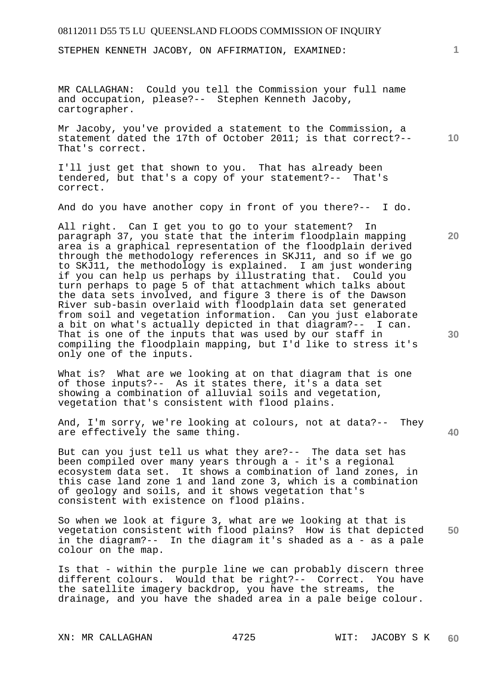STEPHEN KENNETH JACOBY, ON AFFIRMATION, EXAMINED:

MR CALLAGHAN: Could you tell the Commission your full name and occupation, please?-- Stephen Kenneth Jacoby, cartographer.

**10**  Mr Jacoby, you've provided a statement to the Commission, a statement dated the 17th of October 2011; is that correct?-- That's correct.

I'll just get that shown to you. That has already been tendered, but that's a copy of your statement?-- That's correct.

And do you have another copy in front of you there?-- I do.

All right. Can I get you to go to your statement? In paragraph 37, you state that the interim floodplain mapping area is a graphical representation of the floodplain derived through the methodology references in SKJ11, and so if we go to SKJ11, the methodology is explained. I am just wondering if you can help us perhaps by illustrating that. Could you turn perhaps to page 5 of that attachment which talks about the data sets involved, and figure 3 there is of the Dawson River sub-basin overlaid with floodplain data set generated from soil and vegetation information. Can you just elaborate a bit on what's actually depicted in that diagram?-- I can. That is one of the inputs that was used by our staff in compiling the floodplain mapping, but I'd like to stress it's only one of the inputs.

What is? What are we looking at on that diagram that is one of those inputs?-- As it states there, it's a data set showing a combination of alluvial soils and vegetation, vegetation that's consistent with flood plains.

And, I'm sorry, we're looking at colours, not at data?-- They are effectively the same thing.

But can you just tell us what they are?-- The data set has been compiled over many years through a - it's a regional ecosystem data set. It shows a combination of land zones, in this case land zone 1 and land zone 3, which is a combination of geology and soils, and it shows vegetation that's consistent with existence on flood plains.

**50**  So when we look at figure 3, what are we looking at that is vegetation consistent with flood plains? How is that depicted in the diagram?-- In the diagram it's shaded as a - as a pale colour on the map.

Is that - within the purple line we can probably discern three different colours. Would that be right?-- Correct. You have the satellite imagery backdrop, you have the streams, the drainage, and you have the shaded area in a pale beige colour.

**1**

**20** 

**30**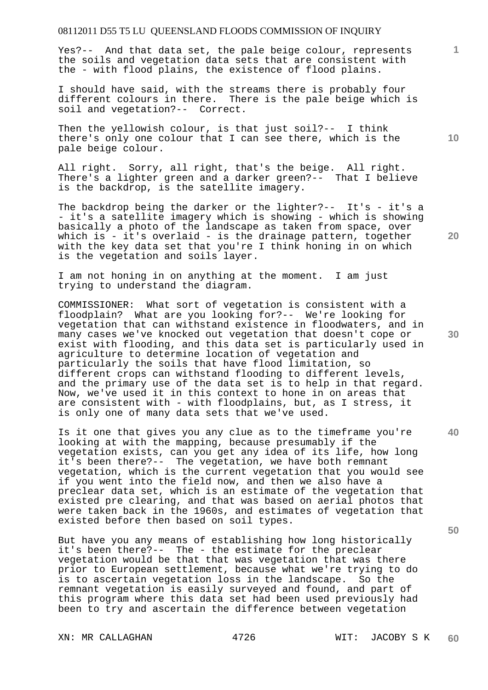Yes?-- And that data set, the pale beige colour, represents the soils and vegetation data sets that are consistent with the - with flood plains, the existence of flood plains.

I should have said, with the streams there is probably four different colours in there. There is the pale beige which is soil and vegetation?-- Correct.

Then the yellowish colour, is that just soil?-- I think there's only one colour that I can see there, which is the pale beige colour.

All right. Sorry, all right, that's the beige. All right. There's a lighter green and a darker green?-- That I believe is the backdrop, is the satellite imagery.

The backdrop being the darker or the lighter?-- It's - it's a - it's a satellite imagery which is showing - which is showing basically a photo of the landscape as taken from space, over which is - it's overlaid - is the drainage pattern, together with the key data set that you're I think honing in on which is the vegetation and soils layer.

I am not honing in on anything at the moment. I am just trying to understand the diagram.

COMMISSIONER: What sort of vegetation is consistent with a floodplain? What are you looking for?-- We're looking for vegetation that can withstand existence in floodwaters, and in many cases we've knocked out vegetation that doesn't cope or exist with flooding, and this data set is particularly used in agriculture to determine location of vegetation and particularly the soils that have flood limitation, so different crops can withstand flooding to different levels, and the primary use of the data set is to help in that regard. Now, we've used it in this context to hone in on areas that are consistent with - with floodplains, but, as I stress, it is only one of many data sets that we've used.

Is it one that gives you any clue as to the timeframe you're looking at with the mapping, because presumably if the vegetation exists, can you get any idea of its life, how long it's been there?-- The vegetation, we have both remnant vegetation, which is the current vegetation that you would see if you went into the field now, and then we also have a preclear data set, which is an estimate of the vegetation that existed pre clearing, and that was based on aerial photos that were taken back in the 1960s, and estimates of vegetation that existed before then based on soil types.

But have you any means of establishing how long historically it's been there?-- The - the estimate for the preclear vegetation would be that that was vegetation that was there prior to European settlement, because what we're trying to do is to ascertain vegetation loss in the landscape. So the remnant vegetation is easily surveyed and found, and part of this program where this data set had been used previously had been to try and ascertain the difference between vegetation

**10** 

**1**

**40**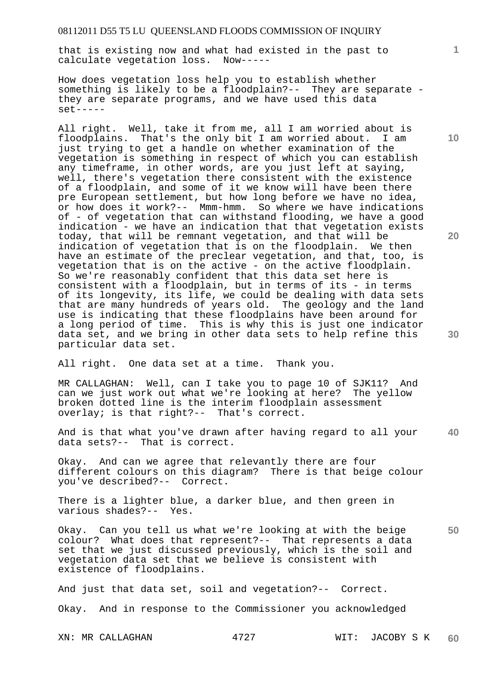that is existing now and what had existed in the past to calculate vegetation loss. Now-----

How does vegetation loss help you to establish whether something is likely to be a floodplain?-- They are separate they are separate programs, and we have used this data  $set---$ 

All right. Well, take it from me, all I am worried about is floodplains. That's the only bit I am worried about. I am just trying to get a handle on whether examination of the vegetation is something in respect of which you can establish any timeframe, in other words, are you just left at saying, well, there's vegetation there consistent with the existence of a floodplain, and some of it we know will have been there pre European settlement, but how long before we have no idea, or how does it work?-- Mmm-hmm. So where we have indications of - of vegetation that can withstand flooding, we have a good indication - we have an indication that that vegetation exists today, that will be remnant vegetation, and that will be indication of vegetation that is on the floodplain. We then have an estimate of the preclear vegetation, and that, too, is vegetation that is on the active - on the active floodplain. So we're reasonably confident that this data set here is consistent with a floodplain, but in terms of its - in terms of its longevity, its life, we could be dealing with data sets that are many hundreds of years old. The geology and the land use is indicating that these floodplains have been around for a long period of time. This is why this is just one indicator data set, and we bring in other data sets to help refine this particular data set.

All right. One data set at a time. Thank you.

MR CALLAGHAN: Well, can I take you to page 10 of SJK11? And can we just work out what we're looking at here? The yellow broken dotted line is the interim floodplain assessment overlay; is that right?-- That's correct.

**40**  And is that what you've drawn after having regard to all your data sets?-- That is correct.

Okay. And can we agree that relevantly there are four different colours on this diagram? There is that beige colour you've described?-- Correct.

There is a lighter blue, a darker blue, and then green in various shades?-- Yes.

**50**  Okay. Can you tell us what we're looking at with the beige colour? What does that represent?-- That represents a data set that we just discussed previously, which is the soil and vegetation data set that we believe is consistent with existence of floodplains.

And just that data set, soil and vegetation?-- Correct. Okay. And in response to the Commissioner you acknowledged

XN: MR CALLAGHAN 4727 WIT: JACOBY S K **60** 

**10** 

**1**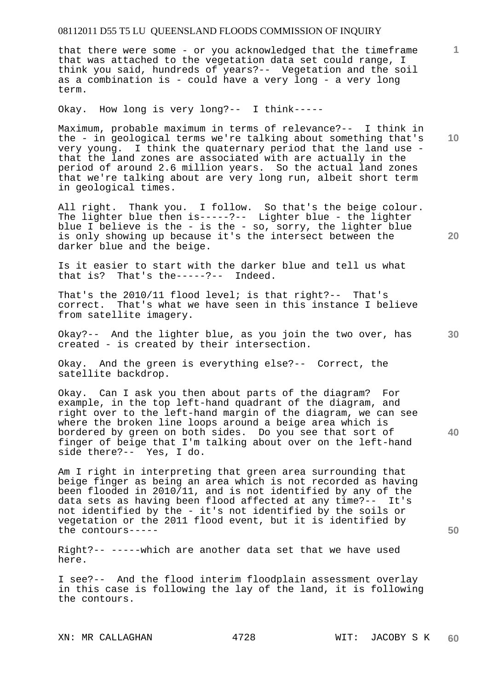that there were some - or you acknowledged that the timeframe that was attached to the vegetation data set could range, I think you said, hundreds of years?-- Vegetation and the soil as a combination is - could have a very long - a very long term.

Okay. How long is very long?-- I think-----

Maximum, probable maximum in terms of relevance?-- I think in the - in geological terms we're talking about something that's very young. I think the quaternary period that the land use that the land zones are associated with are actually in the period of around 2.6 million years. So the actual land zones that we're talking about are very long run, albeit short term in geological times.

All right. Thank you. I follow. So that's the beige colour. The lighter blue then is-----?-- Lighter blue - the lighter blue I believe is the - is the - so, sorry, the lighter blue is only showing up because it's the intersect between the darker blue and the beige.

Is it easier to start with the darker blue and tell us what<br>that is? That's the-----?-- Indeed. that is? That's the-----?--

That's the 2010/11 flood level; is that right?-- That's correct. That's what we have seen in this instance I believe from satellite imagery.

Okay?-- And the lighter blue, as you join the two over, has created - is created by their intersection.

Okay. And the green is everything else?-- Correct, the satellite backdrop.

Okay. Can I ask you then about parts of the diagram? For example, in the top left-hand quadrant of the diagram, and right over to the left-hand margin of the diagram, we can see where the broken line loops around a beige area which is bordered by green on both sides. Do you see that sort of finger of beige that I'm talking about over on the left-hand side there?-- Yes, I do.

Am I right in interpreting that green area surrounding that beige finger as being an area which is not recorded as having been flooded in 2010/11, and is not identified by any of the data sets as having been flood affected at any time?-- It's not identified by the - it's not identified by the soils or vegetation or the 2011 flood event, but it is identified by the contours-----

Right?-- -----which are another data set that we have used here.

I see?-- And the flood interim floodplain assessment overlay in this case is following the lay of the land, it is following the contours.

**10** 

**1**

**20** 

**30**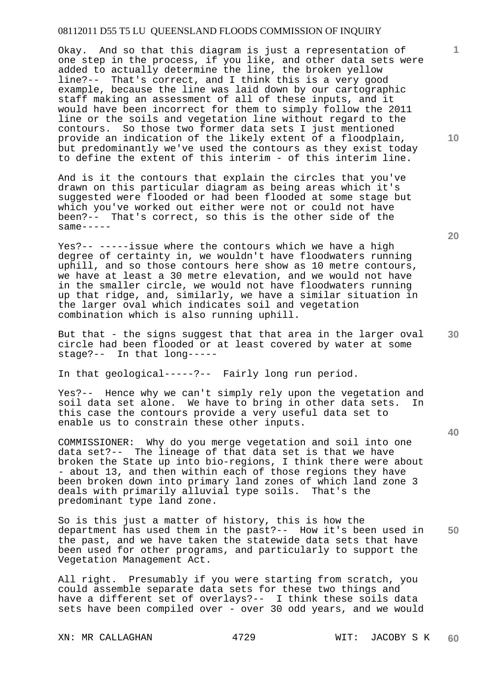Okay. And so that this diagram is just a representation of one step in the process, if you like, and other data sets were added to actually determine the line, the broken yellow line?-- That's correct, and I think this is a very good example, because the line was laid down by our cartographic staff making an assessment of all of these inputs, and it would have been incorrect for them to simply follow the 2011 line or the soils and vegetation line without regard to the contours. So those two former data sets I just mentioned provide an indication of the likely extent of a floodplain, but predominantly we've used the contours as they exist today to define the extent of this interim - of this interim line.

And is it the contours that explain the circles that you've drawn on this particular diagram as being areas which it's suggested were flooded or had been flooded at some stage but which you've worked out either were not or could not have been?-- That's correct, so this is the other side of the  $same---$ 

Yes?-- -----issue where the contours which we have a high degree of certainty in, we wouldn't have floodwaters running uphill, and so those contours here show as 10 metre contours, we have at least a 30 metre elevation, and we would not have in the smaller circle, we would not have floodwaters running up that ridge, and, similarly, we have a similar situation in the larger oval which indicates soil and vegetation combination which is also running uphill.

But that - the signs suggest that that area in the larger oval circle had been flooded or at least covered by water at some stage?-- In that long-----

In that geological-----?-- Fairly long run period.

Yes?-- Hence why we can't simply rely upon the vegetation and soil data set alone. We have to bring in other data sets. In this case the contours provide a very useful data set to enable us to constrain these other inputs.

COMMISSIONER: Why do you merge vegetation and soil into one data set?-- The lineage of that data set is that we have broken the State up into bio-regions, I think there were about - about 13, and then within each of those regions they have been broken down into primary land zones of which land zone 3 deals with primarily alluvial type soils. That's the predominant type land zone.

**50**  So is this just a matter of history, this is how the department has used them in the past?-- How it's been used in the past, and we have taken the statewide data sets that have been used for other programs, and particularly to support the Vegetation Management Act.

All right. Presumably if you were starting from scratch, you could assemble separate data sets for these two things and have a different set of overlays?-- I think these soils data sets have been compiled over - over 30 odd years, and we would

XN: MR CALLAGHAN 4729 WIT: JACOBY S K

**20** 

**40** 

**10**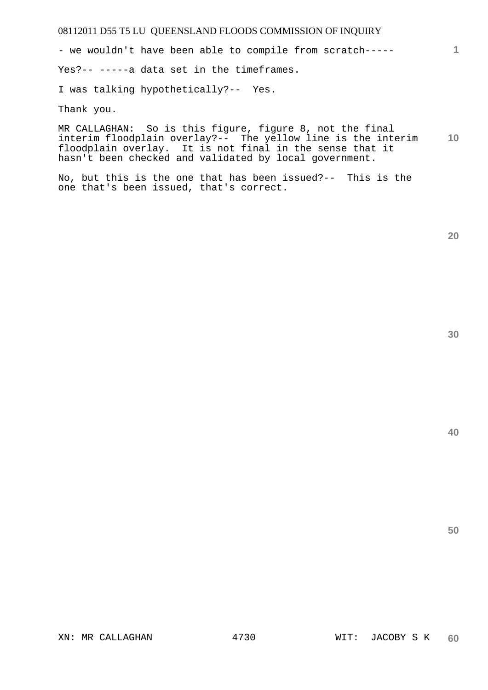- we wouldn't have been able to compile from scratch-----

Yes?-- -----a data set in the timeframes.

I was talking hypothetically?-- Yes.

Thank you.

**10**  MR CALLAGHAN: So is this figure, figure 8, not the final interim floodplain overlay?-- The yellow line is the interim floodplain overlay. It is not final in the sense that it hasn't been checked and validated by local government.

No, but this is the one that has been issued?-- This is the one that's been issued, that's correct.

**20** 

**1**

**40**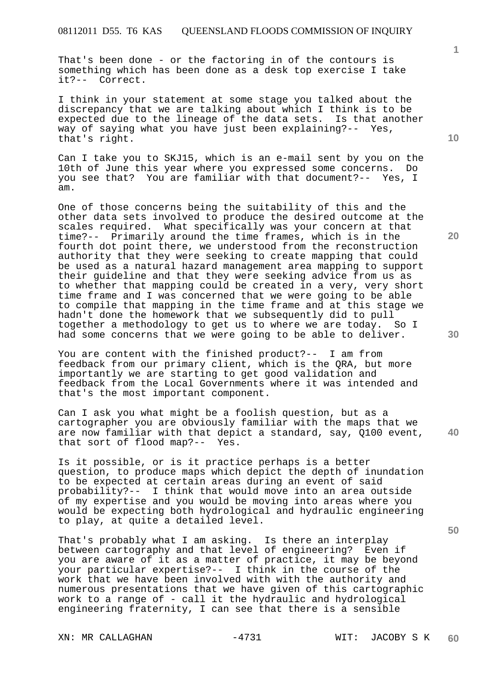That's been done - or the factoring in of the contours is something which has been done as a desk top exercise I take it?-- Correct.

I think in your statement at some stage you talked about the discrepancy that we are talking about which I think is to be expected due to the lineage of the data sets. Is that another way of saying what you have just been explaining?-- Yes, that's right.

Can I take you to SKJ15, which is an e-mail sent by you on the 10th of June this year where you expressed some concerns. Do you see that? You are familiar with that document?-- Yes, I am.

One of those concerns being the suitability of this and the other data sets involved to produce the desired outcome at the scales required. What specifically was your concern at that time?-- Primarily around the time frames, which is in the fourth dot point there, we understood from the reconstruction authority that they were seeking to create mapping that could be used as a natural hazard management area mapping to support their guideline and that they were seeking advice from us as to whether that mapping could be created in a very, very short time frame and I was concerned that we were going to be able to compile that mapping in the time frame and at this stage we hadn't done the homework that we subsequently did to pull together a methodology to get us to where we are today. So I had some concerns that we were going to be able to deliver.

You are content with the finished product?-- I am from feedback from our primary client, which is the QRA, but more importantly we are starting to get good validation and feedback from the Local Governments where it was intended and that's the most important component.

**40**  Can I ask you what might be a foolish question, but as a cartographer you are obviously familiar with the maps that we are now familiar with that depict a standard, say, Q100 event, that sort of flood map?-- Yes.

Is it possible, or is it practice perhaps is a better question, to produce maps which depict the depth of inundation to be expected at certain areas during an event of said probability?-- I think that would move into an area outside of my expertise and you would be moving into areas where you would be expecting both hydrological and hydraulic engineering to play, at quite a detailed level.

That's probably what I am asking. Is there an interplay between cartography and that level of engineering? Even if you are aware of it as a matter of practice, it may be beyond your particular expertise?-- I think in the course of the work that we have been involved with with the authority and numerous presentations that we have given of this cartographic work to a range of - call it the hydraulic and hydrological engineering fraternity, I can see that there is a sensible

**10** 

**1**

**20** 

**30**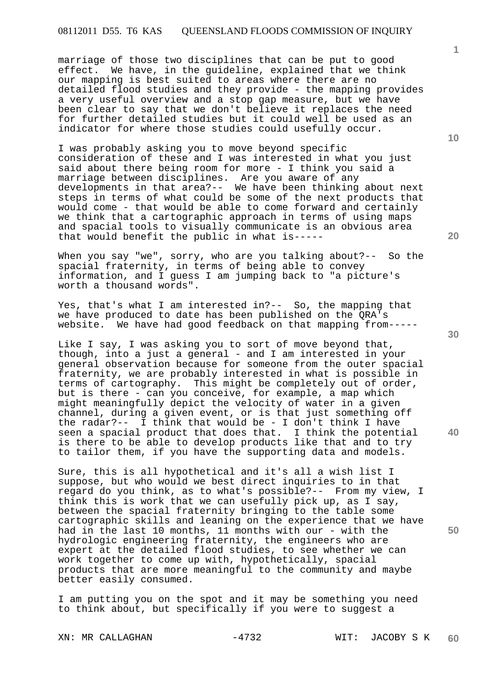marriage of those two disciplines that can be put to good effect. We have, in the guideline, explained that we think our mapping is best suited to areas where there are no detailed flood studies and they provide - the mapping provides a very useful overview and a stop gap measure, but we have been clear to say that we don't believe it replaces the need for further detailed studies but it could well be used as an indicator for where those studies could usefully occur.

I was probably asking you to move beyond specific consideration of these and I was interested in what you just said about there being room for more - I think you said a marriage between disciplines. Are you aware of any developments in that area?-- We have been thinking about next steps in terms of what could be some of the next products that would come - that would be able to come forward and certainly we think that a cartographic approach in terms of using maps and spacial tools to visually communicate is an obvious area that would benefit the public in what is-----

When you say "we", sorry, who are you talking about?-- So the spacial fraternity, in terms of being able to convey information, and I guess I am jumping back to "a picture's worth a thousand words".

Yes, that's what I am interested in?-- So, the mapping that we have produced to date has been published on the QRA's website. We have had good feedback on that mapping from-----

Like I say, I was asking you to sort of move beyond that, though, into a just a general - and I am interested in your general observation because for someone from the outer spacial fraternity, we are probably interested in what is possible in terms of cartography. This might be completely out of order, but is there - can you conceive, for example, a map which might meaningfully depict the velocity of water in a given channel, during a given event, or is that just something off the radar?-- I think that would be - I don't think I have seen a spacial product that does that. I think the potential is there to be able to develop products like that and to try to tailor them, if you have the supporting data and models.

Sure, this is all hypothetical and it's all a wish list I suppose, but who would we best direct inquiries to in that regard do you think, as to what's possible?-- From my view, I think this is work that we can usefully pick up, as I say, between the spacial fraternity bringing to the table some cartographic skills and leaning on the experience that we have had in the last 10 months, 11 months with our - with the hydrologic engineering fraternity, the engineers who are expert at the detailed flood studies, to see whether we can work together to come up with, hypothetically, spacial products that are more meaningful to the community and maybe better easily consumed.

I am putting you on the spot and it may be something you need to think about, but specifically if you were to suggest a

XN: MR CALLAGHAN -4732 WIT: JACOBY S K

**1**

**30** 

**20** 

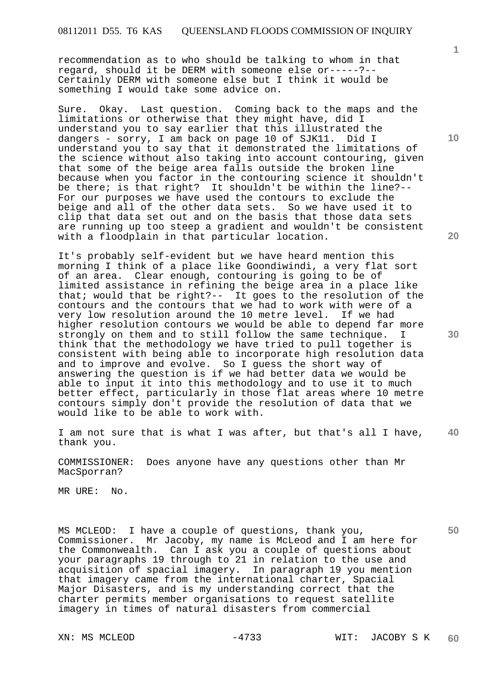recommendation as to who should be talking to whom in that regard, should it be DERM with someone else or-----?-- Certainly DERM with someone else but I think it would be something I would take some advice on.

Sure. Okay. Last question. Coming back to the maps and the limitations or otherwise that they might have, did I understand you to say earlier that this illustrated the dangers - sorry, I am back on page 10 of SJK11. Did I understand you to say that it demonstrated the limitations of the science without also taking into account contouring, given that some of the beige area falls outside the broken line because when you factor in the contouring science it shouldn't be there; is that right? It shouldn't be within the line?-- For our purposes we have used the contours to exclude the beige and all of the other data sets. So we have used it to clip that data set out and on the basis that those data sets are running up too steep a gradient and wouldn't be consistent with a floodplain in that particular location.

It's probably self-evident but we have heard mention this morning I think of a place like Goondiwindi, a very flat sort of an area. Clear enough, contouring is going to be of limited assistance in refining the beige area in a place like that; would that be right?-- It goes to the resolution of the contours and the contours that we had to work with were of a very low resolution around the 10 metre level. If we had higher resolution contours we would be able to depend far more strongly on them and to still follow the same technique. I think that the methodology we have tried to pull together is consistent with being able to incorporate high resolution data and to improve and evolve. So I guess the short way of answering the question is if we had better data we would be able to input it into this methodology and to use it to much better effect, particularly in those flat areas where 10 metre contours simply don't provide the resolution of data that we would like to be able to work with.

**40**  I am not sure that is what I was after, but that's all I have, thank you.

COMMISSIONER: Does anyone have any questions other than Mr MacSporran?

MR URE: No.

MS MCLEOD: I have a couple of questions, thank you, Commissioner. Mr Jacoby, my name is McLeod and I am here for the Commonwealth. Can I ask you a couple of questions about your paragraphs 19 through to 21 in relation to the use and acquisition of spacial imagery. In paragraph 19 you mention that imagery came from the international charter, Spacial Major Disasters, and is my understanding correct that the charter permits member organisations to request satellite imagery in times of natural disasters from commercial

**10** 

**1**

**20** 

**30**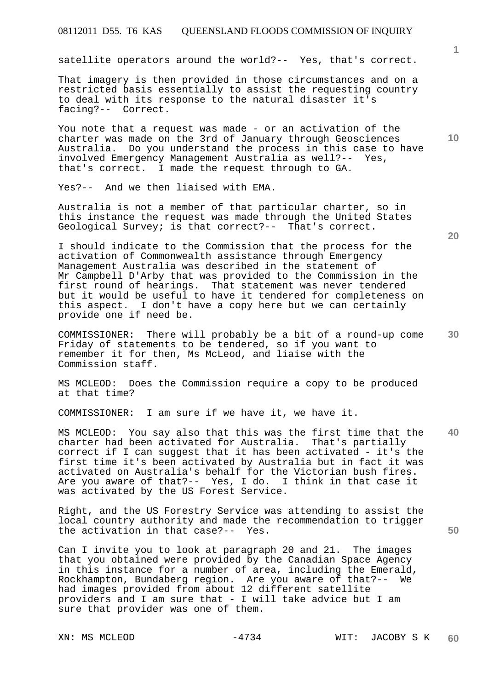satellite operators around the world?-- Yes, that's correct.

That imagery is then provided in those circumstances and on a restricted basis essentially to assist the requesting country to deal with its response to the natural disaster it's facing?-- Correct.

You note that a request was made - or an activation of the charter was made on the 3rd of January through Geosciences Australia. Do you understand the process in this case to have involved Emergency Management Australia as well?-- Yes, that's correct. I made the request through to GA.

Yes?-- And we then liaised with EMA.

Australia is not a member of that particular charter, so in this instance the request was made through the United States Geological Survey; is that correct?-- That's correct.

I should indicate to the Commission that the process for the activation of Commonwealth assistance through Emergency Management Australia was described in the statement of Mr Campbell D'Arby that was provided to the Commission in the first round of hearings. That statement was never tendered but it would be useful to have it tendered for completeness on this aspect. I don't have a copy here but we can certainly provide one if need be.

COMMISSIONER: There will probably be a bit of a round-up come Friday of statements to be tendered, so if you want to remember it for then, Ms McLeod, and liaise with the Commission staff.

MS MCLEOD: Does the Commission require a copy to be produced at that time?

COMMISSIONER: I am sure if we have it, we have it.

**40**  MS MCLEOD: You say also that this was the first time that the charter had been activated for Australia. That's partially correct if I can suggest that it has been activated - it's the first time it's been activated by Australia but in fact it was activated on Australia's behalf for the Victorian bush fires. Are you aware of that?-- Yes, I do. I think in that case it was activated by the US Forest Service.

Right, and the US Forestry Service was attending to assist the local country authority and made the recommendation to trigger the activation in that case?-- Yes.

Can I invite you to look at paragraph 20 and 21. The images that you obtained were provided by the Canadian Space Agency in this instance for a number of area, including the Emerald, Rockhampton, Bundaberg region. Are you aware of that?-- We had images provided from about 12 different satellite providers and I am sure that - I will take advice but I am sure that provider was one of them.

**20** 

**50** 

**10**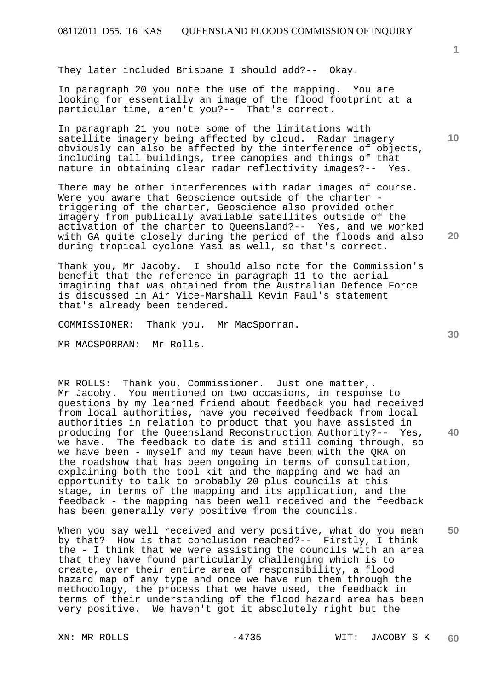They later included Brisbane I should add?-- Okay.

In paragraph 20 you note the use of the mapping. You are looking for essentially an image of the flood footprint at a particular time, aren't you?-- That's correct.

In paragraph 21 you note some of the limitations with satellite imagery being affected by cloud. Radar imagery obviously can also be affected by the interference of objects, including tall buildings, tree canopies and things of that nature in obtaining clear radar reflectivity images?-- Yes.

There may be other interferences with radar images of course. Were you aware that Geoscience outside of the charter triggering of the charter, Geoscience also provided other imagery from publically available satellites outside of the activation of the charter to Queensland?-- Yes, and we worked with GA quite closely during the period of the floods and also during tropical cyclone Yasi as well, so that's correct.

Thank you, Mr Jacoby. I should also note for the Commission's benefit that the reference in paragraph 11 to the aerial imagining that was obtained from the Australian Defence Force is discussed in Air Vice-Marshall Kevin Paul's statement that's already been tendered.

COMMISSIONER: Thank you. Mr MacSporran.

MR MACSPORRAN: Mr Rolls.

MR ROLLS: Thank you, Commissioner. Just one matter,. Mr Jacoby. You mentioned on two occasions, in response to questions by my learned friend about feedback you had received from local authorities, have you received feedback from local authorities in relation to product that you have assisted in producing for the Queensland Reconstruction Authority?-- Yes, we have. The feedback to date is and still coming through, so we have been - myself and my team have been with the QRA on the roadshow that has been ongoing in terms of consultation, explaining both the tool kit and the mapping and we had an opportunity to talk to probably 20 plus councils at this stage, in terms of the mapping and its application, and the feedback - the mapping has been well received and the feedback has been generally very positive from the councils.

When you say well received and very positive, what do you mean by that? How is that conclusion reached?-- Firstly, I think the - I think that we were assisting the councils with an area that they have found particularly challenging which is to create, over their entire area of responsibility, a flood hazard map of any type and once we have run them through the methodology, the process that we have used, the feedback in terms of their understanding of the flood hazard area has been very positive. We haven't got it absolutely right but the

**40** 

**50** 

**20** 

**10**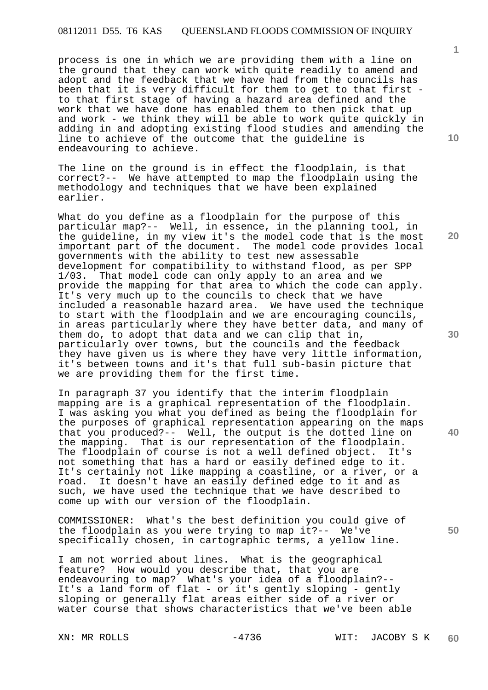process is one in which we are providing them with a line on the ground that they can work with quite readily to amend and adopt and the feedback that we have had from the councils has been that it is very difficult for them to get to that first to that first stage of having a hazard area defined and the work that we have done has enabled them to then pick that up and work - we think they will be able to work quite quickly in adding in and adopting existing flood studies and amending the line to achieve of the outcome that the guideline is endeavouring to achieve.

The line on the ground is in effect the floodplain, is that correct?-- We have attempted to map the floodplain using the methodology and techniques that we have been explained earlier.

What do you define as a floodplain for the purpose of this particular map?-- Well, in essence, in the planning tool, in the guideline, in my view it's the model code that is the most important part of the document. The model code provides local governments with the ability to test new assessable development for compatibility to withstand flood, as per SPP 1/03. That model code can only apply to an area and we provide the mapping for that area to which the code can apply. It's very much up to the councils to check that we have included a reasonable hazard area. We have used the technique to start with the floodplain and we are encouraging councils, in areas particularly where they have better data, and many of them do, to adopt that data and we can clip that in, particularly over towns, but the councils and the feedback they have given us is where they have very little information, it's between towns and it's that full sub-basin picture that we are providing them for the first time.

In paragraph 37 you identify that the interim floodplain mapping are is a graphical representation of the floodplain. I was asking you what you defined as being the floodplain for the purposes of graphical representation appearing on the maps that you produced?-- Well, the output is the dotted line on the mapping. That is our representation of the floodplain. The floodplain of course is not a well defined object. It's not something that has a hard or easily defined edge to it. It's certainly not like mapping a coastline, or a river, or a road. It doesn't have an easily defined edge to it and as such, we have used the technique that we have described to come up with our version of the floodplain.

COMMISSIONER: What's the best definition you could give of the floodplain as you were trying to map it?-- We've specifically chosen, in cartographic terms, a yellow line.

I am not worried about lines. What is the geographical feature? How would you describe that, that you are endeavouring to map? What's your idea of a floodplain?-- It's a land form of flat - or it's gently sloping - gently sloping or generally flat areas either side of a river or water course that shows characteristics that we've been able

**10** 

**1**

**20** 

**30** 

**40**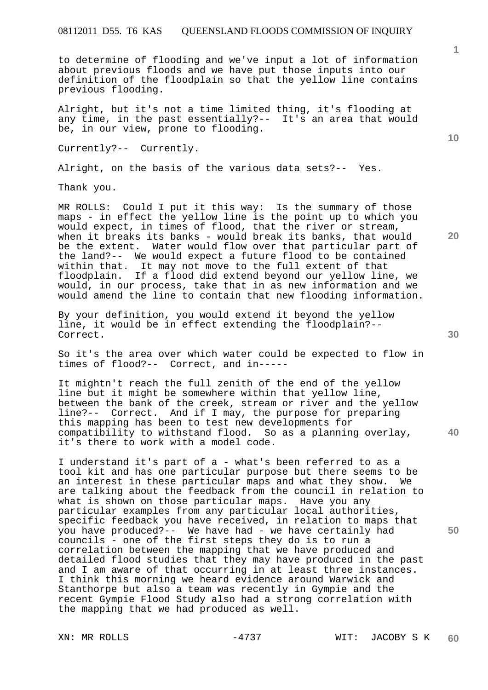to determine of flooding and we've input a lot of information about previous floods and we have put those inputs into our definition of the floodplain so that the yellow line contains previous flooding.

Alright, but it's not a time limited thing, it's flooding at any time, in the past essentially?-- It's an area that would be, in our view, prone to flooding.

Currently?-- Currently.

Alright, on the basis of the various data sets?-- Yes.

Thank you.

MR ROLLS: Could I put it this way: Is the summary of those maps - in effect the yellow line is the point up to which you would expect, in times of flood, that the river or stream, when it breaks its banks - would break its banks, that would be the extent. Water would flow over that particular part of the land?-- We would expect a future flood to be contained within that. It may not move to the full extent of that floodplain. If a flood did extend beyond our yellow line, we would, in our process, take that in as new information and we would amend the line to contain that new flooding information.

By your definition, you would extend it beyond the yellow line, it would be in effect extending the floodplain?-- Correct.

So it's the area over which water could be expected to flow in times of flood?-- Correct, and in-----

It mightn't reach the full zenith of the end of the yellow line but it might be somewhere within that yellow line, between the bank of the creek, stream or river and the yellow line?-- Correct. And if I may, the purpose for preparing this mapping has been to test new developments for compatibility to withstand flood. So as a planning overlay, it's there to work with a model code.

I understand it's part of a - what's been referred to as a tool kit and has one particular purpose but there seems to be an interest in these particular maps and what they show. We are talking about the feedback from the council in relation to what is shown on those particular maps. Have you any particular examples from any particular local authorities, specific feedback you have received, in relation to maps that you have produced?-- We have had - we have certainly had councils - one of the first steps they do is to run a correlation between the mapping that we have produced and detailed flood studies that they may have produced in the past and I am aware of that occurring in at least three instances. I think this morning we heard evidence around Warwick and Stanthorpe but also a team was recently in Gympie and the recent Gympie Flood Study also had a strong correlation with the mapping that we had produced as well.

**10** 

**20** 

**1**

**30** 

**40**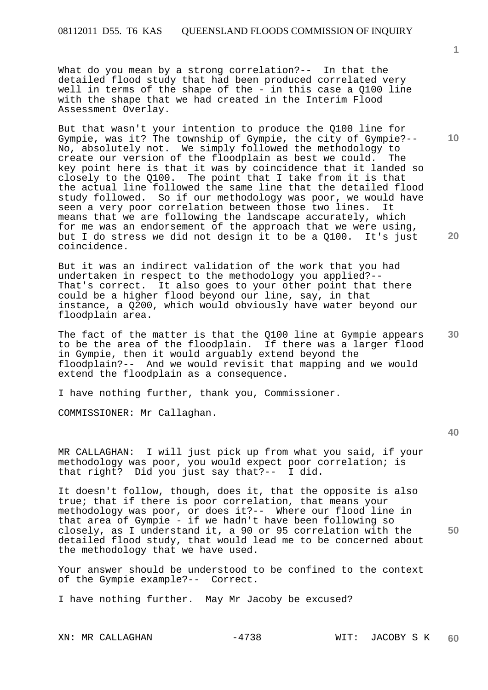What do you mean by a strong correlation?-- In that the detailed flood study that had been produced correlated very well in terms of the shape of the - in this case a Q100 line with the shape that we had created in the Interim Flood Assessment Overlay.

But that wasn't your intention to produce the Q100 line for Gympie, was it? The township of Gympie, the city of Gympie?-- No, absolutely not. We simply followed the methodology to<br>create our version of the floodplain as best we could. The create our version of the floodplain as best we could. key point here is that it was by coincidence that it landed so closely to the Q100. The point that I take from it is that the actual line followed the same line that the detailed flood study followed. So if our methodology was poor, we would have seen a very poor correlation between those two lines. It means that we are following the landscape accurately, which for me was an endorsement of the approach that we were using, but I do stress we did not design it to be a Q100. It's just coincidence.

But it was an indirect validation of the work that you had undertaken in respect to the methodology you applied?-- That's correct. It also goes to your other point that there could be a higher flood beyond our line, say, in that instance, a Q200, which would obviously have water beyond our floodplain area.

**30**  The fact of the matter is that the Q100 line at Gympie appears to be the area of the floodplain. If there was a larger flood in Gympie, then it would arguably extend beyond the floodplain?-- And we would revisit that mapping and we would extend the floodplain as a consequence.

I have nothing further, thank you, Commissioner.

COMMISSIONER: Mr Callaghan.

MR CALLAGHAN: I will just pick up from what you said, if your methodology was poor, you would expect poor correlation; is that right? Did you just say that?-- I did.

**50**  It doesn't follow, though, does it, that the opposite is also true; that if there is poor correlation, that means your methodology was poor, or does it?-- Where our flood line in that area of Gympie - if we hadn't have been following so closely, as I understand it, a 90 or 95 correlation with the detailed flood study, that would lead me to be concerned about the methodology that we have used.

Your answer should be understood to be confined to the context of the Gympie example?-- Correct.

I have nothing further. May Mr Jacoby be excused?

XN: MR CALLAGHAN -4738 WIT: JACOBY S K

**1**

**10**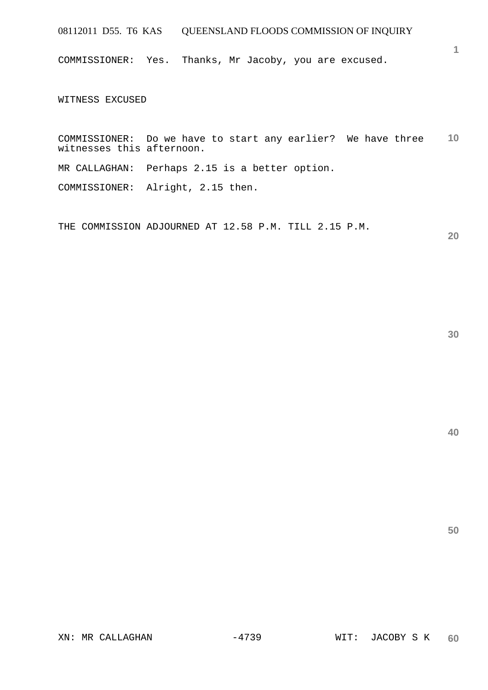COMMISSIONER: Yes. Thanks, Mr Jacoby, you are excused.

WITNESS EXCUSED

**10**  COMMISSIONER: Do we have to start any earlier? We have three witnesses this afternoon.

MR CALLAGHAN: Perhaps 2.15 is a better option.

COMMISSIONER: Alright, 2.15 then.

THE COMMISSION ADJOURNED AT 12.58 P.M. TILL 2.15 P.M.

**20** 

**1**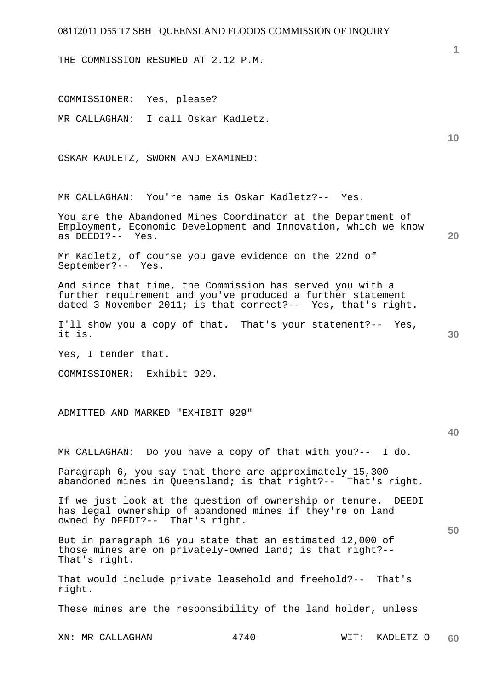THE COMMISSION RESUMED AT 2.12 P.M.

COMMISSIONER: Yes, please?

MR CALLAGHAN: I call Oskar Kadletz.

OSKAR KADLETZ, SWORN AND EXAMINED:

MR CALLAGHAN: You're name is Oskar Kadletz?-- Yes.

You are the Abandoned Mines Coordinator at the Department of Employment, Economic Development and Innovation, which we know as DEEDI?-- Yes.

Mr Kadletz, of course you gave evidence on the 22nd of September?-- Yes.

And since that time, the Commission has served you with a further requirement and you've produced a further statement dated 3 November 2011; is that correct?-- Yes, that's right.

I'll show you a copy of that. That's your statement?-- Yes, it is.

Yes, I tender that.

COMMISSIONER: Exhibit 929.

ADMITTED AND MARKED "EXHIBIT 929"

**40** 

**50** 

**1**

**10** 

**20** 

**30** 

MR CALLAGHAN: Do you have a copy of that with you?-- I do.

Paragraph 6, you say that there are approximately 15,300 abandoned mines in Queensland; is that right?-- That's right.

If we just look at the question of ownership or tenure. DEEDI has legal ownership of abandoned mines if they're on land owned by DEEDI?-- That's right.

But in paragraph 16 you state that an estimated 12,000 of those mines are on privately-owned land; is that right?-- That's right.

That would include private leasehold and freehold?-- That's right.

These mines are the responsibility of the land holder, unless

XN: MR CALLAGHAN 4740 WIT: KADLETZ O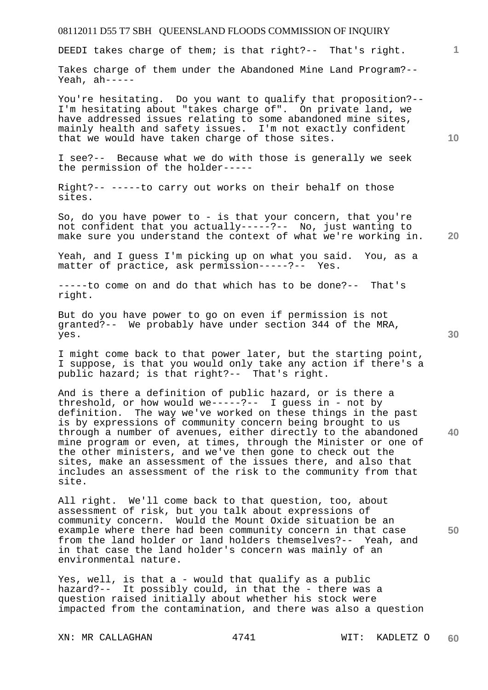DEEDI takes charge of them; is that right?-- That's right.

Takes charge of them under the Abandoned Mine Land Program?-- Yeah, ah-----

You're hesitating. Do you want to qualify that proposition?-- I'm hesitating about "takes charge of". On private land, we have addressed issues relating to some abandoned mine sites, mainly health and safety issues. I'm not exactly confident that we would have taken charge of those sites.

I see?-- Because what we do with those is generally we seek the permission of the holder-----

Right?-- -----to carry out works on their behalf on those sites.

So, do you have power to - is that your concern, that you're not confident that you actually-----?-- No, just wanting to make sure you understand the context of what we're working in.

Yeah, and I guess I'm picking up on what you said. You, as a matter of practice, ask permission-----?-- Yes.

-----to come on and do that which has to be done?-- That's right.

But do you have power to go on even if permission is not granted?-- We probably have under section 344 of the MRA, yes.

I might come back to that power later, but the starting point, I suppose, is that you would only take any action if there's a public hazard; is that right?-- That's right.

And is there a definition of public hazard, or is there a threshold, or how would we-----?-- I guess in - not by definition. The way we've worked on these things in the past is by expressions of community concern being brought to us through a number of avenues, either directly to the abandoned mine program or even, at times, through the Minister or one of the other ministers, and we've then gone to check out the sites, make an assessment of the issues there, and also that includes an assessment of the risk to the community from that site.

All right. We'll come back to that question, too, about assessment of risk, but you talk about expressions of community concern. Would the Mount Oxide situation be an example where there had been community concern in that case from the land holder or land holders themselves?-- Yeah, and in that case the land holder's concern was mainly of an environmental nature.

Yes, well, is that a - would that qualify as a public hazard?-- It possibly could, in that the - there was a question raised initially about whether his stock were impacted from the contamination, and there was also a question

**30** 

**20** 

**40** 

**50** 

**10**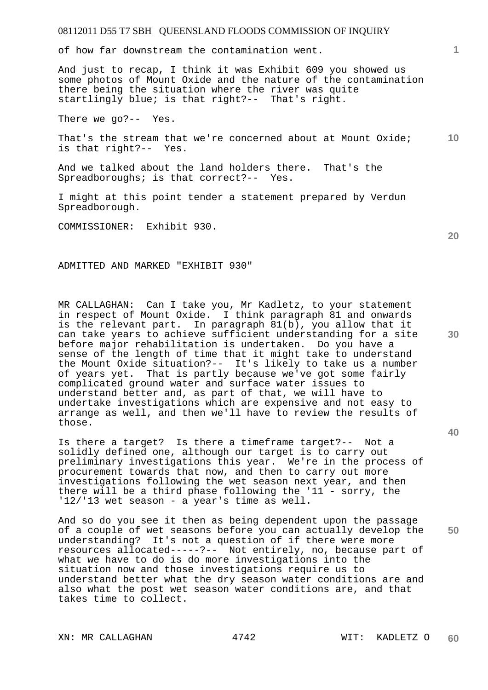of how far downstream the contamination went.

And just to recap, I think it was Exhibit 609 you showed us some photos of Mount Oxide and the nature of the contamination there being the situation where the river was quite startlingly blue; is that right?-- That's right.

There we go?-- Yes.

**10**  That's the stream that we're concerned about at Mount Oxide; is that right?-- Yes.

And we talked about the land holders there. That's the Spreadboroughs; is that correct?-- Yes.

I might at this point tender a statement prepared by Verdun Spreadborough.

COMMISSIONER: Exhibit 930.

ADMITTED AND MARKED "EXHIBIT 930"

MR CALLAGHAN: Can I take you, Mr Kadletz, to your statement in respect of Mount Oxide. I think paragraph 81 and onwards is the relevant part. In paragraph 81(b), you allow that it can take years to achieve sufficient understanding for a site before major rehabilitation is undertaken. Do you have a sense of the length of time that it might take to understand the Mount Oxide situation?-- It's likely to take us a number of years yet. That is partly because we've got some fairly complicated ground water and surface water issues to understand better and, as part of that, we will have to undertake investigations which are expensive and not easy to arrange as well, and then we'll have to review the results of those.

Is there a target? Is there a timeframe target?-- Not a solidly defined one, although our target is to carry out preliminary investigations this year. We're in the process of procurement towards that now, and then to carry out more investigations following the wet season next year, and then there will be a third phase following the '11 - sorry, the '12/'13 wet season - a year's time as well.

**50**  And so do you see it then as being dependent upon the passage of a couple of wet seasons before you can actually develop the understanding? It's not a question of if there were more resources allocated-----?-- Not entirely, no, because part of what we have to do is do more investigations into the situation now and those investigations require us to understand better what the dry season water conditions are and also what the post wet season water conditions are, and that takes time to collect.

XN: MR CALLAGHAN 4742 WIT: KADLETZ O

**20** 

**40** 

**30**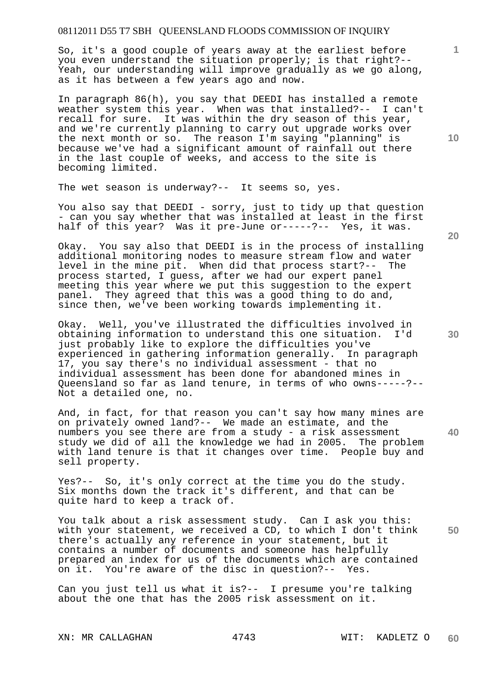So, it's a good couple of years away at the earliest before you even understand the situation properly; is that right?-- Yeah, our understanding will improve gradually as we go along, as it has between a few years ago and now.

In paragraph 86(h), you say that DEEDI has installed a remote weather system this year. When was that installed?-- I can't recall for sure. It was within the dry season of this year, and we're currently planning to carry out upgrade works over the next month or so. The reason I'm saying "planning" is because we've had a significant amount of rainfall out there in the last couple of weeks, and access to the site is becoming limited.

The wet season is underway?-- It seems so, yes.

You also say that DEEDI - sorry, just to tidy up that question - can you say whether that was installed at least in the first half of this year? Was it pre-June or-----?-- Yes, it was.

Okay. You say also that DEEDI is in the process of installing additional monitoring nodes to measure stream flow and water level in the mine pit. When did that process start?-- The process started, I guess, after we had our expert panel meeting this year where we put this suggestion to the expert panel. They agreed that this was a good thing to do and, since then, we've been working towards implementing it.

Okay. Well, you've illustrated the difficulties involved in obtaining information to understand this one situation. I'd just probably like to explore the difficulties you've experienced in gathering information generally. In paragraph 17, you say there's no individual assessment - that no individual assessment has been done for abandoned mines in Queensland so far as land tenure, in terms of who owns-----?-- Not a detailed one, no.

And, in fact, for that reason you can't say how many mines are on privately owned land?-- We made an estimate, and the numbers you see there are from a study - a risk assessment study we did of all the knowledge we had in 2005. The problem with land tenure is that it changes over time. People buy and sell property.

Yes?-- So, it's only correct at the time you do the study. Six months down the track it's different, and that can be quite hard to keep a track of.

**50**  You talk about a risk assessment study. Can I ask you this: with your statement, we received a CD, to which I don't think there's actually any reference in your statement, but it contains a number of documents and someone has helpfully prepared an index for us of the documents which are contained on it. You're aware of the disc in question?-- Yes.

Can you just tell us what it is?-- I presume you're talking about the one that has the 2005 risk assessment on it.

XN: MR CALLAGHAN 4743 WIT: KADLETZ O

**10** 

**1**

**30**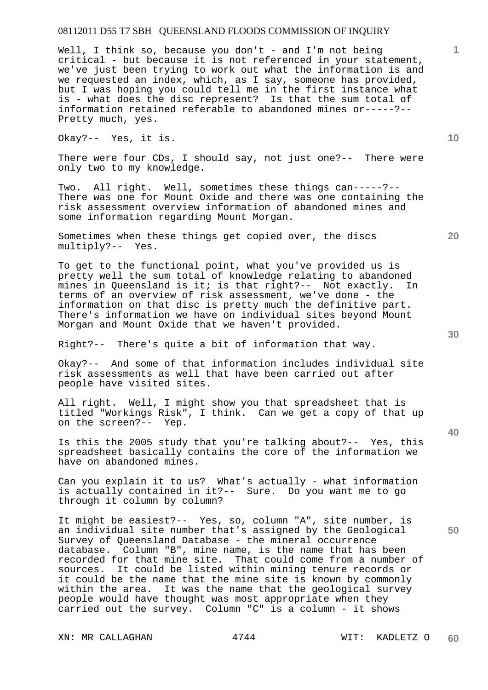Well, I think so, because you don't - and I'm not being critical - but because it is not referenced in your statement, we've just been trying to work out what the information is and we requested an index, which, as I say, someone has provided, but I was hoping you could tell me in the first instance what is - what does the disc represent? Is that the sum total of information retained referable to abandoned mines or-----?-- Pretty much, yes.

Okay?-- Yes, it is.

There were four CDs, I should say, not just one?-- There were only two to my knowledge.

Two. All right. Well, sometimes these things can-----?-- There was one for Mount Oxide and there was one containing the risk assessment overview information of abandoned mines and some information regarding Mount Morgan.

Sometimes when these things get copied over, the discs multiply?-- Yes. multiply?--

To get to the functional point, what you've provided us is pretty well the sum total of knowledge relating to abandoned mines in Queensland is it; is that right?-- Not exactly. In terms of an overview of risk assessment, we've done - the information on that disc is pretty much the definitive part. There's information we have on individual sites beyond Mount Morgan and Mount Oxide that we haven't provided.

Right?-- There's quite a bit of information that way.

Okay?-- And some of that information includes individual site risk assessments as well that have been carried out after people have visited sites.

All right. Well, I might show you that spreadsheet that is titled "Workings Risk", I think. Can we get a copy of that up on the screen?-- Yep.

Is this the 2005 study that you're talking about?-- Yes, this spreadsheet basically contains the core of the information we have on abandoned mines.

Can you explain it to us? What's actually - what information is actually contained in it?-- Sure. Do you want me to go through it column by column?

It might be easiest?-- Yes, so, column "A", site number, is an individual site number that's assigned by the Geological Survey of Queensland Database - the mineral occurrence database. Column "B", mine name, is the name that has been recorded for that mine site. That could come from a number of sources. It could be listed within mining tenure records or it could be the name that the mine site is known by commonly within the area. It was the name that the geological survey people would have thought was most appropriate when they carried out the survey. Column "C" is a column - it shows

XN: MR CALLAGHAN 4744 WIT: KADLETZ O

**20** 

**40** 

**50** 

**10**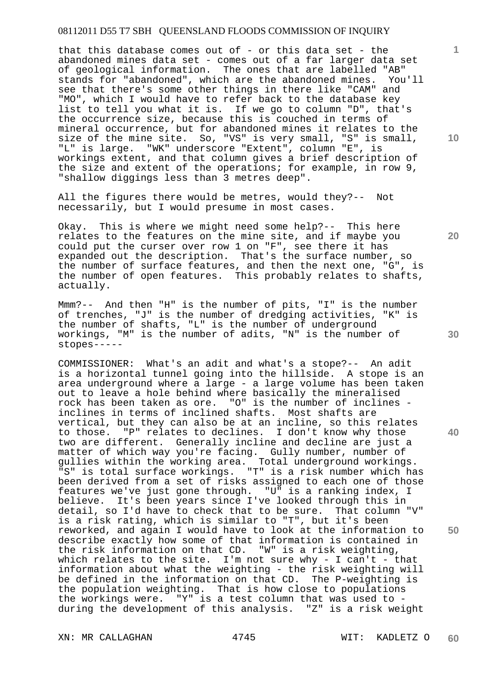that this database comes out of - or this data set - the abandoned mines data set - comes out of a far larger data set of geological information. The ones that are labelled "AB" stands for "abandoned", which are the abandoned mines. You'll see that there's some other things in there like "CAM" and "MO", which I would have to refer back to the database key list to tell you what it is. If we go to column "D", that's the occurrence size, because this is couched in terms of mineral occurrence, but for abandoned mines it relates to the size of the mine site. So, "VS" is very small, "S" is small, "L" is large. "WK" underscore "Extent", column "E", is workings extent, and that column gives a brief description of the size and extent of the operations; for example, in row 9, "shallow diggings less than 3 metres deep".

All the figures there would be metres, would they?-- Not necessarily, but I would presume in most cases.

Okay. This is where we might need some help?-- This here relates to the features on the mine site, and if maybe you could put the curser over row 1 on "F", see there it has expanded out the description. That's the surface number, so the number of surface features, and then the next one, "G", is the number of open features. This probably relates to shafts, actually.

Mmm?-- And then "H" is the number of pits, "I" is the number of trenches, "J" is the number of dredging activities, "K" is the number of shafts, "L" is the number of underground workings, "M" is the number of adits, "N" is the number of stopes-----

COMMISSIONER: What's an adit and what's a stope?-- An adit is a horizontal tunnel going into the hillside. A stope is an area underground where a large - a large volume has been taken out to leave a hole behind where basically the mineralised rock has been taken as ore. "O" is the number of inclines inclines in terms of inclined shafts. Most shafts are vertical, but they can also be at an incline, so this relates to those. "P" relates to declines. I don't know why those two are different. Generally incline and decline are just a matter of which way you're facing. Gully number, number of gullies within the working area. Total underground workings. "S" is total surface workings. "T" is a risk number which has been derived from a set of risks assigned to each one of those features we've just gone through. "U" is a ranking index, I believe. It's been years since I've looked through this in detail, so I'd have to check that to be sure. That column "V" is a risk rating, which is similar to "T", but it's been reworked, and again I would have to look at the information to describe exactly how some of that information is contained in the risk information on that CD. "W" is a risk weighting, which relates to the site. I'm not sure why - I can't - that information about what the weighting - the risk weighting will be defined in the information on that CD. The P-weighting is the population weighting. That is how close to populations the workings were. "Y" is a test column that was used to during the development of this analysis. "Z" is a risk weight

XN: MR CALLAGHAN 4745 WIT: KADLETZ O

**10** 

**1**

**20** 

**30** 

**40**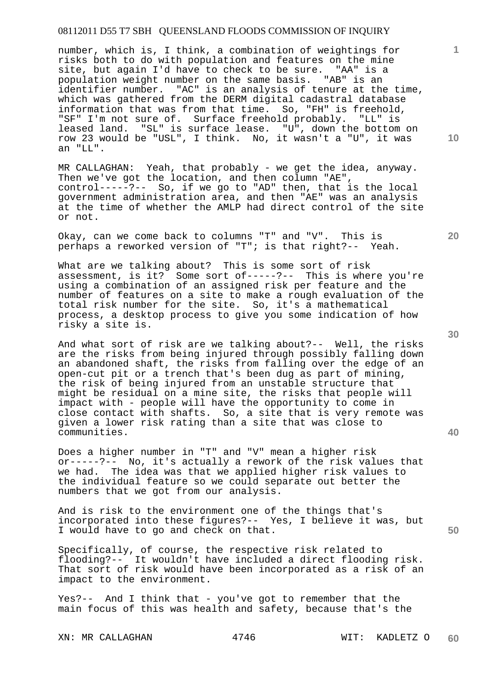number, which is, I think, a combination of weightings for risks both to do with population and features on the mine site, but again I'd have to check to be sure. "AA" is a population weight number on the same basis. "AB" is an identifier number. "AC" is an analysis of tenure at the time, which was gathered from the DERM digital cadastral database information that was from that time. So, "FH" is freehold, "SF" I'm not sure of. Surface freehold probably. "LL" is leased land. "SL" is surface lease. "U", down the bottom on row 23 would be "USL", I think. No, it wasn't a "U", it was an "LL".

MR CALLAGHAN: Yeah, that probably - we get the idea, anyway. Then we've got the location, and then column "AE", control-----?-- So, if we go to "AD" then, that is the local government administration area, and then "AE" was an analysis at the time of whether the AMLP had direct control of the site or not.

Okay, can we come back to columns "T" and "V". This is perhaps a reworked version of "T"; is that right?-- Yeah.

What are we talking about? This is some sort of risk assessment, is it? Some sort of-----?-- This is where you're using a combination of an assigned risk per feature and the number of features on a site to make a rough evaluation of the total risk number for the site. So, it's a mathematical process, a desktop process to give you some indication of how risky a site is.

And what sort of risk are we talking about?-- Well, the risks are the risks from being injured through possibly falling down an abandoned shaft, the risks from falling over the edge of an open-cut pit or a trench that's been dug as part of mining, the risk of being injured from an unstable structure that might be residual on a mine site, the risks that people will impact with - people will have the opportunity to come in close contact with shafts. So, a site that is very remote was given a lower risk rating than a site that was close to communities.

Does a higher number in "T" and "V" mean a higher risk or-----?-- No, it's actually a rework of the risk values that we had. The idea was that we applied higher risk values to the individual feature so we could separate out better the numbers that we got from our analysis.

And is risk to the environment one of the things that's incorporated into these figures?-- Yes, I believe it was, but I would have to go and check on that.

Specifically, of course, the respective risk related to flooding?-- It wouldn't have included a direct flooding risk. That sort of risk would have been incorporated as a risk of an impact to the environment.

Yes?-- And I think that - you've got to remember that the main focus of this was health and safety, because that's the

XN: MR CALLAGHAN 4746 WIT: KADLETZ O

**30** 

**20** 

**40** 

**50** 

**10**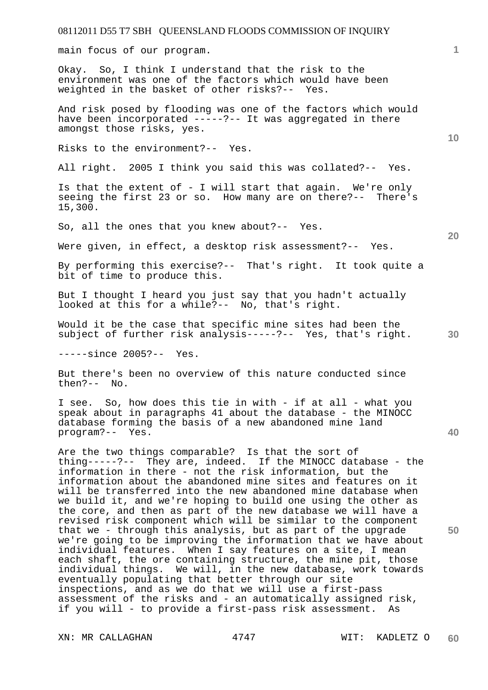main focus of our program.

Okay. So, I think I understand that the risk to the environment was one of the factors which would have been weighted in the basket of other risks?-- Yes.

And risk posed by flooding was one of the factors which would have been incorporated -----?-- It was aggregated in there amongst those risks, yes.

Risks to the environment?-- Yes.

All right. 2005 I think you said this was collated?-- Yes.

Is that the extent of - I will start that again. We're only seeing the first 23 or so. How many are on there?-- There's 15,300.

So, all the ones that you knew about?-- Yes.

Were given, in effect, a desktop risk assessment?-- Yes.

By performing this exercise?-- That's right. It took quite a bit of time to produce this.

But I thought I heard you just say that you hadn't actually looked at this for a while?-- No, that's right.

Would it be the case that specific mine sites had been the subject of further risk analysis-----?-- Yes, that's right.

-----since 2005?-- Yes.

But there's been no overview of this nature conducted since then?-- No.

I see. So, how does this tie in with - if at all - what you speak about in paragraphs 41 about the database - the MINOCC database forming the basis of a new abandoned mine land program?-- Yes.

Are the two things comparable? Is that the sort of thing-----?-- They are, indeed. If the MINOCC database - the information in there - not the risk information, but the information about the abandoned mine sites and features on it will be transferred into the new abandoned mine database when we build it, and we're hoping to build one using the other as the core, and then as part of the new database we will have a revised risk component which will be similar to the component that we - through this analysis, but as part of the upgrade we're going to be improving the information that we have about individual features. When I say features on a site, I mean each shaft, the ore containing structure, the mine pit, those individual things. We will, in the new database, work towards eventually populating that better through our site inspections, and as we do that we will use a first-pass assessment of the risks and - an automatically assigned risk, if you will - to provide a first-pass risk assessment. As

XN: MR CALLAGHAN 4747 WIT: KADLETZ O

**10** 

**1**

**40**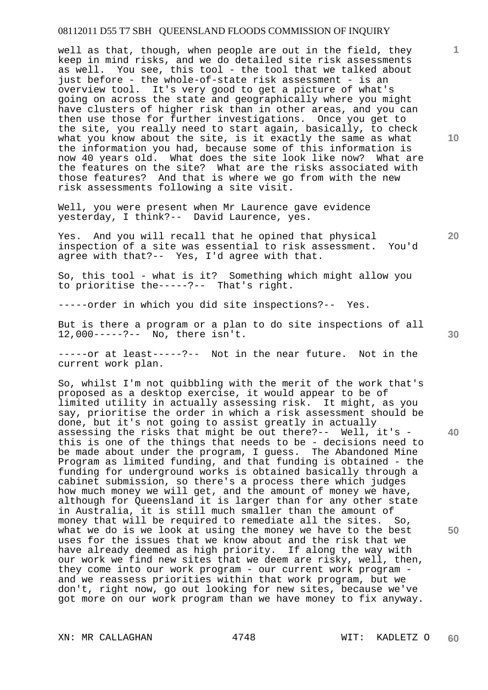well as that, though, when people are out in the field, they keep in mind risks, and we do detailed site risk assessments as well. You see, this tool - the tool that we talked about just before - the whole-of-state risk assessment - is an overview tool. It's very good to get a picture of what's going on across the state and geographically where you might have clusters of higher risk than in other areas, and you can then use those for further investigations. Once you get to the site, you really need to start again, basically, to check what you know about the site, is it exactly the same as what the information you had, because some of this information is now 40 years old. What does the site look like now? What are the features on the site? What are the risks associated with those features? And that is where we go from with the new risk assessments following a site visit.

Well, you were present when Mr Laurence gave evidence yesterday, I think?-- David Laurence, yes.

Yes. And you will recall that he opined that physical inspection of a site was essential to risk assessment. You'd agree with that?-- Yes, I'd agree with that.

So, this tool - what is it? Something which might allow you to prioritise the-----?-- That's right.

-----order in which you did site inspections?-- Yes.

But is there a program or a plan to do site inspections of all 12,000-----?-- No, there isn't.

-----or at least-----?-- Not in the near future. Not in the current work plan.

So, whilst I'm not quibbling with the merit of the work that's proposed as a desktop exercise, it would appear to be of limited utility in actually assessing risk. It might, as you say, prioritise the order in which a risk assessment should be done, but it's not going to assist greatly in actually assessing the risks that might be out there?-- Well, it's this is one of the things that needs to be - decisions need to be made about under the program, I guess. The Abandoned Mine Program as limited funding, and that funding is obtained - the funding for underground works is obtained basically through a cabinet submission, so there's a process there which judges how much money we will get, and the amount of money we have, although for Queensland it is larger than for any other state in Australia, it is still much smaller than the amount of money that will be required to remediate all the sites. So, what we do is we look at using the money we have to the best uses for the issues that we know about and the risk that we have already deemed as high priority. If along the way with our work we find new sites that we deem are risky, well, then, they come into our work program - our current work program and we reassess priorities within that work program, but we don't, right now, go out looking for new sites, because we've got more on our work program than we have money to fix anyway.

XN: MR CALLAGHAN 4748 WIT: KADLETZ O

**10** 

**1**

**20** 

**40**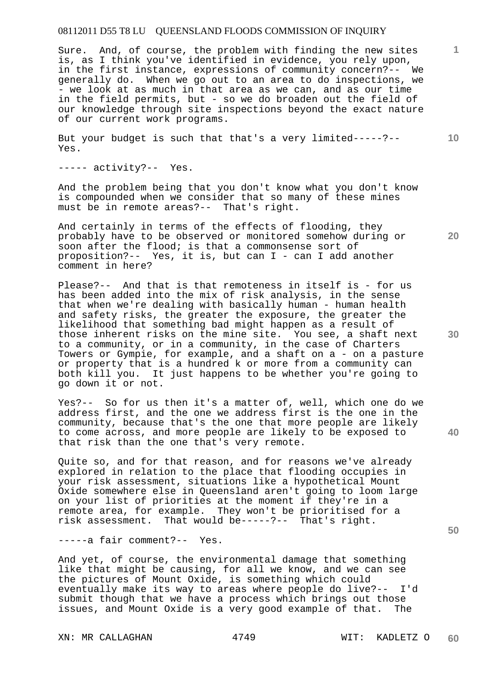Sure. And, of course, the problem with finding the new sites is, as I think you've identified in evidence, you rely upon, in the first instance, expressions of community concern?-- We generally do. When we go out to an area to do inspections, we - we look at as much in that area as we can, and as our time in the field permits, but - so we do broaden out the field of our knowledge through site inspections beyond the exact nature of our current work programs.

But your budget is such that that's a very limited-----?-- Yes.

----- activity?-- Yes.

And the problem being that you don't know what you don't know is compounded when we consider that so many of these mines must be in remote areas?-- That's right.

And certainly in terms of the effects of flooding, they probably have to be observed or monitored somehow during or soon after the flood; is that a commonsense sort of proposition?-- Yes, it is, but can I - can I add another comment in here?

Please?-- And that is that remoteness in itself is - for us has been added into the mix of risk analysis, in the sense that when we're dealing with basically human - human health and safety risks, the greater the exposure, the greater the likelihood that something bad might happen as a result of those inherent risks on the mine site. You see, a shaft next to a community, or in a community, in the case of Charters Towers or Gympie, for example, and a shaft on a - on a pasture or property that is a hundred k or more from a community can both kill you. It just happens to be whether you're going to go down it or not.

Yes?-- So for us then it's a matter of, well, which one do we address first, and the one we address first is the one in the community, because that's the one that more people are likely to come across, and more people are likely to be exposed to that risk than the one that's very remote.

Quite so, and for that reason, and for reasons we've already explored in relation to the place that flooding occupies in your risk assessment, situations like a hypothetical Mount Oxide somewhere else in Queensland aren't going to loom large on your list of priorities at the moment if they're in a remote area, for example. They won't be prioritised for a risk assessment. That would be-----?-- That's right.

-----a fair comment?-- Yes.

And yet, of course, the environmental damage that something like that might be causing, for all we know, and we can see the pictures of Mount Oxide, is something which could eventually make its way to areas where people do live?-- I'd submit though that we have a process which brings out those issues, and Mount Oxide is a very good example of that. The

XN: MR CALLAGHAN 4749 WIT: KADLETZ O

**20** 

**30** 

**40** 

**50** 

**1**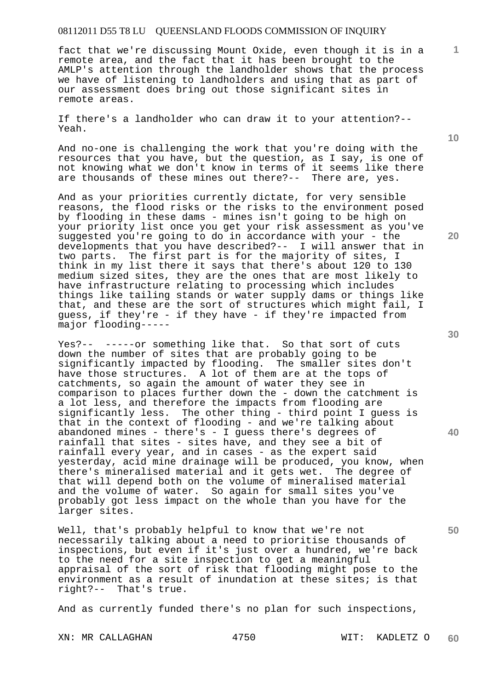fact that we're discussing Mount Oxide, even though it is in a remote area, and the fact that it has been brought to the AMLP's attention through the landholder shows that the process we have of listening to landholders and using that as part of our assessment does bring out those significant sites in remote areas.

If there's a landholder who can draw it to your attention?-- Yeah.

And no-one is challenging the work that you're doing with the resources that you have, but the question, as I say, is one of not knowing what we don't know in terms of it seems like there are thousands of these mines out there?-- There are, yes.

And as your priorities currently dictate, for very sensible reasons, the flood risks or the risks to the environment posed by flooding in these dams - mines isn't going to be high on your priority list once you get your risk assessment as you've suggested you're going to do in accordance with your - the developments that you have described?-- I will answer that in two parts. The first part is for the majority of sites, I think in my list there it says that there's about 120 to 130 medium sized sites, they are the ones that are most likely to have infrastructure relating to processing which includes things like tailing stands or water supply dams or things like that, and these are the sort of structures which might fail, I guess, if they're - if they have - if they're impacted from major flooding-----

Yes?-- -----or something like that. So that sort of cuts down the number of sites that are probably going to be significantly impacted by flooding. The smaller sites don't have those structures. A lot of them are at the tops of catchments, so again the amount of water they see in comparison to places further down the - down the catchment is a lot less, and therefore the impacts from flooding are significantly less. The other thing - third point I guess is that in the context of flooding - and we're talking about abandoned mines - there's - I guess there's degrees of rainfall that sites - sites have, and they see a bit of rainfall every year, and in cases - as the expert said yesterday, acid mine drainage will be produced, you know, when there's mineralised material and it gets wet. The degree of that will depend both on the volume of mineralised material and the volume of water. So again for small sites you've probably got less impact on the whole than you have for the larger sites.

Well, that's probably helpful to know that we're not necessarily talking about a need to prioritise thousands of inspections, but even if it's just over a hundred, we're back to the need for a site inspection to get a meaningful appraisal of the sort of risk that flooding might pose to the environment as a result of inundation at these sites; is that right?-- That's true.

And as currently funded there's no plan for such inspections,

XN: MR CALLAGHAN 4750 WIT: KADLETZ O

**20** 

**10** 

**1**

**30** 

**40**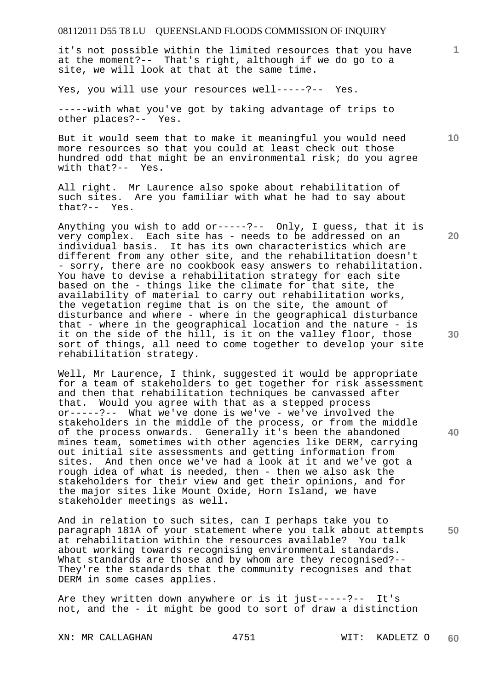it's not possible within the limited resources that you have at the moment?-- That's right, although if we do go to a site, we will look at that at the same time.

Yes, you will use your resources well-----?-- Yes.

-----with what you've got by taking advantage of trips to other places?-- Yes.

But it would seem that to make it meaningful you would need more resources so that you could at least check out those hundred odd that might be an environmental risk; do you agree with that?-- Yes.

All right. Mr Laurence also spoke about rehabilitation of such sites. Are you familiar with what he had to say about that?-- Yes.

Anything you wish to add or-----?-- Only, I guess, that it is very complex. Each site has - needs to be addressed on an individual basis. It has its own characteristics which are different from any other site, and the rehabilitation doesn't - sorry, there are no cookbook easy answers to rehabilitation. You have to devise a rehabilitation strategy for each site based on the - things like the climate for that site, the availability of material to carry out rehabilitation works, the vegetation regime that is on the site, the amount of disturbance and where - where in the geographical disturbance that - where in the geographical location and the nature - is it on the side of the hill, is it on the valley floor, those sort of things, all need to come together to develop your site rehabilitation strategy.

Well, Mr Laurence, I think, suggested it would be appropriate for a team of stakeholders to get together for risk assessment and then that rehabilitation techniques be canvassed after that. Would you agree with that as a stepped process or-----?-- What we've done is we've - we've involved the stakeholders in the middle of the process, or from the middle of the process onwards. Generally it's been the abandoned mines team, sometimes with other agencies like DERM, carrying out initial site assessments and getting information from sites. And then once we've had a look at it and we've got a rough idea of what is needed, then - then we also ask the stakeholders for their view and get their opinions, and for the major sites like Mount Oxide, Horn Island, we have stakeholder meetings as well.

**50**  And in relation to such sites, can I perhaps take you to paragraph 181A of your statement where you talk about attempts at rehabilitation within the resources available? You talk about working towards recognising environmental standards. What standards are those and by whom are they recognised?--They're the standards that the community recognises and that DERM in some cases applies.

Are they written down anywhere or is it just-----?-- It's not, and the - it might be good to sort of draw a distinction

XN: MR CALLAGHAN 4751 WIT: KADLETZ O

**60** 

**20** 

**1**

**10** 

**40**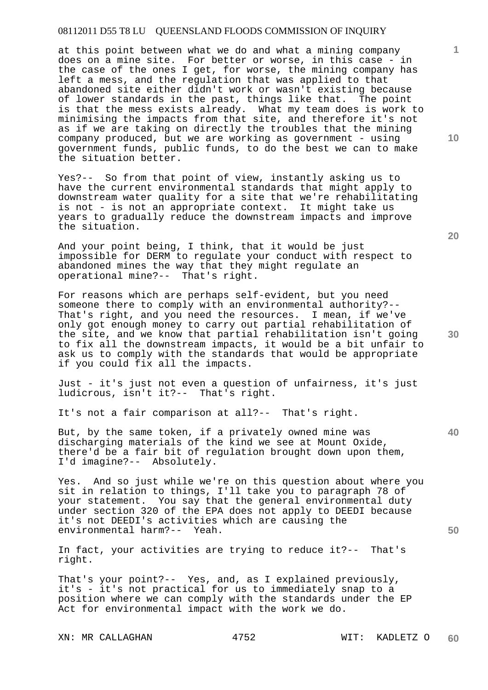at this point between what we do and what a mining company does on a mine site. For better or worse, in this case - in the case of the ones I get, for worse, the mining company has left a mess, and the regulation that was applied to that abandoned site either didn't work or wasn't existing because of lower standards in the past, things like that. The point is that the mess exists already. What my team does is work to minimising the impacts from that site, and therefore it's not as if we are taking on directly the troubles that the mining company produced, but we are working as government - using government funds, public funds, to do the best we can to make the situation better.

Yes?-- So from that point of view, instantly asking us to have the current environmental standards that might apply to downstream water quality for a site that we're rehabilitating is not - is not an appropriate context. It might take us years to gradually reduce the downstream impacts and improve the situation.

And your point being, I think, that it would be just impossible for DERM to regulate your conduct with respect to abandoned mines the way that they might regulate an operational mine?-- That's right.

For reasons which are perhaps self-evident, but you need someone there to comply with an environmental authority?-- That's right, and you need the resources. I mean, if we've only got enough money to carry out partial rehabilitation of the site, and we know that partial rehabilitation isn't going to fix all the downstream impacts, it would be a bit unfair to ask us to comply with the standards that would be appropriate if you could fix all the impacts.

Just - it's just not even a question of unfairness, it's just ludicrous, isn't it?-- That's right.

It's not a fair comparison at all?-- That's right.

But, by the same token, if a privately owned mine was discharging materials of the kind we see at Mount Oxide, there'd be a fair bit of regulation brought down upon them, I'd imagine?-- Absolutely.

Yes. And so just while we're on this question about where you sit in relation to things, I'll take you to paragraph 78 of your statement. You say that the general environmental duty under section 320 of the EPA does not apply to DEEDI because it's not DEEDI's activities which are causing the environmental harm?-- Yeah.

In fact, your activities are trying to reduce it?-- That's right.

That's your point?-- Yes, and, as I explained previously, it's - it's not practical for us to immediately snap to a position where we can comply with the standards under the EP Act for environmental impact with the work we do.

XN: MR CALLAGHAN 4752 WIT: KADLETZ O

**10** 

**1**

**20** 

**40** 

**50**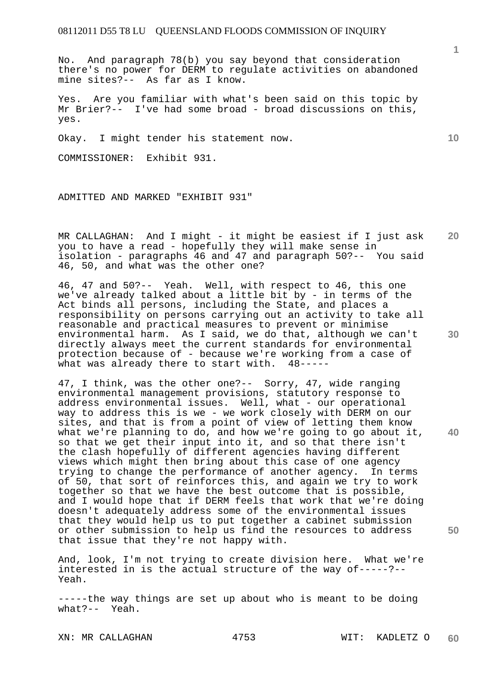No. And paragraph 78(b) you say beyond that consideration there's no power for DERM to regulate activities on abandoned mine sites?-- As far as I know.

Yes. Are you familiar with what's been said on this topic by Mr Brier?-- I've had some broad - broad discussions on this, yes.

Okay. I might tender his statement now.

COMMISSIONER: Exhibit 931.

ADMITTED AND MARKED "EXHIBIT 931"

**20**  MR CALLAGHAN: And I might - it might be easiest if I just ask you to have a read - hopefully they will make sense in isolation - paragraphs 46 and 47 and paragraph 50?-- You said 46, 50, and what was the other one?

46, 47 and 50?-- Yeah. Well, with respect to 46, this one we've already talked about a little bit by - in terms of the Act binds all persons, including the State, and places a responsibility on persons carrying out an activity to take all reasonable and practical measures to prevent or minimise environmental harm. As I said, we do that, although we can't directly always meet the current standards for environmental protection because of - because we're working from a case of what was already there to start with. 48----what was already there to start with.

47, I think, was the other one?-- Sorry, 47, wide ranging environmental management provisions, statutory response to address environmental issues. Well, what - our operational way to address this is we - we work closely with DERM on our sites, and that is from a point of view of letting them know what we're planning to do, and how we're going to go about it, so that we get their input into it, and so that there isn't the clash hopefully of different agencies having different views which might then bring about this case of one agency trying to change the performance of another agency. In terms of 50, that sort of reinforces this, and again we try to work together so that we have the best outcome that is possible, and I would hope that if DERM feels that work that we're doing doesn't adequately address some of the environmental issues that they would help us to put together a cabinet submission or other submission to help us find the resources to address that issue that they're not happy with.

And, look, I'm not trying to create division here. What we're interested in is the actual structure of the way of-----?-- Yeah.

-----the way things are set up about who is meant to be doing what?-- Yeah.

XN: MR CALLAGHAN 4753 WIT: KADLETZ O

**1**

**10** 

**30** 

**40**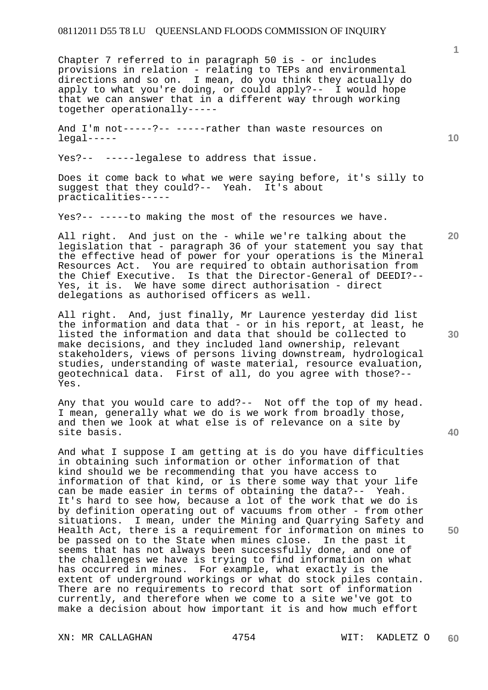Chapter 7 referred to in paragraph 50 is - or includes provisions in relation - relating to TEPs and environmental directions and so on. I mean, do you think they actually do apply to what you're doing, or could apply?-- I would hope that we can answer that in a different way through working together operationally-----

And I'm not-----?-- -----rather than waste resources on legal-----

Yes?-- -----legalese to address that issue.

Does it come back to what we were saying before, it's silly to suggest that they could?-- Yeah. It's about practicalities-----

Yes?-- -----to making the most of the resources we have.

All right. And just on the - while we're talking about the legislation that - paragraph 36 of your statement you say that the effective head of power for your operations is the Mineral Resources Act. You are required to obtain authorisation from the Chief Executive. Is that the Director-General of DEEDI?-- Yes, it is. We have some direct authorisation - direct delegations as authorised officers as well.

All right. And, just finally, Mr Laurence yesterday did list the information and data that - or in his report, at least, he listed the information and data that should be collected to make decisions, and they included land ownership, relevant stakeholders, views of persons living downstream, hydrological studies, understanding of waste material, resource evaluation, geotechnical data. First of all, do you agree with those?-- Yes.

Any that you would care to add?-- Not off the top of my head. I mean, generally what we do is we work from broadly those, and then we look at what else is of relevance on a site by site basis.

And what I suppose I am getting at is do you have difficulties in obtaining such information or other information of that kind should we be recommending that you have access to information of that kind, or is there some way that your life can be made easier in terms of obtaining the data?-- Yeah. It's hard to see how, because a lot of the work that we do is by definition operating out of vacuums from other - from other situations. I mean, under the Mining and Quarrying Safety and Health Act, there is a requirement for information on mines to be passed on to the State when mines close. In the past it seems that has not always been successfully done, and one of the challenges we have is trying to find information on what has occurred in mines. For example, what exactly is the extent of underground workings or what do stock piles contain. There are no requirements to record that sort of information currently, and therefore when we come to a site we've got to make a decision about how important it is and how much effort

**20** 

**30** 

**40** 

**50**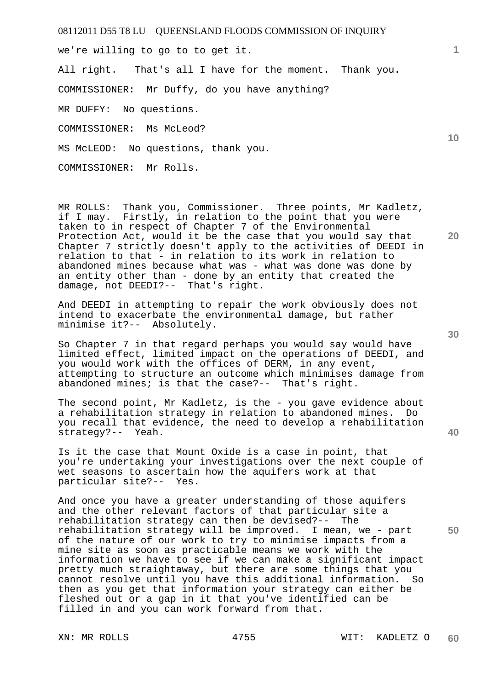we're willing to go to to get it.

All right. That's all I have for the moment. Thank you.

COMMISSIONER: Mr Duffy, do you have anything?

MR DUFFY: No questions.

COMMISSIONER: Ms McLeod?

MS McLEOD: No questions, thank you.

COMMISSIONER: Mr Rolls.

MR ROLLS: Thank you, Commissioner. Three points, Mr Kadletz, if I may. Firstly, in relation to the point that you were taken to in respect of Chapter 7 of the Environmental Protection Act, would it be the case that you would say that Chapter 7 strictly doesn't apply to the activities of DEEDI in relation to that - in relation to its work in relation to abandoned mines because what was - what was done was done by an entity other than - done by an entity that created the damage, not DEEDI?-- That's right.

And DEEDI in attempting to repair the work obviously does not intend to exacerbate the environmental damage, but rather minimise it?-- Absolutely.

So Chapter 7 in that regard perhaps you would say would have limited effect, limited impact on the operations of DEEDI, and you would work with the offices of DERM, in any event, attempting to structure an outcome which minimises damage from abandoned mines; is that the case?-- That's right.

The second point, Mr Kadletz, is the - you gave evidence about a rehabilitation strategy in relation to abandoned mines. Do you recall that evidence, the need to develop a rehabilitation strategy?-- Yeah.

Is it the case that Mount Oxide is a case in point, that you're undertaking your investigations over the next couple of wet seasons to ascertain how the aquifers work at that particular site?-- Yes.

And once you have a greater understanding of those aquifers and the other relevant factors of that particular site a rehabilitation strategy can then be devised?-- The rehabilitation strategy will be improved. I mean, we - part of the nature of our work to try to minimise impacts from a mine site as soon as practicable means we work with the information we have to see if we can make a significant impact pretty much straightaway, but there are some things that you cannot resolve until you have this additional information. So then as you get that information your strategy can either be fleshed out or a gap in it that you've identified can be filled in and you can work forward from that.

**10** 

**20** 

**1**

**40**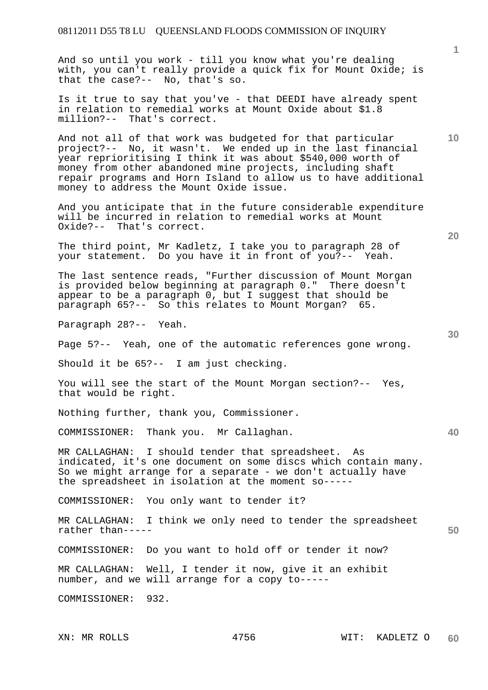And so until you work - till you know what you're dealing with, you can't really provide a quick fix for Mount Oxide; is that the case?-- No, that's so.

Is it true to say that you've - that DEEDI have already spent in relation to remedial works at Mount Oxide about \$1.8 million?-- That's correct.

And not all of that work was budgeted for that particular project?-- No, it wasn't. We ended up in the last financial year reprioritising I think it was about \$540,000 worth of money from other abandoned mine projects, including shaft repair programs and Horn Island to allow us to have additional money to address the Mount Oxide issue.

And you anticipate that in the future considerable expenditure will be incurred in relation to remedial works at Mount Oxide?-- That's correct.

The third point, Mr Kadletz, I take you to paragraph 28 of<br>vour statement. Do you have it in front of you?-- Yeah. your statement. Do you have it in front of you?--

The last sentence reads, "Further discussion of Mount Morgan is provided below beginning at paragraph 0." There doesn't appear to be a paragraph 0, but I suggest that should be paragraph 65?-- So this relates to Mount Morgan? 65.

Paragraph 28?-- Yeah.

Page 5?-- Yeah, one of the automatic references gone wrong.

Should it be 65?-- I am just checking.

You will see the start of the Mount Morgan section?-- Yes, that would be right.

Nothing further, thank you, Commissioner.

COMMISSIONER: Thank you. Mr Callaghan.

MR CALLAGHAN: I should tender that spreadsheet. As indicated, it's one document on some discs which contain many. So we might arrange for a separate - we don't actually have the spreadsheet in isolation at the moment so-----

COMMISSIONER: You only want to tender it?

MR CALLAGHAN: I think we only need to tender the spreadsheet rather than-----

COMMISSIONER: Do you want to hold off or tender it now?

MR CALLAGHAN: Well, I tender it now, give it an exhibit number, and we will arrange for a copy to-----

COMMISSIONER: 932.

**1**

**10** 

**30** 

**20** 

**40**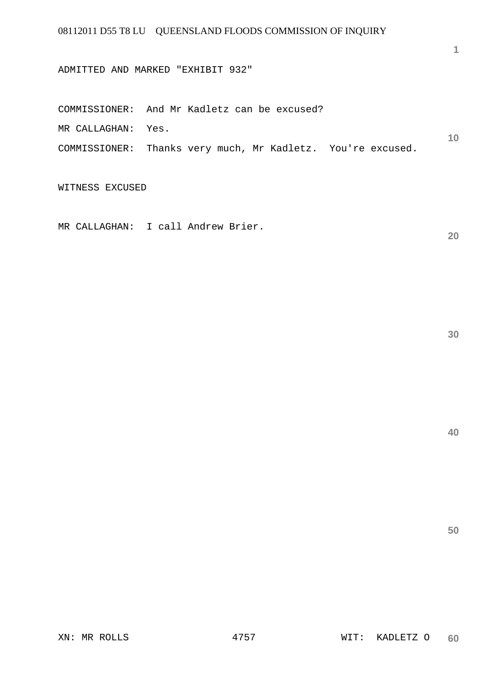ADMITTED AND MARKED "EXHIBIT 932"

**10**  COMMISSIONER: And Mr Kadletz can be excused? MR CALLAGHAN: Yes. COMMISSIONER: Thanks very much, Mr Kadletz. You're excused.

WITNESS EXCUSED

MR CALLAGHAN: I call Andrew Brier.

**30** 

**20** 

**1**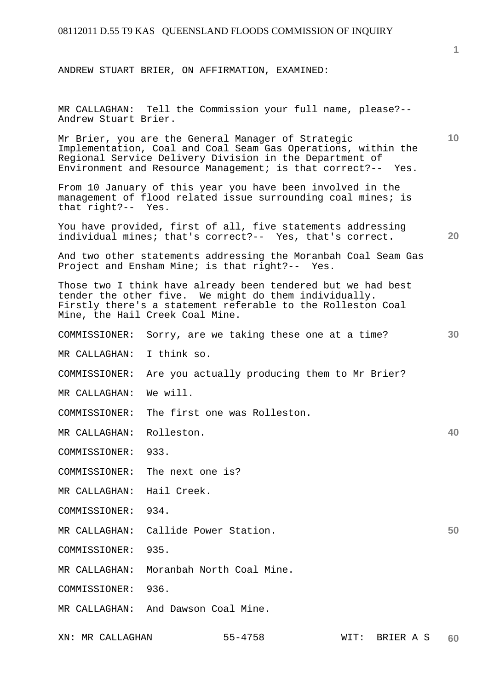ANDREW STUART BRIER, ON AFFIRMATION, EXAMINED:

MR CALLAGHAN: Tell the Commission your full name, please?-- Andrew Stuart Brier.

Mr Brier, you are the General Manager of Strategic Implementation, Coal and Coal Seam Gas Operations, within the Regional Service Delivery Division in the Department of Environment and Resource Management; is that correct?-- Yes.

From 10 January of this year you have been involved in the management of flood related issue surrounding coal mines; is that right?-- Yes.

You have provided, first of all, five statements addressing individual mines; that's correct?-- Yes, that's correct.

And two other statements addressing the Moranbah Coal Seam Gas Project and Ensham Mine; is that right?-- Yes.

Those two I think have already been tendered but we had best tender the other five. We might do them individually. Firstly there's a statement referable to the Rolleston Coal Mine, the Hail Creek Coal Mine.

- COMMISSIONER: Sorry, are we taking these one at a time?
- MR CALLAGHAN: I think so.
- COMMISSIONER: Are you actually producing them to Mr Brier?
- MR CALLAGHAN: We will.
- COMMISSIONER: The first one was Rolleston.
- MR CALLAGHAN: Rolleston.
- COMMISSIONER: 933.
- COMMISSIONER: The next one is?
- MR CALLAGHAN: Hail Creek.
- COMMISSIONER: 934.
- MR CALLAGHAN: Callide Power Station.
- COMMISSIONER: 935.
- MR CALLAGHAN: Moranbah North Coal Mine.
- COMMISSIONER: 936.
- MR CALLAGHAN: And Dawson Coal Mine.

**1**

**10** 

**20** 

**30** 

**40**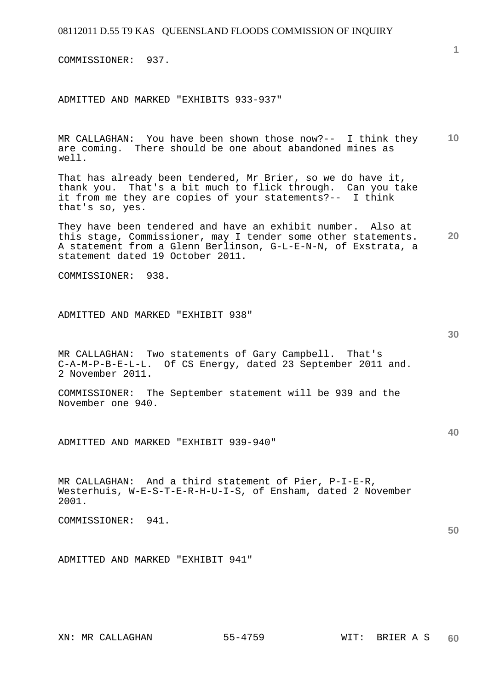COMMISSIONER: 937.

ADMITTED AND MARKED "EXHIBITS 933-937"

**10**  MR CALLAGHAN: You have been shown those now?-- I think they are coming. There should be one about abandoned mines as well.

That has already been tendered, Mr Brier, so we do have it, thank you. That's a bit much to flick through. Can you take it from me they are copies of your statements?-- I think that's so, yes.

**20**  They have been tendered and have an exhibit number. Also at this stage, Commissioner, may I tender some other statements. A statement from a Glenn Berlinson, G-L-E-N-N, of Exstrata, a statement dated 19 October 2011.

COMMISSIONER: 938.

ADMITTED AND MARKED "EXHIBIT 938"

MR CALLAGHAN: Two statements of Gary Campbell. That's C-A-M-P-B-E-L-L. Of CS Energy, dated 23 September 2011 and. 2 November 2011.

COMMISSIONER: The September statement will be 939 and the November one 940.

ADMITTED AND MARKED "EXHIBIT 939-940"

MR CALLAGHAN: And a third statement of Pier, P-I-E-R, Westerhuis, W-E-S-T-E-R-H-U-I-S, of Ensham, dated 2 November 2001.

COMMISSIONER: 941.

ADMITTED AND MARKED "EXHIBIT 941"

**30** 

**40**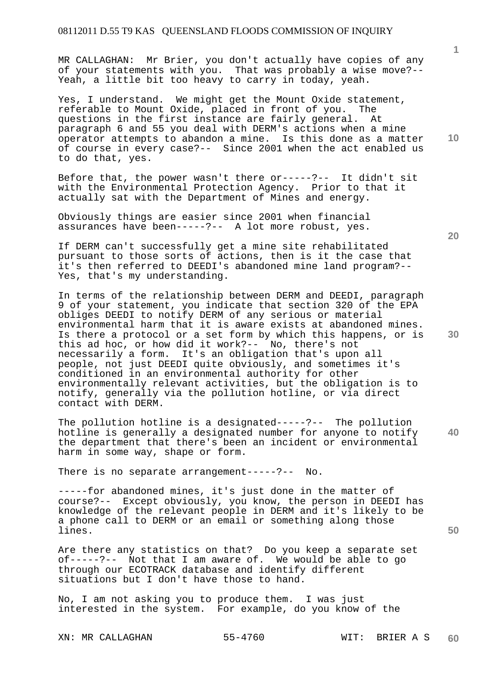MR CALLAGHAN: Mr Brier, you don't actually have copies of any of your statements with you. That was probably a wise move?-- Yeah, a little bit too heavy to carry in today, yeah.

Yes, I understand. We might get the Mount Oxide statement, referable to Mount Oxide, placed in front of you. The questions in the first instance are fairly general. At paragraph 6 and 55 you deal with DERM's actions when a mine operator attempts to abandon a mine. Is this done as a matter of course in every case?-- Since 2001 when the act enabled us to do that, yes.

Before that, the power wasn't there or-----?-- It didn't sit with the Environmental Protection Agency. Prior to that it actually sat with the Department of Mines and energy.

Obviously things are easier since 2001 when financial assurances have been-----?-- A lot more robust, yes.

If DERM can't successfully get a mine site rehabilitated pursuant to those sorts of actions, then is it the case that it's then referred to DEEDI's abandoned mine land program?-- Yes, that's my understanding.

In terms of the relationship between DERM and DEEDI, paragraph 9 of your statement, you indicate that section 320 of the EPA obliges DEEDI to notify DERM of any serious or material environmental harm that it is aware exists at abandoned mines. Is there a protocol or a set form by which this happens, or is this ad hoc, or how did it work?-- No, there's not necessarily a form. It's an obligation that's upon all people, not just DEEDI quite obviously, and sometimes it's conditioned in an environmental authority for other environmentally relevant activities, but the obligation is to notify, generally via the pollution hotline, or via direct contact with DERM.

**40**  The pollution hotline is a designated-----?-- The pollution hotline is generally a designated number for anyone to notify the department that there's been an incident or environmental harm in some way, shape or form.

There is no separate arrangement-----?-- No.

-----for abandoned mines, it's just done in the matter of course?-- Except obviously, you know, the person in DEEDI has knowledge of the relevant people in DERM and it's likely to be a phone call to DERM or an email or something along those lines.

Are there any statistics on that? Do you keep a separate set of-----?-- Not that I am aware of. We would be able to go through our ECOTRACK database and identify different situations but I don't have those to hand.

No, I am not asking you to produce them. I was just interested in the system. For example, do you know of the

XN: MR CALLAGHAN 55-4760 WIT: BRIER A S

**10** 

**1**

**20**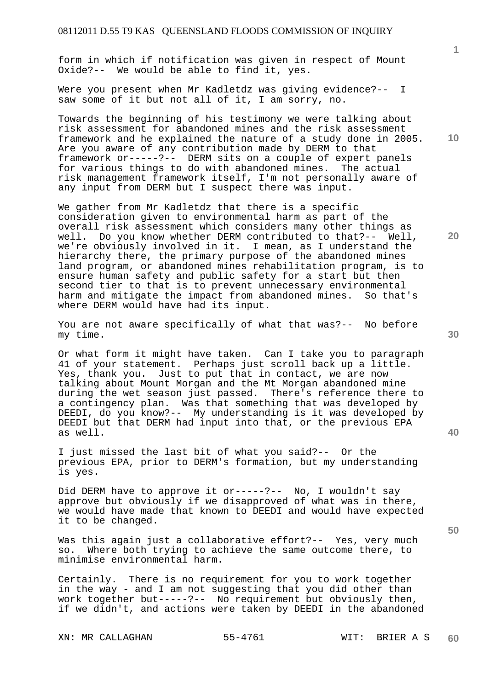form in which if notification was given in respect of Mount Oxide?-- We would be able to find it, yes.

Were you present when Mr Kadletdz was giving evidence?-- I saw some of it but not all of it, I am sorry, no.

Towards the beginning of his testimony we were talking about risk assessment for abandoned mines and the risk assessment framework and he explained the nature of a study done in 2005. Are you aware of any contribution made by DERM to that framework or-----?-- DERM sits on a couple of expert panels for various things to do with abandoned mines. The actual risk management framework itself, I'm not personally aware of any input from DERM but I suspect there was input.

We gather from Mr Kadletdz that there is a specific consideration given to environmental harm as part of the overall risk assessment which considers many other things as well. Do you know whether DERM contributed to that?-- Well, we're obviously involved in it. I mean, as I understand the hierarchy there, the primary purpose of the abandoned mines land program, or abandoned mines rehabilitation program, is to ensure human safety and public safety for a start but then second tier to that is to prevent unnecessary environmental harm and mitigate the impact from abandoned mines. So that's where DERM would have had its input.

You are not aware specifically of what that was?-- No before my time.

Or what form it might have taken. Can I take you to paragraph 41 of your statement. Perhaps just scroll back up a little. Yes, thank you. Just to put that in contact, we are now talking about Mount Morgan and the Mt Morgan abandoned mine during the wet season just passed. There's reference there to a contingency plan. Was that something that was developed by DEEDI, do you know?-- My understanding is it was developed by DEEDI but that DERM had input into that, or the previous EPA as well.

I just missed the last bit of what you said?-- Or the previous EPA, prior to DERM's formation, but my understanding is yes.

Did DERM have to approve it or-----?-- No, I wouldn't say approve but obviously if we disapproved of what was in there, we would have made that known to DEEDI and would have expected it to be changed.

Was this again just a collaborative effort?-- Yes, very much so. Where both trying to achieve the same outcome there, to minimise environmental harm.

Certainly. There is no requirement for you to work together in the way - and I am not suggesting that you did other than work together but-----?-- No requirement but obviously then, if we didn't, and actions were taken by DEEDI in the abandoned

XN: MR CALLAGHAN 55-4761 WIT: BRIER A S

**1**

**10** 

**20** 

**30** 

**50**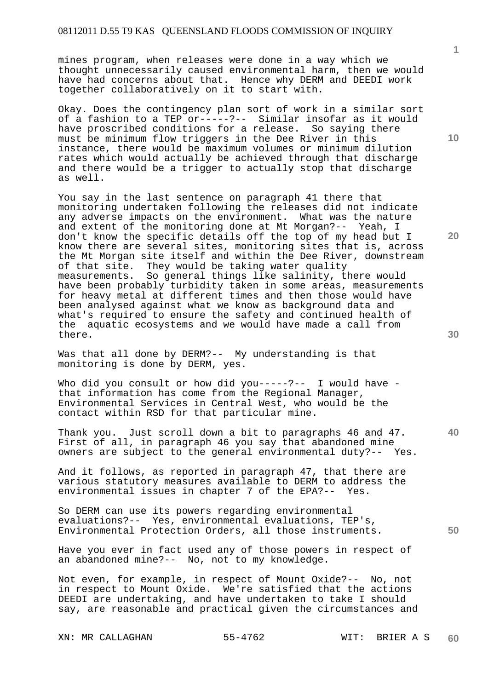mines program, when releases were done in a way which we thought unnecessarily caused environmental harm, then we would have had concerns about that. Hence why DERM and DEEDI work together collaboratively on it to start with.

Okay. Does the contingency plan sort of work in a similar sort of a fashion to a TEP or-----?-- Similar insofar as it would have proscribed conditions for a release. So saying there must be minimum flow triggers in the Dee River in this instance, there would be maximum volumes or minimum dilution rates which would actually be achieved through that discharge and there would be a trigger to actually stop that discharge as well.

You say in the last sentence on paragraph 41 there that monitoring undertaken following the releases did not indicate any adverse impacts on the environment. What was the nature and extent of the monitoring done at Mt Morgan?-- Yeah, I don't know the specific details off the top of my head but I know there are several sites, monitoring sites that is, across the Mt Morgan site itself and within the Dee River, downstream of that site. They would be taking water quality measurements. So general things like salinity, there would have been probably turbidity taken in some areas, measurements for heavy metal at different times and then those would have been analysed against what we know as background data and what's required to ensure the safety and continued health of the aquatic ecosystems and we would have made a call from there.

Was that all done by DERM?-- My understanding is that monitoring is done by DERM, yes.

Who did you consult or how did you-----?-- I would have that information has come from the Regional Manager, Environmental Services in Central West, who would be the contact within RSD for that particular mine.

Thank you. Just scroll down a bit to paragraphs 46 and 47. First of all, in paragraph 46 you say that abandoned mine owners are subject to the general environmental duty?-- Yes.

And it follows, as reported in paragraph 47, that there are various statutory measures available to DERM to address the environmental issues in chapter 7 of the EPA?-- Yes.

So DERM can use its powers regarding environmental evaluations?-- Yes, environmental evaluations, TEP's, Environmental Protection Orders, all those instruments.

Have you ever in fact used any of those powers in respect of an abandoned mine?-- No, not to my knowledge.

Not even, for example, in respect of Mount Oxide?-- No, not in respect to Mount Oxide. We're satisfied that the actions DEEDI are undertaking, and have undertaken to take I should say, are reasonable and practical given the circumstances and

XN: MR CALLAGHAN 55-4762 WIT: BRIER A S

**10** 

**1**

**20** 

**50**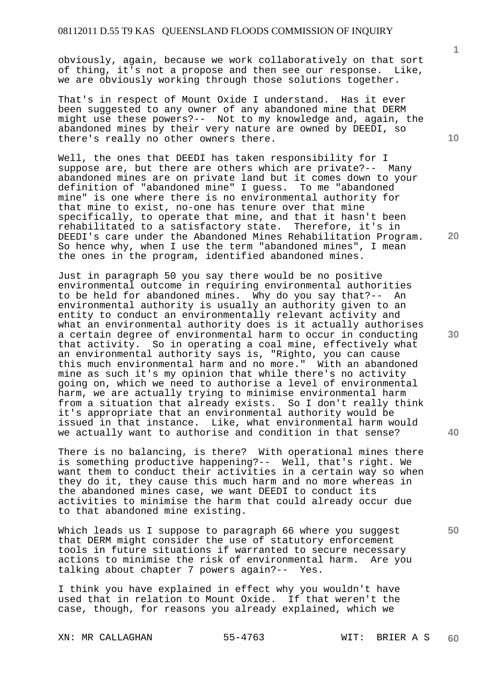obviously, again, because we work collaboratively on that sort of thing, it's not a propose and then see our response. Like, we are obviously working through those solutions together.

That's in respect of Mount Oxide I understand. Has it ever been suggested to any owner of any abandoned mine that DERM might use these powers?-- Not to my knowledge and, again, the abandoned mines by their very nature are owned by DEEDI, so there's really no other owners there.

Well, the ones that DEEDI has taken responsibility for I suppose are, but there are others which are private?-- Many abandoned mines are on private land but it comes down to your definition of "abandoned mine" I guess. To me "abandoned mine" is one where there is no environmental authority for that mine to exist, no-one has tenure over that mine specifically, to operate that mine, and that it hasn't been rehabilitated to a satisfactory state. Therefore, it's in DEEDI's care under the Abandoned Mines Rehabilitation Program. So hence why, when I use the term "abandoned mines", I mean the ones in the program, identified abandoned mines.

Just in paragraph 50 you say there would be no positive environmental outcome in requiring environmental authorities to be held for abandoned mines. Why do you say that?-- An environmental authority is usually an authority given to an entity to conduct an environmentally relevant activity and what an environmental authority does is it actually authorises a certain degree of environmental harm to occur in conducting that activity. So in operating a coal mine, effectively what an environmental authority says is, "Righto, you can cause this much environmental harm and no more." With an abandoned mine as such it's my opinion that while there's no activity going on, which we need to authorise a level of environmental harm, we are actually trying to minimise environmental harm from a situation that already exists. So I don't really think it's appropriate that an environmental authority would be issued in that instance. Like, what environmental harm would we actually want to authorise and condition in that sense?

There is no balancing, is there? With operational mines there is something productive happening?-- Well, that's right. We want them to conduct their activities in a certain way so when they do it, they cause this much harm and no more whereas in the abandoned mines case, we want DEEDI to conduct its activities to minimise the harm that could already occur due to that abandoned mine existing.

Which leads us I suppose to paragraph 66 where you suggest that DERM might consider the use of statutory enforcement tools in future situations if warranted to secure necessary actions to minimise the risk of environmental harm. Are you talking about chapter 7 powers again?-- Yes.

I think you have explained in effect why you wouldn't have used that in relation to Mount Oxide. If that weren't the case, though, for reasons you already explained, which we

XN: MR CALLAGHAN 55-4763 WIT: BRIER A S

**1**

**20** 

**40**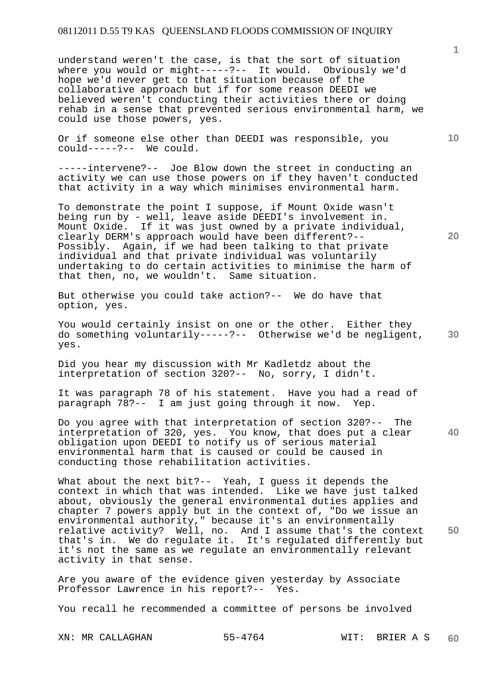understand weren't the case, is that the sort of situation where you would or might-----?-- It would. Obviously we'd hope we'd never get to that situation because of the collaborative approach but if for some reason DEEDI we believed weren't conducting their activities there or doing rehab in a sense that prevented serious environmental harm, we could use those powers, yes.

Or if someone else other than DEEDI was responsible, you could-----?-- We could.

-----intervene?-- Joe Blow down the street in conducting an activity we can use those powers on if they haven't conducted that activity in a way which minimises environmental harm.

To demonstrate the point I suppose, if Mount Oxide wasn't being run by - well, leave aside DEEDI's involvement in. Mount Oxide. If it was just owned by a private individual, clearly DERM's approach would have been different?-- Possibly. Again, if we had been talking to that private individual and that private individual was voluntarily undertaking to do certain activities to minimise the harm of that then, no, we wouldn't. Same situation.

But otherwise you could take action?-- We do have that option, yes.

**30**  You would certainly insist on one or the other. Either they do something voluntarily-----?-- Otherwise we'd be negligent, yes.

Did you hear my discussion with Mr Kadletdz about the interpretation of section 320?-- No, sorry, I didn't.

It was paragraph 78 of his statement. Have you had a read of paragraph 78?-- I am just going through it now. Yep.

Do you agree with that interpretation of section 320?-- The interpretation of 320, yes. You know, that does put a clear obligation upon DEEDI to notify us of serious material environmental harm that is caused or could be caused in conducting those rehabilitation activities.

**50**  What about the next bit?-- Yeah, I guess it depends the context in which that was intended. Like we have just talked about, obviously the general environmental duties applies and chapter 7 powers apply but in the context of, "Do we issue an environmental authority," because it's an environmentally relative activity? Well, no. And I assume that's the context that's in. We do regulate it. It's regulated differently but it's not the same as we regulate an environmentally relevant activity in that sense.

Are you aware of the evidence given yesterday by Associate Professor Lawrence in his report?-- Yes.

You recall he recommended a committee of persons be involved

XN: MR CALLAGHAN 55-4764 WIT: BRIER A S

**20** 

**10**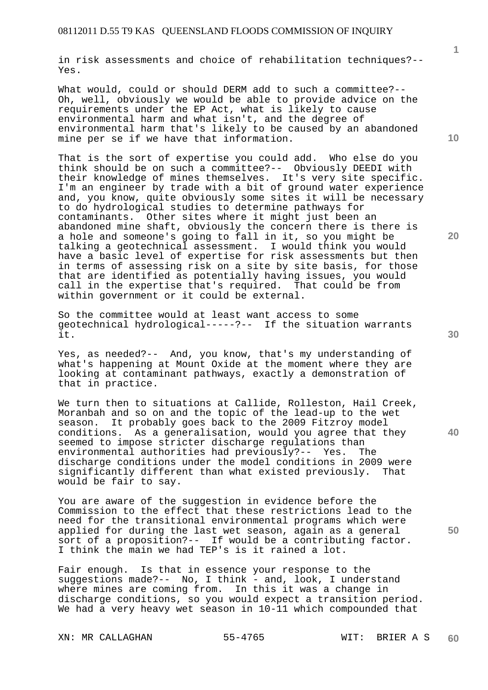in risk assessments and choice of rehabilitation techniques?-- Yes.

What would, could or should DERM add to such a committee?-- Oh, well, obviously we would be able to provide advice on the requirements under the EP Act, what is likely to cause environmental harm and what isn't, and the degree of environmental harm that's likely to be caused by an abandoned mine per se if we have that information.

That is the sort of expertise you could add. Who else do you think should be on such a committee?-- Obviously DEEDI with their knowledge of mines themselves. It's very site specific. I'm an engineer by trade with a bit of ground water experience and, you know, quite obviously some sites it will be necessary to do hydrological studies to determine pathways for contaminants. Other sites where it might just been an abandoned mine shaft, obviously the concern there is there is a hole and someone's going to fall in it, so you might be talking a geotechnical assessment. I would think you would have a basic level of expertise for risk assessments but then in terms of assessing risk on a site by site basis, for those that are identified as potentially having issues, you would call in the expertise that's required. That could be from within government or it could be external.

So the committee would at least want access to some geotechnical hydrological-----?-- If the situation warrants it.

Yes, as needed?-- And, you know, that's my understanding of what's happening at Mount Oxide at the moment where they are looking at contaminant pathways, exactly a demonstration of that in practice.

We turn then to situations at Callide, Rolleston, Hail Creek, Moranbah and so on and the topic of the lead-up to the wet season. It probably goes back to the 2009 Fitzroy model conditions. As a generalisation, would you agree that they seemed to impose stricter discharge regulations than environmental authorities had previously?-- Yes. The discharge conditions under the model conditions in 2009 were<br>significantly different than what existed previously. That significantly different than what existed previously. would be fair to say.

You are aware of the suggestion in evidence before the Commission to the effect that these restrictions lead to the need for the transitional environmental programs which were applied for during the last wet season, again as a general sort of a proposition?-- If would be a contributing factor. I think the main we had TEP's is it rained a lot.

Fair enough. Is that in essence your response to the suggestions made?-- No, I think - and, look, I understand where mines are coming from. In this it was a change in discharge conditions, so you would expect a transition period. We had a very heavy wet season in 10-11 which compounded that

XN: MR CALLAGHAN 55-4765 WIT: BRIER A S

**10** 

**1**

**20** 

**40**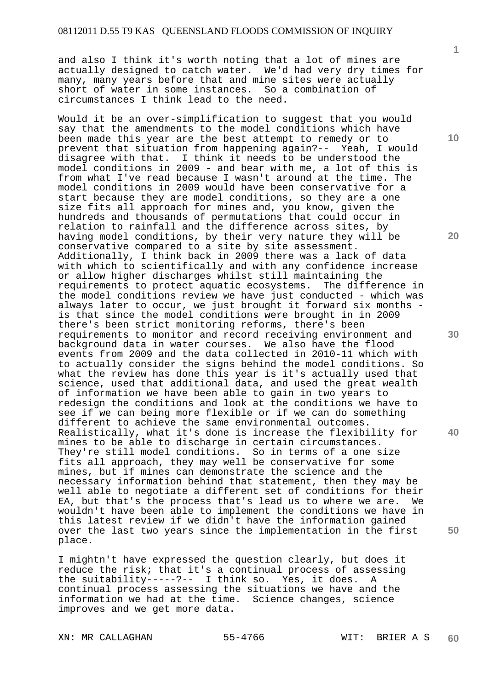and also I think it's worth noting that a lot of mines are actually designed to catch water. We'd had very dry times for many, many years before that and mine sites were actually short of water in some instances. So a combination of circumstances I think lead to the need.

Would it be an over-simplification to suggest that you would say that the amendments to the model conditions which have been made this year are the best attempt to remedy or to prevent that situation from happening again?-- Yeah, I would disagree with that. I think it needs to be understood the model conditions in 2009 - and bear with me, a lot of this is from what I've read because I wasn't around at the time. The model conditions in 2009 would have been conservative for a start because they are model conditions, so they are a one size fits all approach for mines and, you know, given the hundreds and thousands of permutations that could occur in relation to rainfall and the difference across sites, by having model conditions, by their very nature they will be conservative compared to a site by site assessment. Additionally, I think back in 2009 there was a lack of data with which to scientifically and with any confidence increase or allow higher discharges whilst still maintaining the<br>requirements to protect aquatic ecosystems. The difference in requirements to protect aquatic ecosystems. the model conditions review we have just conducted - which was always later to occur, we just brought it forward six months is that since the model conditions were brought in in 2009 there's been strict monitoring reforms, there's been requirements to monitor and record receiving environment and background data in water courses. We also have the flood events from 2009 and the data collected in 2010-11 which with to actually consider the signs behind the model conditions. So what the review has done this year is it's actually used that science, used that additional data, and used the great wealth of information we have been able to gain in two years to redesign the conditions and look at the conditions we have to see if we can being more flexible or if we can do something different to achieve the same environmental outcomes. Realistically, what it's done is increase the flexibility for mines to be able to discharge in certain circumstances. They're still model conditions. So in terms of a one size fits all approach, they may well be conservative for some mines, but if mines can demonstrate the science and the necessary information behind that statement, then they may be well able to negotiate a different set of conditions for their EA, but that's the process that's lead us to where we are. We wouldn't have been able to implement the conditions we have in this latest review if we didn't have the information gained over the last two years since the implementation in the first place.

I mightn't have expressed the question clearly, but does it reduce the risk; that it's a continual process of assessing the suitability-----?-- I think so. Yes, it does. A continual process assessing the situations we have and the information we had at the time. Science changes, science improves and we get more data.

**1**

**10** 

**20** 

**30** 

**40**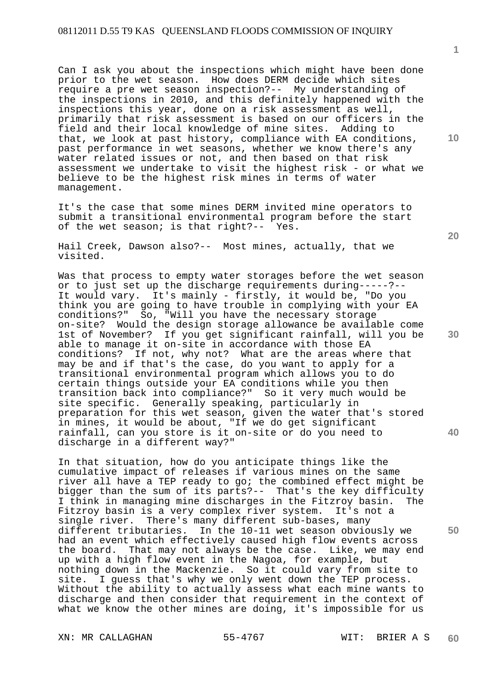Can I ask you about the inspections which might have been done prior to the wet season. How does DERM decide which sites require a pre wet season inspection?-- My understanding of the inspections in 2010, and this definitely happened with the inspections this year, done on a risk assessment as well, primarily that risk assessment is based on our officers in the field and their local knowledge of mine sites. Adding to that, we look at past history, compliance with EA conditions, past performance in wet seasons, whether we know there's any water related issues or not, and then based on that risk assessment we undertake to visit the highest risk - or what we believe to be the highest risk mines in terms of water management.

It's the case that some mines DERM invited mine operators to submit a transitional environmental program before the start of the wet season; is that right?-- Yes.

Hail Creek, Dawson also?-- Most mines, actually, that we visited.

Was that process to empty water storages before the wet season or to just set up the discharge requirements during-----?-- It would vary. It's mainly - firstly, it would be, "Do you think you are going to have trouble in complying with your EA conditions?" So, "Will you have the necessary storage on-site? Would the design storage allowance be available come 1st of November? If you get significant rainfall, will you be able to manage it on-site in accordance with those EA conditions? If not, why not? What are the areas where that may be and if that's the case, do you want to apply for a transitional environmental program which allows you to do certain things outside your EA conditions while you then transition back into compliance?" So it very much would be site specific. Generally speaking, particularly in preparation for this wet season, given the water that's stored in mines, it would be about, "If we do get significant rainfall, can you store is it on-site or do you need to discharge in a different way?"

In that situation, how do you anticipate things like the cumulative impact of releases if various mines on the same river all have a TEP ready to go; the combined effect might be bigger than the sum of its parts?-- That's the key difficulty I think in managing mine discharges in the Fitzroy basin. The Fitzroy basin is a very complex river system. It's not a single river. There's many different sub-bases, many different tributaries. In the 10-11 wet season obviously we had an event which effectively caused high flow events across the board. That may not always be the case. Like, we may end up with a high flow event in the Nagoa, for example, but nothing down in the Mackenzie. So it could vary from site to site. I guess that's why we only went down the TEP process. Without the ability to actually assess what each mine wants to discharge and then consider that requirement in the context of what we know the other mines are doing, it's impossible for us

XN: MR CALLAGHAN 55-4767 WIT: BRIER A S

**1**

**10** 

**20** 

**30** 

**40**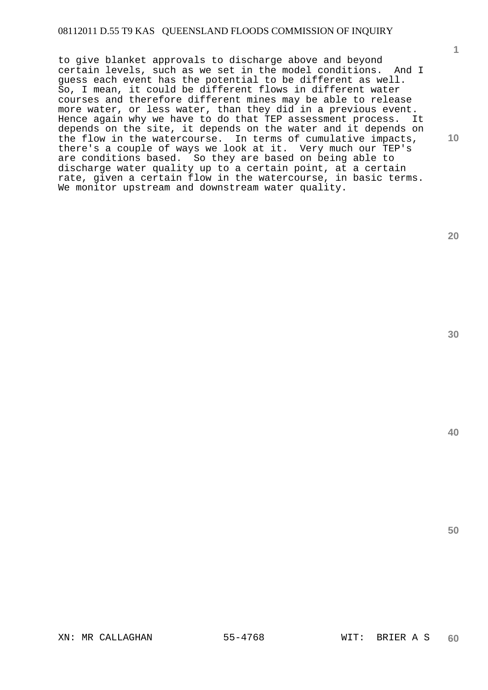to give blanket approvals to discharge above and beyond certain levels, such as we set in the model conditions. And I guess each event has the potential to be different as well. So, I mean, it could be different flows in different water courses and therefore different mines may be able to release more water, or less water, than they did in a previous event. Hence again why we have to do that TEP assessment process. It depends on the site, it depends on the water and it depends on the flow in the watercourse. In terms of cumulative impacts, there's a couple of ways we look at it. Very much our TEP's are conditions based. So they are based on being able to discharge water quality up to a certain point, at a certain rate, given a certain flow in the watercourse, in basic terms. We monitor upstream and downstream water quality.

**20** 

**1**

**10** 

**30**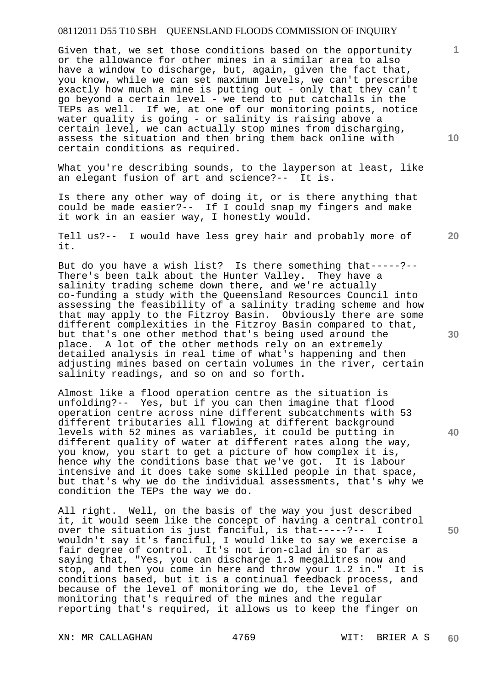Given that, we set those conditions based on the opportunity or the allowance for other mines in a similar area to also have a window to discharge, but, again, given the fact that, you know, while we can set maximum levels, we can't prescribe exactly how much a mine is putting out - only that they can't go beyond a certain level - we tend to put catchalls in the TEPs as well. If we, at one of our monitoring points, notice water quality is going - or salinity is raising above a certain level, we can actually stop mines from discharging, assess the situation and then bring them back online with certain conditions as required.

What you're describing sounds, to the layperson at least, like an elegant fusion of art and science?-- It is.

Is there any other way of doing it, or is there anything that could be made easier?-- If I could snap my fingers and make it work in an easier way, I honestly would.

Tell us?-- I would have less grey hair and probably more of it.

But do you have a wish list? Is there something that-----?-- There's been talk about the Hunter Valley. They have a salinity trading scheme down there, and we're actually co-funding a study with the Queensland Resources Council into assessing the feasibility of a salinity trading scheme and how that may apply to the Fitzroy Basin. Obviously there are some different complexities in the Fitzroy Basin compared to that, but that's one other method that's being used around the place. A lot of the other methods rely on an extremely detailed analysis in real time of what's happening and then adjusting mines based on certain volumes in the river, certain salinity readings, and so on and so forth.

Almost like a flood operation centre as the situation is unfolding?-- Yes, but if you can then imagine that flood operation centre across nine different subcatchments with 53 different tributaries all flowing at different background levels with 52 mines as variables, it could be putting in different quality of water at different rates along the way, you know, you start to get a picture of how complex it is, hence why the conditions base that we've got. It is labour intensive and it does take some skilled people in that space, but that's why we do the individual assessments, that's why we condition the TEPs the way we do.

All right. Well, on the basis of the way you just described it, it would seem like the concept of having a central control over the situation is just fanciful, is that-----?-- I wouldn't say it's fanciful, I would like to say we exercise a fair degree of control. It's not iron-clad in so far as saying that, "Yes, you can discharge 1.3 megalitres now and stop, and then you come in here and throw your 1.2 in." It is conditions based, but it is a continual feedback process, and because of the level of monitoring we do, the level of monitoring that's required of the mines and the regular reporting that's required, it allows us to keep the finger on

**30** 

**20** 

**50** 

**40** 

**10**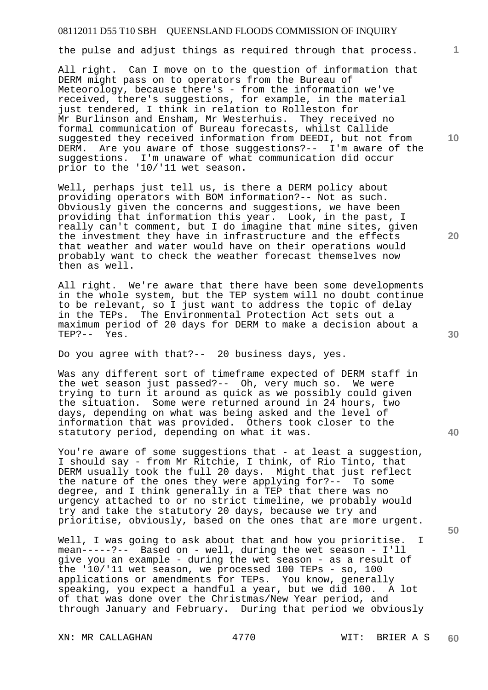the pulse and adjust things as required through that process.

All right. Can I move on to the question of information that DERM might pass on to operators from the Bureau of Meteorology, because there's - from the information we've received, there's suggestions, for example, in the material just tendered, I think in relation to Rolleston for Mr Burlinson and Ensham, Mr Westerhuis. They received no formal communication of Bureau forecasts, whilst Callide suggested they received information from DEEDI, but not from DERM. Are you aware of those suggestions?-- I'm aware of the suggestions. I'm unaware of what communication did occur prior to the '10/'11 wet season.

Well, perhaps just tell us, is there a DERM policy about providing operators with BOM information?-- Not as such. Obviously given the concerns and suggestions, we have been providing that information this year. Look, in the past, I really can't comment, but I do imagine that mine sites, given the investment they have in infrastructure and the effects that weather and water would have on their operations would probably want to check the weather forecast themselves now then as well.

All right. We're aware that there have been some developments in the whole system, but the TEP system will no doubt continue to be relevant, so I just want to address the topic of delay in the TEPs. The Environmental Protection Act sets out a maximum period of 20 days for DERM to make a decision about a TEP?-- Yes.

Do you agree with that?-- 20 business days, yes.

Was any different sort of timeframe expected of DERM staff in the wet season just passed?-- Oh, very much so. We were trying to turn it around as quick as we possibly could given the situation. Some were returned around in 24 hours, two days, depending on what was being asked and the level of information that was provided. Others took closer to the statutory period, depending on what it was.

You're aware of some suggestions that - at least a suggestion, I should say - from Mr Ritchie, I think, of Rio Tinto, that DERM usually took the full 20 days. Might that just reflect the nature of the ones they were applying for?-- To some degree, and I think generally in a TEP that there was no urgency attached to or no strict timeline, we probably would try and take the statutory 20 days, because we try and prioritise, obviously, based on the ones that are more urgent.

Well, I was going to ask about that and how you prioritise. mean-----?-- Based on - well, during the wet season - I'll give you an example - during the wet season - as a result of the '10/'11 wet season, we processed 100 TEPs - so, 100 applications or amendments for TEPs. You know, generally speaking, you expect a handful a year, but we did 100. A lot of that was done over the Christmas/New Year period, and through January and February. During that period we obviously

XN: MR CALLAGHAN 4770 WIT: BRIER A S

**20** 

**40** 

**50** 

**10**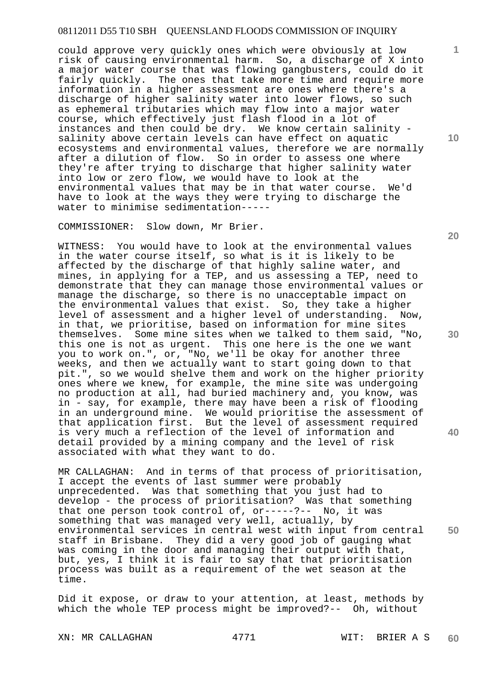could approve very quickly ones which were obviously at low risk of causing environmental harm. So, a discharge of X into a major water course that was flowing gangbusters, could do it fairly quickly. The ones that take more time and require more information in a higher assessment are ones where there's a discharge of higher salinity water into lower flows, so such as ephemeral tributaries which may flow into a major water course, which effectively just flash flood in a lot of instances and then could be dry. We know certain salinity salinity above certain levels can have effect on aquatic ecosystems and environmental values, therefore we are normally after a dilution of flow. So in order to assess one where they're after trying to discharge that higher salinity water into low or zero flow, we would have to look at the environmental values that may be in that water course. We'd have to look at the ways they were trying to discharge the water to minimise sedimentation-----

COMMISSIONER: Slow down, Mr Brier.

WITNESS: You would have to look at the environmental values in the water course itself, so what is it is likely to be affected by the discharge of that highly saline water, and mines, in applying for a TEP, and us assessing a TEP, need to demonstrate that they can manage those environmental values or manage the discharge, so there is no unacceptable impact on the environmental values that exist. So, they take a higher level of assessment and a higher level of understanding. Now, in that, we prioritise, based on information for mine sites themselves. Some mine sites when we talked to them said, "No, this one is not as urgent. This one here is the one we want you to work on.", or, "No, we'll be okay for another three weeks, and then we actually want to start going down to that pit.", so we would shelve them and work on the higher priority ones where we knew, for example, the mine site was undergoing no production at all, had buried machinery and, you know, was in - say, for example, there may have been a risk of flooding in an underground mine. We would prioritise the assessment of that application first. But the level of assessment required is very much a reflection of the level of information and detail provided by a mining company and the level of risk associated with what they want to do.

MR CALLAGHAN: And in terms of that process of prioritisation, I accept the events of last summer were probably unprecedented. Was that something that you just had to develop - the process of prioritisation? Was that something that one person took control of, or-----?-- No, it was something that was managed very well, actually, by environmental services in central west with input from central staff in Brisbane. They did a very good job of gauging what was coming in the door and managing their output with that, but, yes, I think it is fair to say that that prioritisation process was built as a requirement of the wet season at the time.

Did it expose, or draw to your attention, at least, methods by which the whole TEP process might be improved?-- Oh, without

XN: MR CALLAGHAN 4771 WIT: BRIER A S **60** 

**10** 

**1**

**20** 

**30** 

**40**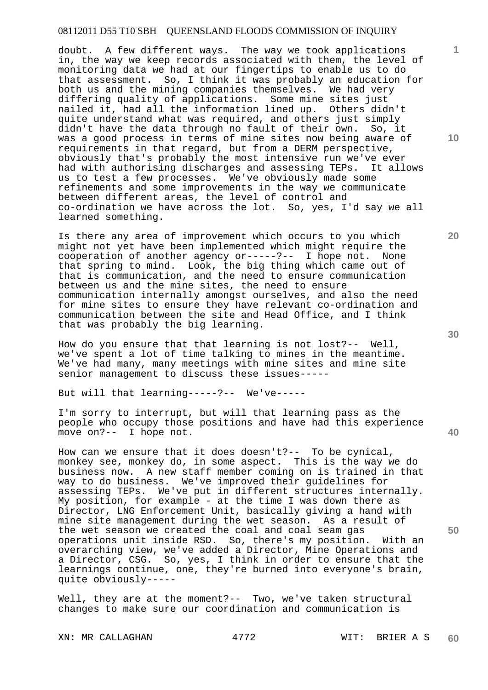doubt. A few different ways. The way we took applications in, the way we keep records associated with them, the level of monitoring data we had at our fingertips to enable us to do that assessment. So, I think it was probably an education for both us and the mining companies themselves. We had very differing quality of applications. Some mine sites just nailed it, had all the information lined up. Others didn't quite understand what was required, and others just simply didn't have the data through no fault of their own. So, it was a good process in terms of mine sites now being aware of requirements in that regard, but from a DERM perspective, obviously that's probably the most intensive run we've ever had with authorising discharges and assessing TEPs. It allows us to test a few processes. We've obviously made some refinements and some improvements in the way we communicate between different areas, the level of control and co-ordination we have across the lot. So, yes, I'd say we all learned something.

Is there any area of improvement which occurs to you which might not yet have been implemented which might require the cooperation of another agency or-----?-- I hope not. None that spring to mind. Look, the big thing which came out of that is communication, and the need to ensure communication between us and the mine sites, the need to ensure communication internally amongst ourselves, and also the need for mine sites to ensure they have relevant co-ordination and communication between the site and Head Office, and I think that was probably the big learning.

How do you ensure that that learning is not lost?-- Well, we've spent a lot of time talking to mines in the meantime. We've had many, many meetings with mine sites and mine site senior management to discuss these issues-----

But will that learning-----?-- We've-----

I'm sorry to interrupt, but will that learning pass as the people who occupy those positions and have had this experience move on?-- I hope not.

How can we ensure that it does doesn't?-- To be cynical, monkey see, monkey do, in some aspect. This is the way we do business now. A new staff member coming on is trained in that way to do business. We've improved their guidelines for assessing TEPs. We've put in different structures internally. My position, for example - at the time I was down there as Director, LNG Enforcement Unit, basically giving a hand with mine site management during the wet season. As a result of the wet season we created the coal and coal seam gas operations unit inside RSD. So, there's my position. With an overarching view, we've added a Director, Mine Operations and a Director, CSG. So, yes, I think in order to ensure that the learnings continue, one, they're burned into everyone's brain, quite obviously-----

Well, they are at the moment?-- Two, we've taken structural changes to make sure our coordination and communication is

XN: MR CALLAGHAN 4772 WIT: BRIER A S

**40** 

**50** 

**20** 

**10**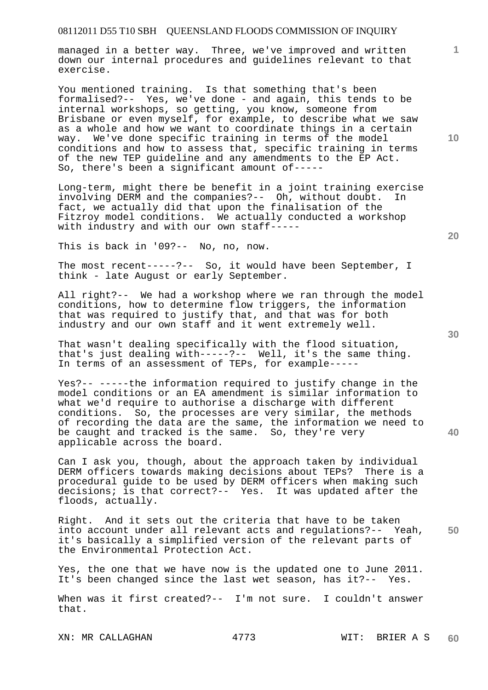managed in a better way. Three, we've improved and written down our internal procedures and guidelines relevant to that exercise.

You mentioned training. Is that something that's been formalised?-- Yes, we've done - and again, this tends to be internal workshops, so getting, you know, someone from Brisbane or even myself, for example, to describe what we saw as a whole and how we want to coordinate things in a certain way. We've done specific training in terms of the model conditions and how to assess that, specific training in terms of the new TEP guideline and any amendments to the EP Act. So, there's been a significant amount of-----

Long-term, might there be benefit in a joint training exercise involving DERM and the companies?-- Oh, without doubt. In fact, we actually did that upon the finalisation of the Fitzroy model conditions. We actually conducted a workshop with industry and with our own staff-----

This is back in '09?-- No, no, now.

The most recent-----?-- So, it would have been September, I think - late August or early September.

All right?-- We had a workshop where we ran through the model conditions, how to determine flow triggers, the information that was required to justify that, and that was for both industry and our own staff and it went extremely well.

That wasn't dealing specifically with the flood situation, that's just dealing with-----?-- Well, it's the same thing. In terms of an assessment of TEPs, for example-----

Yes?-- -----the information required to justify change in the model conditions or an EA amendment is similar information to what we'd require to authorise a discharge with different conditions. So, the processes are very similar, the methods of recording the data are the same, the information we need to be caught and tracked is the same. So, they're very applicable across the board.

Can I ask you, though, about the approach taken by individual DERM officers towards making decisions about TEPs? There is a procedural guide to be used by DERM officers when making such decisions; is that correct?-- Yes. It was updated after the floods, actually.

**50**  Right. And it sets out the criteria that have to be taken into account under all relevant acts and regulations?-- Yeah, it's basically a simplified version of the relevant parts of the Environmental Protection Act.

Yes, the one that we have now is the updated one to June 2011. It's been changed since the last wet season, has it?-- Yes.

When was it first created?-- I'm not sure. I couldn't answer that.

XN: MR CALLAGHAN 4773 WIT: BRIER A S **60** 

**30** 

**40** 

**20** 

**10**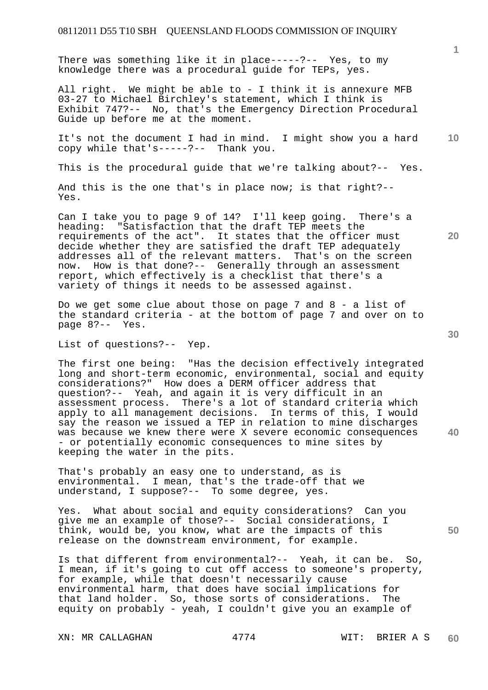There was something like it in place-----?-- Yes, to my knowledge there was a procedural guide for TEPs, yes.

All right. We might be able to - I think it is annexure MFB 03-27 to Michael Birchley's statement, which I think is Exhibit 747?-- No, that's the Emergency Direction Procedural Guide up before me at the moment.

**10**  It's not the document I had in mind. I might show you a hard copy while that's-----?-- Thank you.

This is the procedural guide that we're talking about?-- Yes.

And this is the one that's in place now; is that right?-- Yes.

Can I take you to page 9 of 14? I'll keep going. There's a heading: "Satisfaction that the draft TEP meets the requirements of the act". It states that the officer must decide whether they are satisfied the draft TEP adequately addresses all of the relevant matters. That's on the screen now. How is that done?-- Generally through an assessment report, which effectively is a checklist that there's a variety of things it needs to be assessed against.

Do we get some clue about those on page 7 and 8 - a list of the standard criteria - at the bottom of page 7 and over on to page 8?-- Yes.

List of questions?-- Yep.

The first one being: "Has the decision effectively integrated long and short-term economic, environmental, social and equity considerations?" How does a DERM officer address that question?-- Yeah, and again it is very difficult in an assessment process. There's a lot of standard criteria which apply to all management decisions. In terms of this, I would say the reason we issued a TEP in relation to mine discharges was because we knew there were X severe economic consequences - or potentially economic consequences to mine sites by keeping the water in the pits.

That's probably an easy one to understand, as is environmental. I mean, that's the trade-off that we understand, I suppose?-- To some degree, yes.

Yes. What about social and equity considerations? Can you give me an example of those?-- Social considerations, I think, would be, you know, what are the impacts of this release on the downstream environment, for example.

Is that different from environmental?-- Yeah, it can be. So, I mean, if it's going to cut off access to someone's property, for example, while that doesn't necessarily cause environmental harm, that does have social implications for that land holder. So, those sorts of considerations. The equity on probably - yeah, I couldn't give you an example of

**20** 

**1**

**40**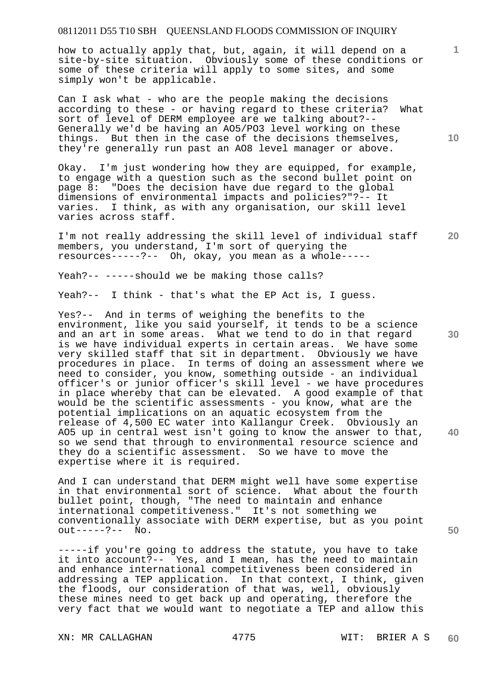how to actually apply that, but, again, it will depend on a site-by-site situation. Obviously some of these conditions or some of these criteria will apply to some sites, and some simply won't be applicable.

Can I ask what - who are the people making the decisions according to these - or having regard to these criteria? What sort of level of DERM employee are we talking about?-- Generally we'd be having an AO5/PO3 level working on these things. But then in the case of the decisions themselves, they're generally run past an AO8 level manager or above.

Okay. I'm just wondering how they are equipped, for example, to engage with a question such as the second bullet point on page 8: "Does the decision have due regard to the global dimensions of environmental impacts and policies?"?-- It varies. I think, as with any organisation, our skill level varies across staff.

**20**  I'm not really addressing the skill level of individual staff members, you understand, I'm sort of querying the resources-----?-- Oh, okay, you mean as a whole-----

Yeah?-- -----should we be making those calls?

Yeah?-- I think - that's what the EP Act is, I guess.

Yes?-- And in terms of weighing the benefits to the environment, like you said yourself, it tends to be a science and an art in some areas. What we tend to do in that regard is we have individual experts in certain areas. We have some very skilled staff that sit in department. Obviously we have procedures in place. In terms of doing an assessment where we need to consider, you know, something outside - an individual officer's or junior officer's skill level - we have procedures in place whereby that can be elevated. A good example of that would be the scientific assessments - you know, what are the potential implications on an aquatic ecosystem from the release of 4,500 EC water into Kallangur Creek. Obviously an AO5 up in central west isn't going to know the answer to that, so we send that through to environmental resource science and they do a scientific assessment. So we have to move the expertise where it is required.

And I can understand that DERM might well have some expertise in that environmental sort of science. What about the fourth bullet point, though, "The need to maintain and enhance international competitiveness." It's not something we conventionally associate with DERM expertise, but as you point out-----?-- No.

-----if you're going to address the statute, you have to take it into account?-- Yes, and I mean, has the need to maintain and enhance international competitiveness been considered in addressing a TEP application. In that context, I think, given the floods, our consideration of that was, well, obviously these mines need to get back up and operating, therefore the very fact that we would want to negotiate a TEP and allow this

XN: MR CALLAGHAN 4775 WIT: BRIER A S

**10** 

**1**

**30** 

**40**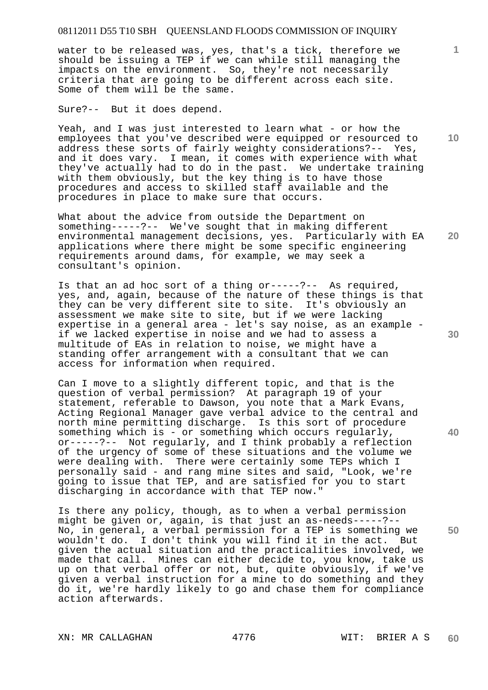water to be released was, yes, that's a tick, therefore we should be issuing a TEP if we can while still managing the impacts on the environment. So, they're not necessarily criteria that are going to be different across each site. Some of them will be the same.

Sure?-- But it does depend.

Yeah, and I was just interested to learn what - or how the employees that you've described were equipped or resourced to address these sorts of fairly weighty considerations?-- Yes, and it does vary. I mean, it comes with experience with what they've actually had to do in the past. We undertake training with them obviously, but the key thing is to have those procedures and access to skilled staff available and the procedures in place to make sure that occurs.

What about the advice from outside the Department on something-----?-- We've sought that in making different environmental management decisions, yes. Particularly with EA applications where there might be some specific engineering requirements around dams, for example, we may seek a consultant's opinion.

Is that an ad hoc sort of a thing or-----?-- As required, yes, and, again, because of the nature of these things is that they can be very different site to site. It's obviously an assessment we make site to site, but if we were lacking expertise in a general area - let's say noise, as an example if we lacked expertise in noise and we had to assess a multitude of EAs in relation to noise, we might have a standing offer arrangement with a consultant that we can access for information when required.

Can I move to a slightly different topic, and that is the question of verbal permission? At paragraph 19 of your statement, referable to Dawson, you note that a Mark Evans, Acting Regional Manager gave verbal advice to the central and north mine permitting discharge. Is this sort of procedure something which is - or something which occurs regularly, or-----?-- Not regularly, and I think probably a reflection of the urgency of some of these situations and the volume we were dealing with. There were certainly some TEPs which I personally said - and rang mine sites and said, "Look, we're going to issue that TEP, and are satisfied for you to start discharging in accordance with that TEP now."

Is there any policy, though, as to when a verbal permission might be given or, again, is that just an as-needs-----?-- No, in general, a verbal permission for a TEP is something we wouldn't do. I don't think you will find it in the act. But given the actual situation and the practicalities involved, we made that call. Mines can either decide to, you know, take us up on that verbal offer or not, but, quite obviously, if we've given a verbal instruction for a mine to do something and they do it, we're hardly likely to go and chase them for compliance action afterwards.

XN: MR CALLAGHAN 4776 WIT: BRIER A S

**10** 

**1**

**20** 

**30** 

**40**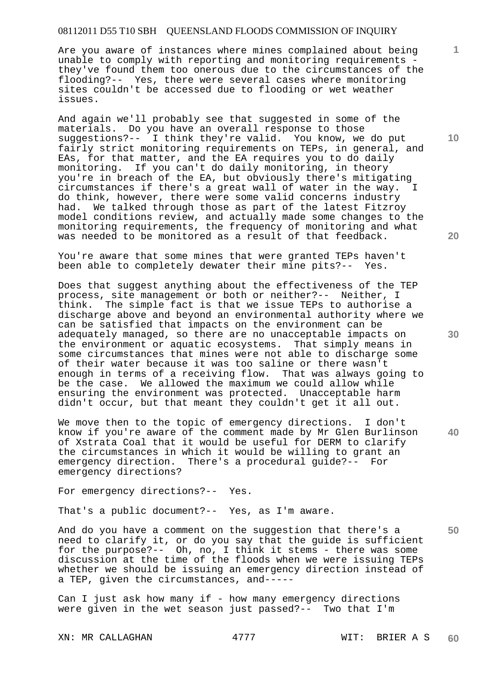Are you aware of instances where mines complained about being unable to comply with reporting and monitoring requirements they've found them too onerous due to the circumstances of the flooding?-- Yes, there were several cases where monitoring sites couldn't be accessed due to flooding or wet weather issues.

And again we'll probably see that suggested in some of the materials. Do you have an overall response to those suggestions?-- I think they're valid. You know, we do put fairly strict monitoring requirements on TEPs, in general, and EAs, for that matter, and the EA requires you to do daily monitoring. If you can't do daily monitoring, in theory you're in breach of the EA, but obviously there's mitigating circumstances if there's a great wall of water in the way. I do think, however, there were some valid concerns industry had. We talked through those as part of the latest Fitzroy model conditions review, and actually made some changes to the monitoring requirements, the frequency of monitoring and what was needed to be monitored as a result of that feedback.

You're aware that some mines that were granted TEPs haven't been able to completely dewater their mine pits?-- Yes.

Does that suggest anything about the effectiveness of the TEP process, site management or both or neither?-- Neither, I think. The simple fact is that we issue TEPs to authorise a discharge above and beyond an environmental authority where we can be satisfied that impacts on the environment can be adequately managed, so there are no unacceptable impacts on the environment or aquatic ecosystems. That simply means in some circumstances that mines were not able to discharge some of their water because it was too saline or there wasn't enough in terms of a receiving flow. That was always going to be the case. We allowed the maximum we could allow while ensuring the environment was protected. Unacceptable harm didn't occur, but that meant they couldn't get it all out.

We move then to the topic of emergency directions. I don't know if you're aware of the comment made by Mr Glen Burlinson of Xstrata Coal that it would be useful for DERM to clarify the circumstances in which it would be willing to grant an emergency direction. There's a procedural quide?-- For There's a procedural quide?-- For emergency directions?

For emergency directions?-- Yes.

That's a public document?-- Yes, as I'm aware.

**50**  And do you have a comment on the suggestion that there's a need to clarify it, or do you say that the guide is sufficient for the purpose?-- Oh, no, I think it stems - there was some discussion at the time of the floods when we were issuing TEPs whether we should be issuing an emergency direction instead of a TEP, given the circumstances, and-----

Can I just ask how many if - how many emergency directions were given in the wet season just passed?-- Two that I'm

XN: MR CALLAGHAN 4777 WIT: BRIER A S

**10** 

**1**

**30**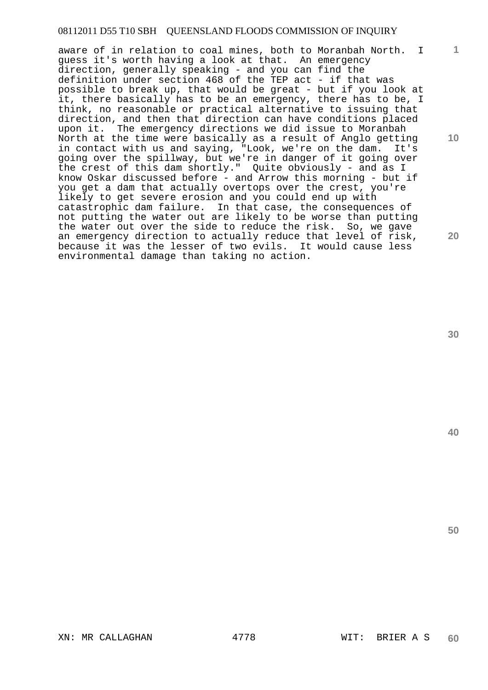aware of in relation to coal mines, both to Moranbah North. I guess it's worth having a look at that. An emergency direction, generally speaking - and you can find the definition under section 468 of the TEP act - if that was possible to break up, that would be great - but if you look at it, there basically has to be an emergency, there has to be, I think, no reasonable or practical alternative to issuing that direction, and then that direction can have conditions placed upon it. The emergency directions we did issue to Moranbah North at the time were basically as a result of Anglo getting in contact with us and saying, "Look, we're on the dam. It's going over the spillway, but we're in danger of it going over the crest of this dam shortly." Quite obviously - and as I know Oskar discussed before - and Arrow this morning - but if you get a dam that actually overtops over the crest, you're likely to get severe erosion and you could end up with catastrophic dam failure. In that case, the consequences of not putting the water out are likely to be worse than putting the water out over the side to reduce the risk. So, we gave an emergency direction to actually reduce that level of risk, because it was the lesser of two evils. It would cause less environmental damage than taking no action.

**30** 

**1**

**10** 

**20** 

**40**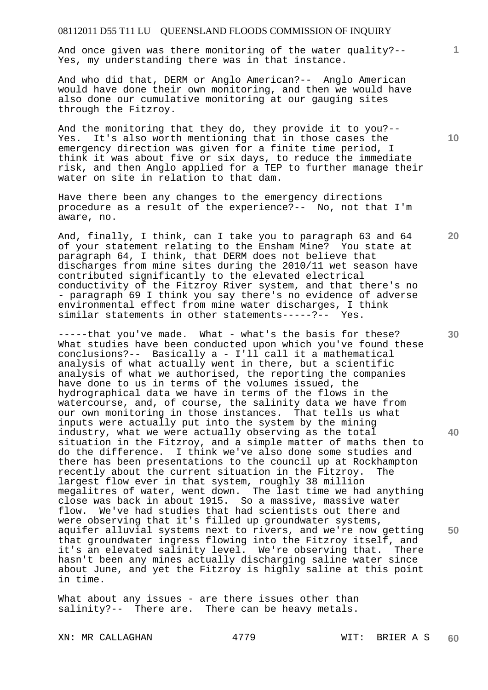And once given was there monitoring of the water quality?-- Yes, my understanding there was in that instance.

And who did that, DERM or Anglo American?-- Anglo American would have done their own monitoring, and then we would have also done our cumulative monitoring at our gauging sites through the Fitzroy.

And the monitoring that they do, they provide it to you?-- Yes. It's also worth mentioning that in those cases the emergency direction was given for a finite time period, I think it was about five or six days, to reduce the immediate risk, and then Anglo applied for a TEP to further manage their water on site in relation to that dam.

Have there been any changes to the emergency directions procedure as a result of the experience?-- No, not that I'm aware, no.

And, finally, I think, can I take you to paragraph 63 and 64 of your statement relating to the Ensham Mine? You state at paragraph 64, I think, that DERM does not believe that discharges from mine sites during the 2010/11 wet season have contributed significantly to the elevated electrical conductivity of the Fitzroy River system, and that there's no - paragraph 69 I think you say there's no evidence of adverse environmental effect from mine water discharges, I think similar statements in other statements-----?-- Yes.

-----that you've made. What - what's the basis for these? What studies have been conducted upon which you've found these conclusions?-- Basically a - I'll call it a mathematical analysis of what actually went in there, but a scientific analysis of what we authorised, the reporting the companies have done to us in terms of the volumes issued, the hydrographical data we have in terms of the flows in the watercourse, and, of course, the salinity data we have from our own monitoring in those instances. That tells us what inputs were actually put into the system by the mining industry, what we were actually observing as the total situation in the Fitzroy, and a simple matter of maths then to do the difference. I think we've also done some studies and there has been presentations to the council up at Rockhampton recently about the current situation in the Fitzroy. The largest flow ever in that system, roughly 38 million megalitres of water, went down. The last time we had anything close was back in about 1915. So a massive, massive water flow. We've had studies that had scientists out there and were observing that it's filled up groundwater systems, aquifer alluvial systems next to rivers, and we're now getting that groundwater ingress flowing into the Fitzroy itself, and it's an elevated salinity level. We're observing that. There hasn't been any mines actually discharging saline water since about June, and yet the Fitzroy is highly saline at this point in time.

What about any issues - are there issues other than salinity?-- There are. There can be heavy metals.

XN: MR CALLAGHAN 4779 WIT: BRIER A S

**10** 

**1**

**30** 

**40** 

**50**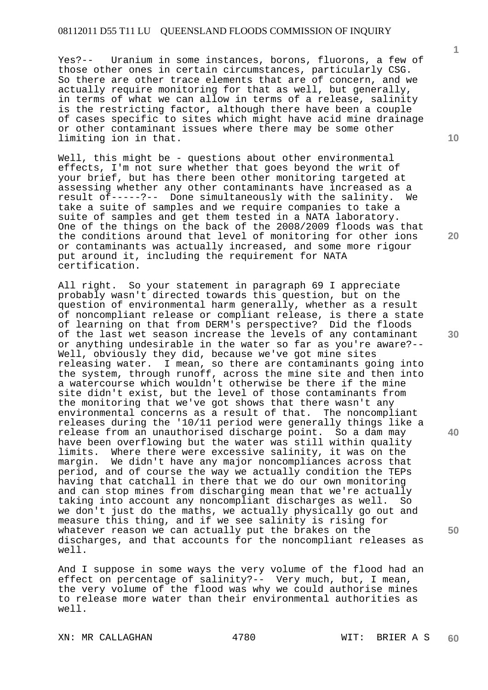Yes?-- Uranium in some instances, borons, fluorons, a few of those other ones in certain circumstances, particularly CSG. So there are other trace elements that are of concern, and we actually require monitoring for that as well, but generally, in terms of what we can allow in terms of a release, salinity is the restricting factor, although there have been a couple of cases specific to sites which might have acid mine drainage or other contaminant issues where there may be some other limiting ion in that.

Well, this might be - questions about other environmental effects, I'm not sure whether that goes beyond the writ of your brief, but has there been other monitoring targeted at assessing whether any other contaminants have increased as a result of-----?-- Done simultaneously with the salinity. We take a suite of samples and we require companies to take a suite of samples and get them tested in a NATA laboratory. One of the things on the back of the 2008/2009 floods was that the conditions around that level of monitoring for other ions or contaminants was actually increased, and some more rigour put around it, including the requirement for NATA certification.

All right. So your statement in paragraph 69 I appreciate probably wasn't directed towards this question, but on the question of environmental harm generally, whether as a result of noncompliant release or compliant release, is there a state of learning on that from DERM's perspective? Did the floods of the last wet season increase the levels of any contaminant or anything undesirable in the water so far as you're aware?-- Well, obviously they did, because we've got mine sites releasing water. I mean, so there are contaminants going into the system, through runoff, across the mine site and then into a watercourse which wouldn't otherwise be there if the mine site didn't exist, but the level of those contaminants from the monitoring that we've got shows that there wasn't any environmental concerns as a result of that. The noncompliant releases during the '10/11 period were generally things like a release from an unauthorised discharge point. So a dam may have been overflowing but the water was still within quality limits. Where there were excessive salinity, it was on the margin. We didn't have any major noncompliances across that period, and of course the way we actually condition the TEPs having that catchall in there that we do our own monitoring and can stop mines from discharging mean that we're actually taking into account any noncompliant discharges as well. So we don't just do the maths, we actually physically go out and measure this thing, and if we see salinity is rising for whatever reason we can actually put the brakes on the discharges, and that accounts for the noncompliant releases as well.

And I suppose in some ways the very volume of the flood had an effect on percentage of salinity?-- Very much, but, I mean, the very volume of the flood was why we could authorise mines to release more water than their environmental authorities as well.

XN: MR CALLAGHAN 4780 WIT: BRIER A S

**10** 

**1**

**20** 

**30** 

**40**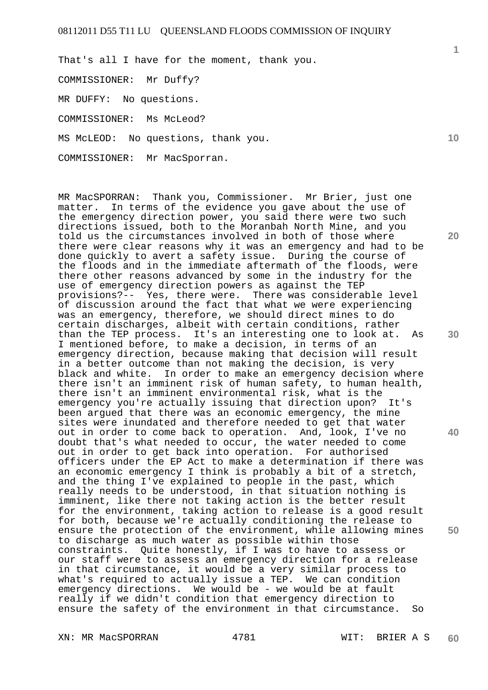That's all I have for the moment, thank you.

COMMISSIONER: Mr Duffy?

MR DUFFY: No questions.

COMMISSIONER: Ms McLeod?

MS McLEOD: No questions, thank you.

COMMISSIONER: Mr MacSporran.

MR MacSPORRAN: Thank you, Commissioner. Mr Brier, just one matter. In terms of the evidence you gave about the use of the emergency direction power, you said there were two such directions issued, both to the Moranbah North Mine, and you told us the circumstances involved in both of those where there were clear reasons why it was an emergency and had to be done quickly to avert a safety issue. During the course of the floods and in the immediate aftermath of the floods, were there other reasons advanced by some in the industry for the use of emergency direction powers as against the TEP provisions?-- Yes, there were. There was considerable level of discussion around the fact that what we were experiencing was an emergency, therefore, we should direct mines to do certain discharges, albeit with certain conditions, rather than the TEP process. It's an interesting one to look at. As I mentioned before, to make a decision, in terms of an emergency direction, because making that decision will result in a better outcome than not making the decision, is very black and white. In order to make an emergency decision where there isn't an imminent risk of human safety, to human health, there isn't an imminent environmental risk, what is the emergency you're actually issuing that direction upon? It's been argued that there was an economic emergency, the mine sites were inundated and therefore needed to get that water out in order to come back to operation. And, look, I've no doubt that's what needed to occur, the water needed to come out in order to get back into operation. For authorised officers under the EP Act to make a determination if there was an economic emergency I think is probably a bit of a stretch, and the thing I've explained to people in the past, which really needs to be understood, in that situation nothing is imminent, like there not taking action is the better result for the environment, taking action to release is a good result for both, because we're actually conditioning the release to ensure the protection of the environment, while allowing mines to discharge as much water as possible within those constraints. Quite honestly, if I was to have to assess or our staff were to assess an emergency direction for a release in that circumstance, it would be a very similar process to what's required to actually issue a TEP. We can condition emergency directions. We would be - we would be at fault really if we didn't condition that emergency direction to ensure the safety of the environment in that circumstance. So

XN: MR MacSPORRAN 4781 WIT: BRIER A S

**20** 

**30** 

**40** 

**50**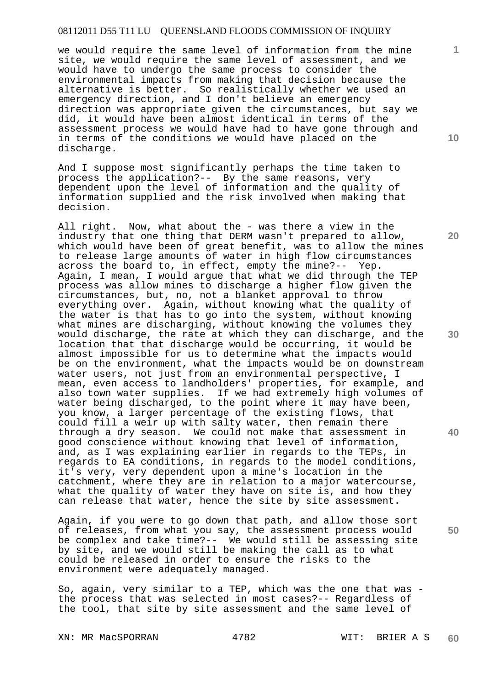we would require the same level of information from the mine site, we would require the same level of assessment, and we would have to undergo the same process to consider the environmental impacts from making that decision because the alternative is better. So realistically whether we used an emergency direction, and I don't believe an emergency direction was appropriate given the circumstances, but say we did, it would have been almost identical in terms of the assessment process we would have had to have gone through and in terms of the conditions we would have placed on the discharge.

And I suppose most significantly perhaps the time taken to process the application?-- By the same reasons, very dependent upon the level of information and the quality of information supplied and the risk involved when making that decision.

All right. Now, what about the - was there a view in the industry that one thing that DERM wasn't prepared to allow, which would have been of great benefit, was to allow the mines to release large amounts of water in high flow circumstances across the board to, in effect, empty the mine?-- Yep. Again, I mean, I would argue that what we did through the TEP process was allow mines to discharge a higher flow given the circumstances, but, no, not a blanket approval to throw everything over. Again, without knowing what the quality of the water is that has to go into the system, without knowing what mines are discharging, without knowing the volumes they would discharge, the rate at which they can discharge, and the location that that discharge would be occurring, it would be almost impossible for us to determine what the impacts would be on the environment, what the impacts would be on downstream water users, not just from an environmental perspective, I mean, even access to landholders' properties, for example, and also town water supplies. If we had extremely high volumes of water being discharged, to the point where it may have been, you know, a larger percentage of the existing flows, that could fill a weir up with salty water, then remain there through a dry season. We could not make that assessment in good conscience without knowing that level of information, and, as I was explaining earlier in regards to the TEPs, in regards to EA conditions, in regards to the model conditions, it's very, very dependent upon a mine's location in the catchment, where they are in relation to a major watercourse, what the quality of water they have on site is, and how they can release that water, hence the site by site assessment.

Again, if you were to go down that path, and allow those sort of releases, from what you say, the assessment process would be complex and take time?-- We would still be assessing site by site, and we would still be making the call as to what could be released in order to ensure the risks to the environment were adequately managed.

So, again, very similar to a TEP, which was the one that was the process that was selected in most cases?-- Regardless of the tool, that site by site assessment and the same level of

XN: MR MacSPORRAN 4782 WIT: BRIER A S

**60** 

**10** 

**1**

**30** 

**20** 

**40**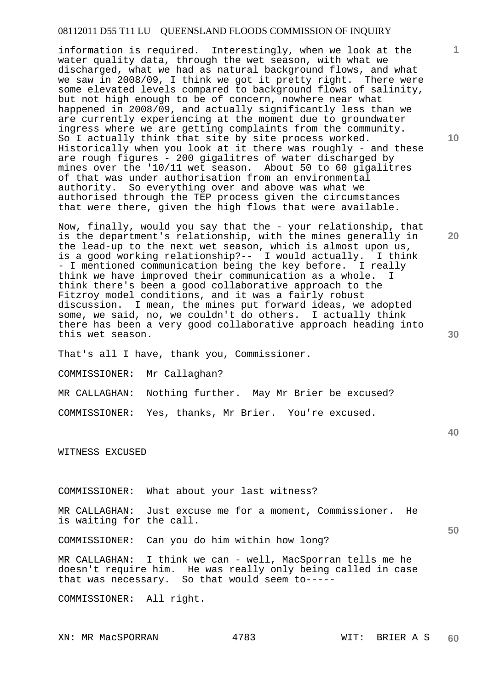information is required. Interestingly, when we look at the water quality data, through the wet season, with what we discharged, what we had as natural background flows, and what we saw in 2008/09, I think we got it pretty right. There were some elevated levels compared to background flows of salinity, but not high enough to be of concern, nowhere near what happened in 2008/09, and actually significantly less than we are currently experiencing at the moment due to groundwater ingress where we are getting complaints from the community. So I actually think that site by site process worked. Historically when you look at it there was roughly - and these are rough figures - 200 gigalitres of water discharged by mines over the '10/11 wet season. About 50 to 60 gigalitres of that was under authorisation from an environmental authority. So everything over and above was what we authorised through the TEP process given the circumstances that were there, given the high flows that were available.

Now, finally, would you say that the - your relationship, that is the department's relationship, with the mines generally in the lead-up to the next wet season, which is almost upon us, is a good working relationship?-- I would actually. I think - I mentioned communication being the key before. I really think we have improved their communication as a whole. I think there's been a good collaborative approach to the Fitzroy model conditions, and it was a fairly robust discussion. I mean, the mines put forward ideas, we adopted some, we said, no, we couldn't do others. I actually think there has been a very good collaborative approach heading into this wet season.

That's all I have, thank you, Commissioner.

COMMISSIONER: Mr Callaghan?

MR CALLAGHAN: Nothing further. May Mr Brier be excused?

COMMISSIONER: Yes, thanks, Mr Brier. You're excused.

WITNESS EXCUSED

COMMISSIONER: What about your last witness?

MR CALLAGHAN: Just excuse me for a moment, Commissioner. He is waiting for the call.

COMMISSIONER: Can you do him within how long?

MR CALLAGHAN: I think we can - well, MacSporran tells me he doesn't require him. He was really only being called in case that was necessary. So that would seem to-----

COMMISSIONER: All right.

**40** 

**50** 

**10** 

**1**

**20**